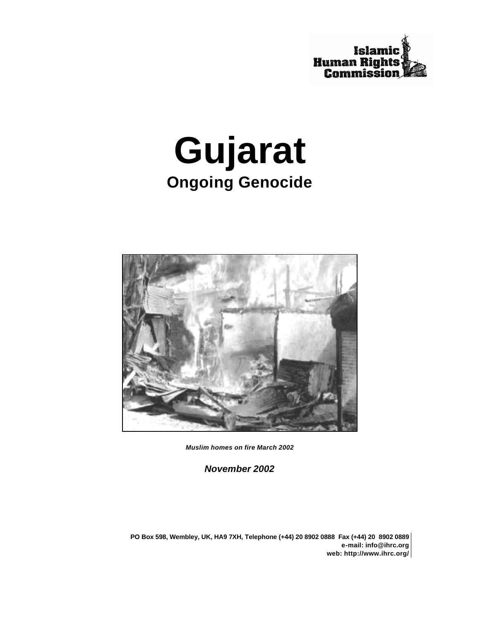

# **Gujarat Ongoing Genocide**



*Muslim homes on fire March 2002*

*November 2002*

**PO Box 598, Wembley, UK, HA9 7XH, Telephone (+44) 20 8902 0888 Fax (+44) 20 8902 0889 e-mail: info@ihrc.org web: http://www.ihrc.org/**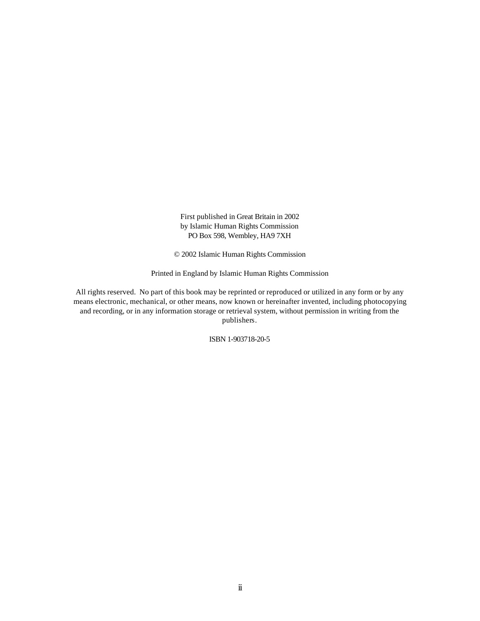First published in Great Britain in 2002 by Islamic Human Rights Commission PO Box 598, Wembley, HA9 7XH

© 2002 Islamic Human Rights Commission

Printed in England by Islamic Human Rights Commission

All rights reserved. No part of this book may be reprinted or reproduced or utilized in any form or by any means electronic, mechanical, or other means, now known or hereinafter invented, including photocopying and recording, or in any information storage or retrieval system, without permission in writing from the publishers.

ISBN 1-903718-20-5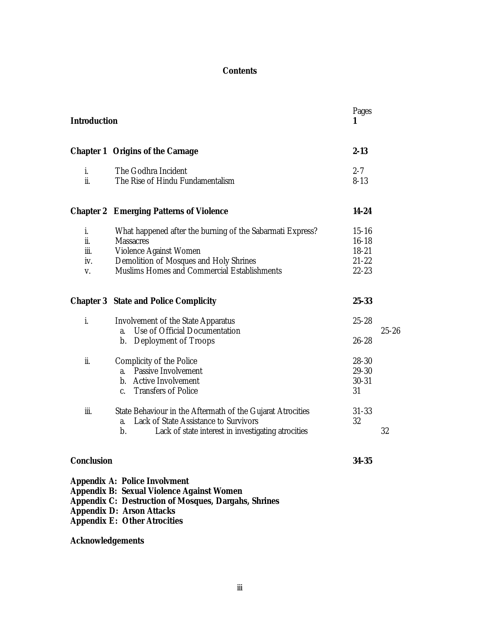# **Contents**

| <b>Introduction</b>            |                                                                                                                                                                                                                                    | Pages<br>1                                                    |           |
|--------------------------------|------------------------------------------------------------------------------------------------------------------------------------------------------------------------------------------------------------------------------------|---------------------------------------------------------------|-----------|
|                                | <b>Chapter 1 Origins of the Carnage</b>                                                                                                                                                                                            | $2 - 13$                                                      |           |
| i.<br>ii.                      | The Godhra Incident<br>The Rise of Hindu Fundamentalism                                                                                                                                                                            | $2 - 7$<br>$8 - 13$                                           |           |
|                                | <b>Chapter 2 Emerging Patterns of Violence</b>                                                                                                                                                                                     | 14-24                                                         |           |
| i.<br>ii.<br>iii.<br>iv.<br>V. | What happened after the burning of the Sabarmati Express?<br><b>Massacres</b><br>Violence Against Women<br>Demolition of Mosques and Holy Shrines<br>Muslims Homes and Commercial Establishments                                   | $15 - 16$<br>$16 - 18$<br>$18 - 21$<br>$21 - 22$<br>$22 - 23$ |           |
|                                | <b>Chapter 3 State and Police Complicity</b>                                                                                                                                                                                       | 25-33                                                         |           |
| i.                             | <b>Involvement of the State Apparatus</b><br>Use of Official Documentation<br>a.<br><b>Deployment of Troops</b><br>b.                                                                                                              | $25 - 28$<br>$26 - 28$                                        | $25 - 26$ |
| ii.                            | Complicity of the Police<br><b>Passive Involvement</b><br>a.<br><b>Active Involvement</b><br>b.<br><b>Transfers of Police</b><br>$\mathbf{C}$                                                                                      | $28 - 30$<br>29-30<br>$30 - 31$<br>31                         |           |
| iii.                           | State Behaviour in the Aftermath of the Gujarat Atrocities<br>Lack of State Assistance to Survivors<br>a.<br>$\mathbf{b}$ .<br>Lack of state interest in investigating atrocities                                                  | $31 - 33$<br>32                                               | 32        |
| <b>Conclusion</b>              |                                                                                                                                                                                                                                    | 34-35                                                         |           |
|                                | <b>Appendix A: Police Involvment</b><br><b>Appendix B: Sexual Violence Against Women</b><br><b>Appendix C: Destruction of Mosques, Dargahs, Shrines</b><br><b>Appendix D: Arson Attacks</b><br><b>Appendix E: Other Atrocities</b> |                                                               |           |

# **Acknowledgements**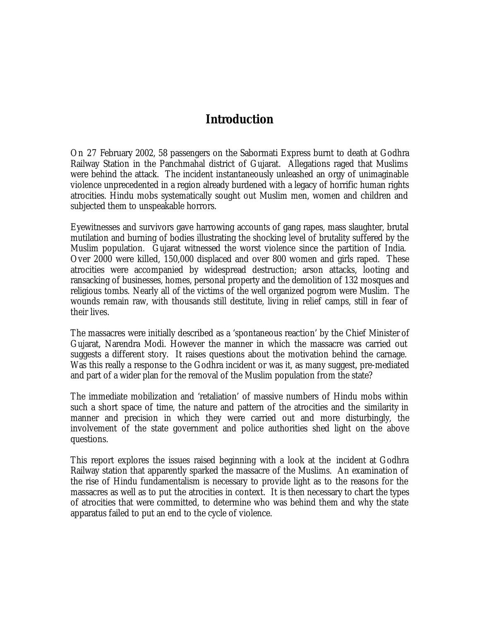# **Introduction**

On 27 February 2002, 58 passengers on the Sabormati Express burnt to death at Godhra Railway Station in the Panchmahal district of Gujarat. Allegations raged that Muslims were behind the attack. The incident instantaneously unleashed an orgy of unimaginable violence unprecedented in a region already burdened with a legacy of horrific human rights atrocities. Hindu mobs systematically sought out Muslim men, women and children and subjected them to unspeakable horrors.

Eyewitnesses and survivors gave harrowing accounts of gang rapes, mass slaughter, brutal mutilation and burning of bodies illustrating the shocking level of brutality suffered by the Muslim population. Gujarat witnessed the worst violence since the partition of India. Over 2000 were killed, 150,000 displaced and over 800 women and girls raped. These atrocities were accompanied by widespread destruction; arson attacks, looting and ransacking of businesses, homes, personal property and the demolition of 132 mosques and religious tombs. Nearly all of the victims of the well organized pogrom were Muslim. The wounds remain raw, with thousands still destitute, living in relief camps, still in fear of their lives.

The massacres were initially described as a 'spontaneous reaction' by the Chief Minister of Gujarat, Narendra Modi. However the manner in which the massacre was carried out suggests a different story. It raises questions about the motivation behind the carnage. Was this really a response to the Godhra incident or was it, as many suggest, pre-mediated and part of a wider plan for the removal of the Muslim population from the state?

The immediate mobilization and 'retaliation' of massive numbers of Hindu mobs within such a short space of time, the nature and pattern of the atrocities and the similarity in manner and precision in which they were carried out and more disturbingly, the involvement of the state government and police authorities shed light on the above questions.

This report explores the issues raised beginning with a look at the incident at Godhra Railway station that apparently sparked the massacre of the Muslims. An examination of the rise of Hindu fundamentalism is necessary to provide light as to the reasons for the massacres as well as to put the atrocities in context. It is then necessary to chart the types of atrocities that were committed, to determine who was behind them and why the state apparatus failed to put an end to the cycle of violence.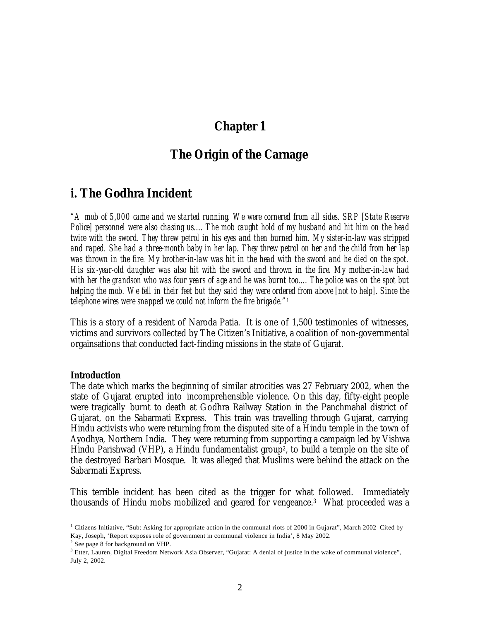# **Chapter 1**

# *The Origin of the Carnage*

# **i. The Godhra Incident**

*"A mob of 5,000 came and we started running. We were cornered from all sides. SRP [State Reserve Police] personnel were also chasing us.... The mob caught hold of my husband and hit him on the head twice with the sword. They threw petrol in his eyes and then burned him. My sister-in-law was stripped and raped. She had a three-month baby in her lap. They threw petrol on her and the child from her lap was thrown in the fire. My brother-in-law was hit in the head with the sword and he died on the spot. His six-year-old daughter was also hit with the sword and thrown in the fire. My mother-in-law had with her the grandson who was four years of age and he was burnt too.... The police was on the spot but helping the mob. We fell in their feet but they said they were ordered from above [not to help]. Since the telephone wires were snapped we could not inform the fire brigade."*<sup>1</sup>

This is a story of a resident of Naroda Patia. It is one of 1,500 testimonies of witnesses, victims and survivors collected by The Citizen's Initiative, a coalition of non-governmental orgainsations that conducted fact-finding missions in the state of Gujarat.

#### *Introduction*

 $\overline{a}$ 

The date which marks the beginning of similar atrocities was 27 February 2002, when the state of Gujarat erupted into incomprehensible violence. On this day, fifty-eight people were tragically burnt to death at Godhra Railway Station in the Panchmahal district of Gujarat, on the Sabarmati Express. This train was travelling through Gujarat, carrying Hindu activists who were returning from the disputed site of a Hindu temple in the town of Ayodhya, Northern India. They were returning from supporting a campaign led by Vishwa Hindu Parishwad (VHP), a Hindu fundamentalist group<sup>2</sup>, to build a temple on the site of the destroyed Barbari Mosque. It was alleged that Muslims were behind the attack on the Sabarmati Express.

This terrible incident has been cited as the trigger for what followed. Immediately thousands of Hindu mobs mobilized and geared for vengeance. 3 What proceeded was a

<sup>&</sup>lt;sup>1</sup> Citizens Initiative, "Sub: Asking for appropriate action in the communal riots of 2000 in Gujarat", March 2002 Cited by Kay, Joseph, 'Report exposes role of government in communal violence in India', 8 May 2002.

<sup>&</sup>lt;sup>2</sup> See page 8 for background on VHP.

<sup>&</sup>lt;sup>3</sup> Etter, Lauren, Digital Freedom Network Asia Observer, "Gujarat: A denial of justice in the wake of communal violence", July 2, 2002.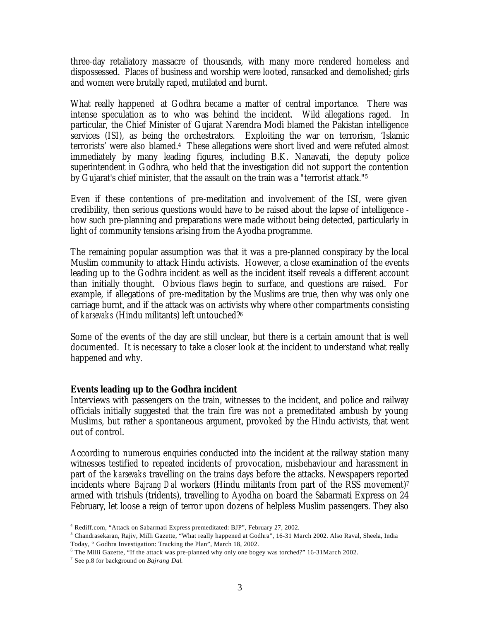three-day retaliatory massacre of thousands, with many more rendered homeless and dispossessed. Places of business and worship were looted, ransacked and demolished; girls and women were brutally raped, mutilated and burnt.

What really happened at Godhra became a matter of central importance. There was intense speculation as to who was behind the incident. Wild allegations raged. In particular, the Chief Minister of Gujarat Narendra Modi blamed the Pakistan intelligence services (ISI), as being the orchestrators. Exploiting the war on terrorism, 'Islamic terrorists' were also blamed.<sup>4</sup> These allegations were short lived and were refuted almost immediately by many leading figures, including B.K. Nanavati, the deputy police superintendent in Godhra, who held that the investigation did not support the contention by Gujarat's chief minister, that the assault on the train was a "terrorist attack."<sup>5</sup>

Even if these contentions of pre-meditation and involvement of the ISI, were given credibility, then serious questions would have to be raised about the lapse of intelligence how such pre-planning and preparations were made without being detected, particularly in light of community tensions arising from the Ayodha programme.

The remaining popular assumption was that it was a pre-planned conspiracy by the local Muslim community to attack Hindu activists. However, a close examination of the events leading up to the Godhra incident as well as the incident itself reveals a different account than initially thought. Obvious flaws begin to surface, and questions are raised. For example, if allegations of pre-meditation by the Muslims are true, then why was only one carriage burnt, and if the attack was on activists why where other compartments consisting of *karsevaks* (Hindu militants) left untouched?<sup>6</sup>

Some of the events of the day are still unclear, but there is a certain amount that is well documented. It is necessary to take a closer look at the incident to understand what really happened and why.

## *Events leading up to the Godhra incident*

Interviews with passengers on the train, witnesses to the incident, and police and railway officials initially suggested that the train fire was not a premeditated ambush by young Muslims, but rather a spontaneous argument, provoked by the Hindu activists, that went out of control.

According to numerous enquiries conducted into the incident at the railway station many witnesses testified to repeated incidents of provocation, misbehaviour and harassment in part of the *karsevaks* travelling on the trains days before the attacks. Newspapers reported incidents where *Bajrang Dal* workers (Hindu militants from part of the RSS movement)<sup>7</sup> armed with trishuls (tridents), travelling to Ayodha on board the Sabarmati Express on 24 February, let loose a reign of terror upon dozens of helpless Muslim passengers. They also

<sup>&</sup>lt;sup>4</sup> Rediff.com, "Attack on Sabarmati Express premeditated: BJP", February 27, 2002.

<sup>&</sup>lt;sup>5</sup> Chandrasekaran, Rajiv, Milli Gazette, "What really happened at Godhra", 16-31 March 2002. Also Raval, Sheela, India Today, " Godhra Investigation: Tracking the Plan", March 18, 2002.

<sup>6</sup> The Milli Gazette, "If the attack was pre-planned why only one bogey was torched?" 16-31March 2002.

<sup>7</sup> See p.8 for background on *Bajrang Dal*.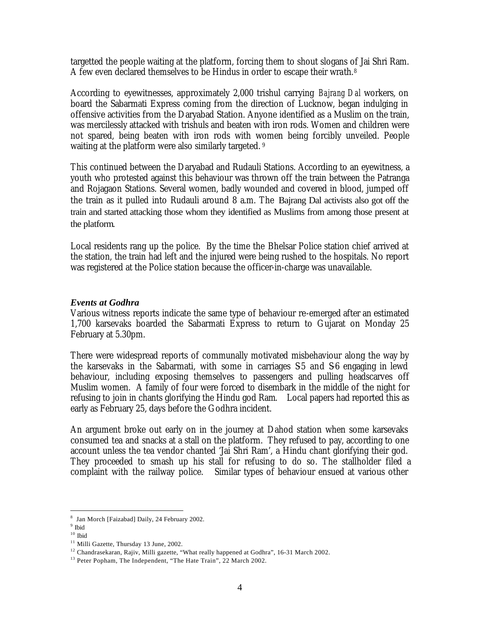targetted the people waiting at the platform, forcing them to shout slogans of Jai Shri Ram. A few even declared themselves to be Hindus in order to escape their wrath.<sup>8</sup>

According to eyewitnesses, approximately 2,000 trishul carrying *Bajrang Dal* workers, on board the Sabarmati Express coming from the direction of Lucknow, began indulging in offensive activities from the Daryabad Station. Anyone identified as a Muslim on the train, was mercilessly attacked with trishuls and beaten with iron rods. Women and children were not spared, being beaten with iron rods with women being forcibly unveiled. People waiting at the platform were also similarly targeted.<sup>9</sup>

This continued between the Daryabad and Rudauli Stations. According to an eyewitness, a youth who protested against this behaviour was thrown off the train between the Patranga and Rojagaon Stations. Several women, badly wounded and covered in blood, jumped off the train as it pulled into Rudauli around 8 a.m. The Bajrang Dal activists also got off the train and started attacking those whom they identified as Muslims from among those present at the platform.

Local residents rang up the police. By the time the Bhelsar Police station chief arrived at the station, the train had left and the injured were being rushed to the hospitals. No report was registered at the Police station because the officer-in-charge was unavailable.

### *Events at Godhra*

Various witness reports indicate the same type of behaviour re-emerged after an estimated 1,700 karsevaks boarded the Sabarmati Express to return to Gujarat on Monday 25 February at 5.30pm.

There were widespread reports of communally motivated misbehaviour along the way by the karsevaks in the Sabarmati, with some in carriages S5 and S6 engaging in lewd behaviour, including exposing themselves to passengers and pulling headscarves off Muslim women. A family of four were forced to disembark in the middle of the night for refusing to join in chants glorifying the Hindu god Ram. Local papers had reported this as early as February 25, days before the Godhra incident.

An argument broke out early on in the journey at Dahod station when some karsevaks consumed tea and snacks at a stall on the platform. They refused to pay, according to one account unless the tea vendor chanted 'Jai Shri Ram', a Hindu chant glorifying their god. They proceeded to smash up his stall for refusing to do so. The stallholder filed a complaint with the railway police. Similar types of behaviour ensued at various other

 $\overline{a}$ <sup>8</sup> Jan Morch [Faizabad] Daily, 24 February 2002.

<sup>&</sup>lt;sup>9</sup> Ibid

 $10$  Ibid

<sup>&</sup>lt;sup>11</sup> Milli Gazette, Thursday 13 June, 2002.

<sup>&</sup>lt;sup>12</sup> Chandrasekaran, Rajiv, Milli gazette, "What really happened at Godhra", 16-31 March 2002.

<sup>&</sup>lt;sup>13</sup> Peter Popham, The Independent, "The Hate Train", 22 March 2002.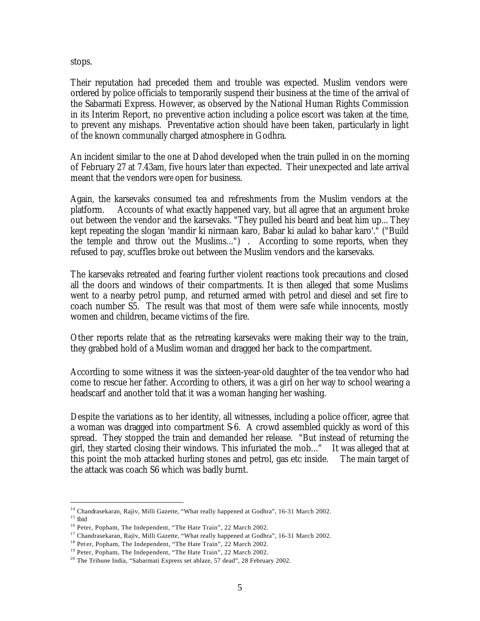stops.

Their reputation had preceded them and trouble was expected. Muslim vendors were ordered by police officials to temporarily suspend their business at the time of the arrival of the Sabarmati Express. However, as observed by the National Human Rights Commission in its Interim Report, no preventive action including a police escort was taken at the time, to prevent any mishaps. Preventative action should have been taken, particularly in light of the known communally charged atmosphere in Godhra.

An incident similar to the one at Dahod developed when the train pulled in on the morning of February 27 at 7.43am, five hours later than expected. Their unexpected and late arrival meant that the vendors *were* open for business.

Again, the karsevaks consumed tea and refreshments from the Muslim vendors at the platform. Accounts of what exactly happened vary, but all agree that an argument broke out between the vendor and the karsevaks. "They pulled his beard and beat him up... They kept repeating the slogan 'mandir ki nirmaan karo, Babar ki aulad ko bahar karo'." ("Build the temple and throw out the Muslims...") . According to some reports, when they refused to pay, scuffles broke out between the Muslim vendors and the karsevaks.

The karsevaks retreated and fearing further violent reactions took precautions and closed all the doors and windows of their compartments. It is then alleged that some Muslims went to a nearby petrol pump, and returned armed with petrol and diesel and set fire to coach number S5. The result was that most of them were safe while innocents, mostly women and children, became victims of the fire.

Other reports relate that as the retreating karsevaks were making their way to the train, they grabbed hold of a Muslim woman and dragged her back to the compartment.

According to some witness it was the sixteen-year-old daughter of the tea vendor who had come to rescue her father. According to others, it was a girl on her way to school wearing a headscarf and another told that it was a woman hanging her washing.

Despite the variations as to her identity, all witnesses, including a police officer, agree that a woman was dragged into compartment S-6. A crowd assembled quickly as word of this spread. They stopped the train and demanded her release. "But instead of returning the girl, they started closing their windows. This infuriated the mob..." It was alleged that at this point the mob attacked hurling stones and petrol, gas etc inside. The main target of the attack was coach S6 which was badly burnt.

<sup>&</sup>lt;sup>14</sup> Chandrasekaran, Rajiv, Milli Gazette, "What really happened at Godhra", 16-31 March 2002.

 $^{\rm 15}$ Ibid

<sup>&</sup>lt;sup>16</sup> Peter, Popham, The Independent, "The Hate Train", 22 March 2002.

<sup>&</sup>lt;sup>17</sup> Chandrasekaran, Rajiv, Milli Gazette, "What really happened at Godhra", 16-31 March 2002.

<sup>&</sup>lt;sup>18</sup> Peter, Popham, The Independent, "The Hate Train", 22 March 2002.

<sup>&</sup>lt;sup>19</sup> Peter, Popham, The Independent, "The Hate Train", 22 March 2002.

<sup>&</sup>lt;sup>20</sup> The Tribune India, "Sabarmati Express set ablaze, 57 dead", 28 February 2002.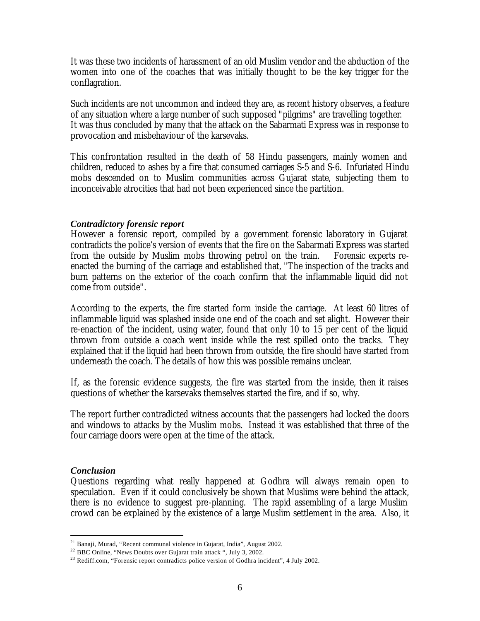It was these two incidents of harassment of an old Muslim vendor and the abduction of the women into one of the coaches that was initially thought to be the key trigger for the conflagration.

Such incidents are not uncommon and indeed they are, as recent history observes, a feature of any situation where a large number of such supposed "pilgrims" are travelling together. It was thus concluded by many that the attack on the Sabarmati Express was in response to provocation and misbehaviour of the karsevaks.

This confrontation resulted in the death of 58 Hindu passengers, mainly women and children, reduced to ashes by a fire that consumed carriages S-5 and S-6. Infuriated Hindu mobs descended on to Muslim communities across Gujarat state, subjecting them to inconceivable atrocities that had not been experienced since the partition.

### *Contradictory forensic report*

However a forensic report, compiled by a government forensic laboratory in Gujarat contradicts the police's version of events that the fire on the Sabarmati Express was started from the outside by Muslim mobs throwing petrol on the train. Forensic experts reenacted the burning of the carriage and established that, "The inspection of the tracks and burn patterns on the exterior of the coach confirm that the inflammable liquid did not come from outside".

According to the experts, the fire started form inside the carriage. At least 60 litres of inflammable liquid was splashed inside one end of the coach and set alight. However their re-enaction of the incident, using water, found that only 10 to 15 per cent of the liquid thrown from outside a coach went inside while the rest spilled onto the tracks. They explained that if the liquid had been thrown from outside, the fire should have started from underneath the coach. The details of how this was possible remains unclear.

If, as the forensic evidence suggests, the fire was started from the inside, then it raises questions of whether the karsevaks themselves started the fire, and if so, why.

The report further contradicted witness accounts that the passengers had locked the doors and windows to attacks by the Muslim mobs. Instead it was established that three of the four carriage doors were open at the time of the attack.

### *Conclusion*

 $\overline{a}$ 

Questions regarding what really happened at Godhra will always remain open to speculation. Even if it could conclusively be shown that Muslims were behind the attack, there is no evidence to suggest pre-planning. The rapid assembling of a large Muslim crowd can be explained by the existence of a large Muslim settlement in the area. Also, it

<sup>21</sup> Banaji, Murad, "Recent communal violence in Gujarat, India", August 2002.

<sup>&</sup>lt;sup>22</sup> BBC Online, "News Doubts over Gujarat train attack ", July 3, 2002.

<sup>&</sup>lt;sup>23</sup> Rediff.com, "Forensic report contradicts police version of Godhra incident", 4 July 2002.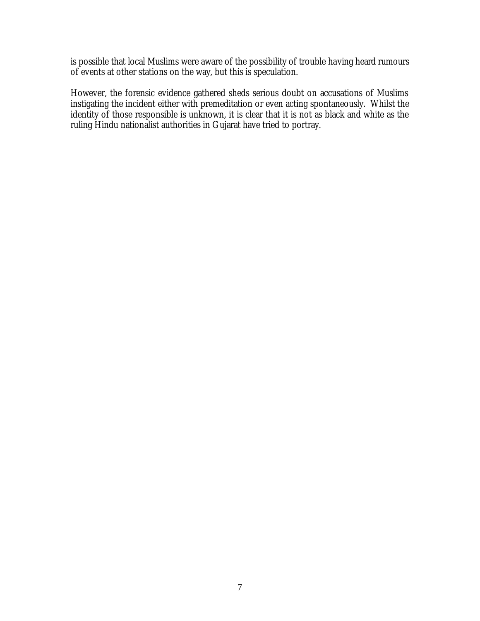is possible that local Muslims were aware of the possibility of trouble having heard rumours of events at other stations on the way, but this is speculation.

However, the forensic evidence gathered sheds serious doubt on accusations of Muslims instigating the incident either with premeditation or even acting spontaneously. Whilst the identity of those responsible is unknown, it is clear that it is not as black and white as the ruling Hindu nationalist authorities in Gujarat have tried to portray.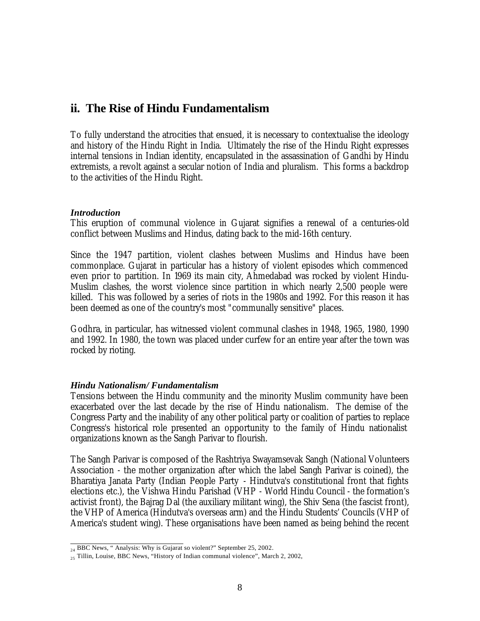# **ii. The Rise of Hindu Fundamentalism**

To fully understand the atrocities that ensued, it is necessary to contextualise the ideology and history of the Hindu Right in India. Ultimately the rise of the Hindu Right expresses internal tensions in Indian identity, encapsulated in the assassination of Gandhi by Hindu extremists, a revolt against a secular notion of India and pluralism. This forms a backdrop to the activities of the Hindu Right.

### *Introduction*

This eruption of communal violence in Gujarat signifies a renewal of a centuries-old conflict between Muslims and Hindus, dating back to the mid-16th century.

Since the 1947 partition, violent clashes between Muslims and Hindus have been commonplace. Gujarat in particular has a history of violent episodes which commenced even prior to partition. In 1969 its main city, Ahmedabad was rocked by violent Hindu-Muslim clashes, the worst violence since partition in which nearly 2,500 people were killed. This was followed by a series of riots in the 1980s and 1992. For this reason it has been deemed as one of the country's most "communally sensitive" places.

Godhra, in particular, has witnessed violent communal clashes in 1948, 1965, 1980, 1990 and 1992. In 1980, the town was placed under curfew for an entire year after the town was rocked by rioting.

## *Hindu Nationalism/ Fundamentalism*

Tensions between the Hindu community and the minority Muslim community have been exacerbated over the last decade by the rise of Hindu nationalism. The demise of the Congress Party and the inability of any other political party or coalition of parties to replace Congress's historical role presented an opportunity to the family of Hindu nationalist organizations known as the Sangh Parivar to flourish.

The Sangh Parivar is composed of the Rashtriya Swayamsevak Sangh (National Volunteers Association - the mother organization after which the label Sangh Parivar is coined), the Bharatiya Janata Party (Indian People Party - Hindutva's constitutional front that fights elections etc.), the Vishwa Hindu Parishad (VHP - World Hindu Council - the formation's activist front), the Bajrag Dal (the auxiliary militant wing), the Shiv Sena (the fascist front), the VHP of America (Hindutva's overseas arm) and the Hindu Students' Councils (VHP of America's student wing). These organisations have been named as being behind the recent

 $_{24}$  BBC News, " Analysis: Why is Gujarat so violent?" September 25, 2002.

<sup>&</sup>lt;sub>25</sub> Tillin, Louise, BBC News, "History of Indian communal violence", March 2, 2002,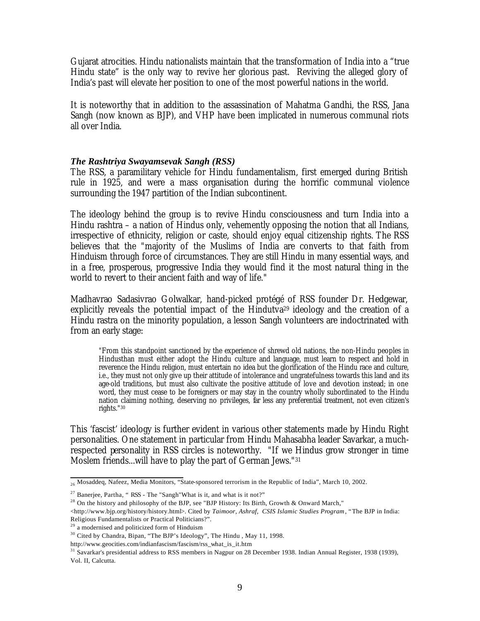Gujarat atrocities. Hindu nationalists maintain that the transformation of India into a "true Hindu state" is the only way to revive her glorious past. Reviving the alleged glory of India's past will elevate her position to one of the most powerful nations in the world.

It is noteworthy that in addition to the assassination of Mahatma Gandhi, the RSS, Jana Sangh (now known as BJP), and VHP have been implicated in numerous communal riots all over India.

### *The Rashtriya Swayamsevak Sangh (RSS)*

The RSS, a paramilitary vehicle for Hindu fundamentalism, first emerged during British rule in 1925, and were a mass organisation during the horrific communal violence surrounding the 1947 partition of the Indian subcontinent.

The ideology behind the group is to revive Hindu consciousness and turn India into a Hindu rashtra – a nation of Hindus only, vehemently opposing the notion that all Indians, irrespective of ethnicity, religion or caste, should enjoy equal citizenship rights. The RSS believes that the "majority of the Muslims of India are converts to that faith from Hinduism through force of circumstances. They are still Hindu in many essential ways, and in a free, prosperous, progressive India they would find it the most natural thing in the world to revert to their ancient faith and way of life."

Madhavrao Sadasivrao Golwalkar, hand-picked protégé of RSS founder Dr. Hedgewar, explicitly reveals the potential impact of the Hindutva<sup>29</sup> ideology and the creation of a Hindu rastra on the minority population, a lesson Sangh volunteers are indoctrinated with from an early stage:

"From this standpoint sanctioned by the experience of shrewd old nations, the non-Hindu peoples in Hindusthan must either adopt the Hindu culture and language, must learn to respect and hold in reverence the Hindu religion, must entertain no idea but the glorification of the Hindu race and culture, i.e., they must not only give up their attitude of intolerance and ungratefulness towards this land and its age-old traditions, but must also cultivate the positive attitude of love and devotion instead; in one word, they must cease to be foreigners or may stay in the country wholly subordinated to the Hindu nation claiming nothing, deserving no privileges, far less any preferential treatment, not even citizen's rights."<sup>30</sup>

This 'fascist' ideology is further evident in various other statements made by Hindu Right personalities. One statement in particular from Hindu Mahasabha leader Savarkar, a muchrespected personality in RSS circles is noteworthy. "If we Hindus grow stronger in time Moslem friends...will have to play the part of German Jews."<sup>31</sup>

 $_{26}$  Mosaddeq, Nafeez, Media Monitors, "State-sponsored terrorism in the Republic of India", March 10, 2002.

<sup>&</sup>lt;sup>27</sup> Banerjee, Partha, "RSS - The "Sangh"What is it, and what is it not?"

<sup>&</sup>lt;sup>28</sup> On the history and philosophy of the BJP, see "BJP History: Its Birth, Growth & Onward March,"

<sup>&</sup>lt;http://www.bjp.org/history/history.html>. Cited by *Taimoor, Ashraf, CSIS Islamic Studies Program*, "The BJP in India: Religious Fundamentalists or Practical Politicians?".

<sup>&</sup>lt;sup>29</sup> a modernised and politicized form of Hinduism

<sup>&</sup>lt;sup>30</sup> Cited by Chandra, Bipan, "The BJP's Ideology", The Hindu, May 11, 1998.

http://www.geocities.com/indianfascism/fascism/rss\_what\_is\_it.htm

<sup>&</sup>lt;sup>31</sup> Savarkar's presidential address to RSS members in Nagpur on 28 December 1938. Indian Annual Register, 1938 (1939), Vol. II, Calcutta.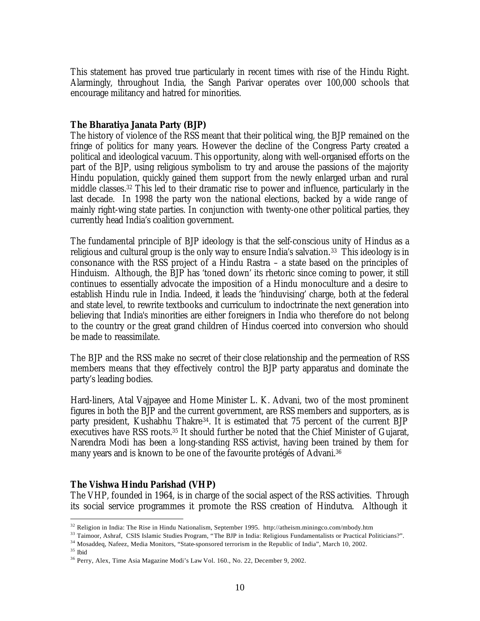This statement has proved true particularly in recent times with rise of the Hindu Right. Alarmingly, throughout India, the Sangh Parivar operates over 100,000 schools that encourage militancy and hatred for minorities.

## *The Bharatiya Janata Party (BJP)*

The history of violence of the RSS meant that their political wing, the BJP remained on the fringe of politics for many years. However the decline of the Congress Party created a political and ideological vacuum. This opportunity, along with well-organised efforts on the part of the BJP, using religious symbolism to try and arouse the passions of the majority Hindu population, quickly gained them support from the newly enlarged urban and rural middle classes.32 This led to their dramatic rise to power and influence, particularly in the last decade. In 1998 the party won the national elections, backed by a wide range of mainly right-wing state parties. In conjunction with twenty-one other political parties, they currently head India's coalition government.

The fundamental principle of BJP ideology is that the self-conscious unity of Hindus as a religious and cultural group is the only way to ensure India's salvation.<sup>33</sup> This ideology is in consonance with the RSS project of a Hindu Rastra – a state based on the principles of Hinduism. Although, the BJP has 'toned down' its rhetoric since coming to power, it still continues to essentially advocate the imposition of a Hindu monoculture and a desire to establish Hindu rule in India. Indeed, it leads the 'hinduvising' charge, both at the federal and state level, to rewrite textbooks and curriculum to indoctrinate the next generation into believing that India's minorities are either foreigners in India who therefore do not belong to the country or the great grand children of Hindus coerced into conversion who should be made to reassimilate.

The BJP and the RSS make no secret of their close relationship and the permeation of RSS members means that they effectively control the BJP party apparatus and dominate the party's leading bodies.

Hard-liners, Atal Vajpayee and Home Minister L. K. Advani, two of the most prominent figures in both the BJP and the current government, are RSS members and supporters, as is party president, Kushabhu Thakre34. It is estimated that 75 percent of the current BJP executives have RSS roots.35 It should further be noted that the Chief Minister of Gujarat, Narendra Modi has been a long-standing RSS activist, having been trained by them for many years and is known to be one of the favourite protégés of Advani.<sup>36</sup>

## *The Vishwa Hindu Parishad (VHP)*

The VHP, founded in 1964, is in charge of the social aspect of the RSS activities. Through its social service programmes it promote the RSS creation of Hindutva. Although it

<sup>32</sup> Religion in India: The Rise in Hindu Nationalism, September 1995. http://atheism.miningco.com/mbody.htm

<sup>&</sup>lt;sup>33</sup> Taimoor, Ashraf, CSIS Islamic Studies Program, "The BJP in India: Religious Fundamentalists or Practical Politicians?".

<sup>34</sup> Mosaddeq, Nafeez, Media Monitors, "State-sponsored terrorism in the Republic of India", March 10, 2002.

<sup>35</sup> Ibid

<sup>36</sup> Perry, Alex, Time Asia Magazine Modi's Law Vol. 160., No. 22, December 9, 2002.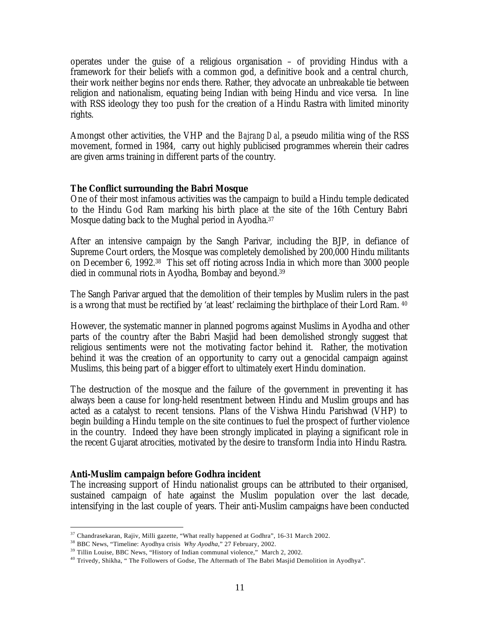operates under the guise of a religious organisation – of providing Hindus with a framework for their beliefs with a common god, a definitive book and a central church, their work neither begins nor ends there. Rather, they advocate an unbreakable tie between religion and nationalism, equating being Indian with being Hindu and vice versa. In line with RSS ideology they too push for the creation of a Hindu Rastra with limited minority rights.

Amongst other activities, the VHP and the *Bajrang Dal*, a pseudo militia wing of the RSS movement, formed in 1984, carry out highly publicised programmes wherein their cadres are given arms training in different parts of the country.

## *The Conflict surrounding the Babri Mosque*

One of their most infamous activities was the campaign to build a Hindu temple dedicated to the Hindu God Ram marking his birth place at the site of the 16th Century Babri Mosque dating back to the Mughal period in Ayodha.<sup>37</sup>

After an intensive campaign by the Sangh Parivar, including the BJP, in defiance of Supreme Court orders, the Mosque was completely demolished by 200,000 Hindu militants on December 6, 1992.38 This set off rioting across India in which more than 3000 people died in communal riots in Ayodha, Bombay and beyond.<sup>39</sup>

The Sangh Parivar argued that the demolition of their temples by Muslim rulers in the past is a wrong that must be rectified by 'at least' reclaiming the birthplace of their Lord Ram. <sup>40</sup>

However, the systematic manner in planned pogroms against Muslims in Ayodha and other parts of the country after the Babri Masjid had been demolished strongly suggest that religious sentiments were not the motivating factor behind it. Rather, the motivation behind it was the creation of an opportunity to carry out a genocidal campaign against Muslims, this being part of a bigger effort to ultimately exert Hindu domination.

The destruction of the mosque and the failure of the government in preventing it has always been a cause for long-held resentment between Hindu and Muslim groups and has acted as a catalyst to recent tensions. Plans of the Vishwa Hindu Parishwad (VHP) to begin building a Hindu temple on the site continues to fuel the prospect of further violence in the country. Indeed they have been strongly implicated in playing a significant role in the recent Gujarat atrocities, motivated by the desire to transform India into Hindu Rastra.

## *Anti-Muslim campaign before Godhra incident*

 $\overline{a}$ 

The increasing support of Hindu nationalist groups can be attributed to their organised, sustained campaign of hate against the Muslim population over the last decade, intensifying in the last couple of years. Their anti-Muslim campaigns have been conducted

<sup>37</sup> Chandrasekaran, Rajiv, Milli gazette, "What really happened at Godhra", 16-31 March 2002.

<sup>38</sup> BBC News, "Timeline: Ayodhya crisis *Why Ayodha*," 27 February, 2002.

<sup>&</sup>lt;sup>39</sup> Tillin Louise, BBC News, "History of Indian communal violence," March 2, 2002.

<sup>40</sup> Trivedy, Shikha, " The Followers of Godse, The Aftermath of The Babri Masjid Demolition in Ayodhya".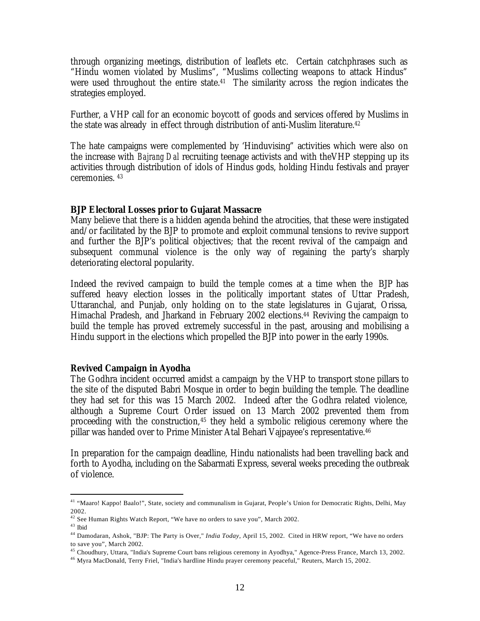through organizing meetings, distribution of leaflets etc. Certain catchphrases such as "Hindu women violated by Muslims", "Muslims collecting weapons to attack Hindus" were used throughout the entire state.<sup>41</sup> The similarity across the region indicates the strategies employed.

Further, a VHP call for an economic boycott of goods and services offered by Muslims in the state was already in effect through distribution of anti-Muslim literature. $^{42}$ 

The hate campaigns were complemented by 'Hinduvising" activities which were also on the increase with *Bajrang Dal* recruiting teenage activists and with theVHP stepping up its activities through distribution of idols of Hindus gods, holding Hindu festivals and prayer ceremonies. <sup>43</sup>

#### *BJP Electoral Losses prior to Gujarat Massacre*

Many believe that there is a hidden agenda behind the atrocities, that these were instigated and/or facilitated by the BJP to promote and exploit communal tensions to revive support and further the BJP's political objectives; that the recent revival of the campaign and subsequent communal violence is the only way of regaining the party's sharply deteriorating electoral popularity.

Indeed the revived campaign to build the temple comes at a time when the BJP has suffered heavy election losses in the politically important states of Uttar Pradesh, Uttaranchal, and Punjab, only holding on to the state legislatures in Gujarat, Orissa, Himachal Pradesh, and Jharkand in February 2002 elections.<sup>44</sup> Reviving the campaign to build the temple has proved extremely successful in the past, arousing and mobilising a Hindu support in the elections which propelled the BJP into power in the early 1990s.

### *Revived Campaign in Ayodha*

The Godhra incident occurred amidst a campaign by the VHP to transport stone pillars to the site of the disputed Babri Mosque in order to begin building the temple. The deadline they had set for this was 15 March 2002. Indeed after the Godhra related violence, although a Supreme Court Order issued on 13 March 2002 prevented them from proceeding with the construction,45 they held a symbolic religious ceremony where the pillar was handed over to Prime Minister Atal Behari Vajpayee's representative.<sup>46</sup>

In preparation for the campaign deadline, Hindu nationalists had been travelling back and forth to Ayodha, including on the Sabarmati Express, several weeks preceding the outbreak of violence.

<sup>&</sup>lt;sup>41</sup> "Maaro! Kappo! Baalo!", State, society and communalism in Gujarat, People's Union for Democratic Rights, Delhi, May 2002.

<sup>42</sup> See Human Rights Watch Report, "We have no orders to save you", March 2002.

 $^{43}$ Ibid

<sup>44</sup> Damodaran, Ashok, "BJP: The Party is Over," *India Today*, April 15, 2002. Cited in HRW report, "We have no orders to save you", March 2002.

<sup>45</sup> Choudhury, Uttara, "India's Supreme Court bans religious ceremony in Ayodhya," Agence-Press France, March 13, 2002.

<sup>46</sup> Myra MacDonald, Terry Friel, "India's hardline Hindu prayer ceremony peaceful," Reuters, March 15, 2002.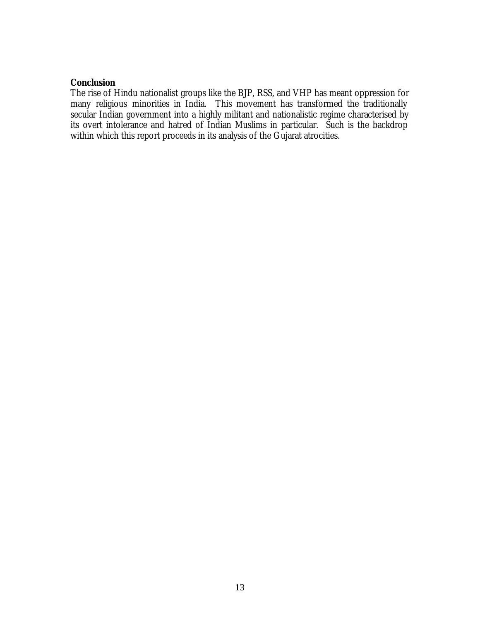## *Conclusion*

The rise of Hindu nationalist groups like the BJP, RSS, and VHP has meant oppression for many religious minorities in India. This movement has transformed the traditionally secular Indian government into a highly militant and nationalistic regime characterised by its overt intolerance and hatred of Indian Muslims in particular. Such is the backdrop within which this report proceeds in its analysis of the Gujarat atrocities.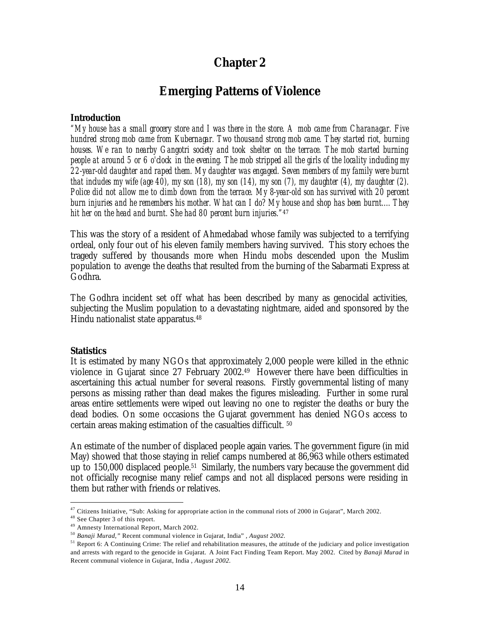# **Chapter 2**

# *Emerging Patterns of Violence*

#### *Introduction*

*"My house has a small grocery store and I was there in the store. A mob came from Charanagar. Five hundred strong mob came from Kubernagar. Two thousand strong mob came. They started riot, burning houses. We ran to nearby Gangotri society and took shelter on the terrace. The mob started burning people at around 5 or 6 o'clock in the evening. The mob stripped all the girls of the locality including my 22-year-old daughter and raped them. My daughter was engaged. Seven members of my family were burnt that includes my wife (age 40), my son (18), my son (14), my son (7), my daughter (4), my daughter (2). Police did not allow me to climb down from the terrace. My 8-year-old son has survived with 20 percent burn injuries and he remembers his mother. What can I do? My house and shop has been burnt.... They hit her on the head and burnt. She had 80 percent burn injuries."*<sup>47</sup>

This was the story of a resident of Ahmedabad whose family was subjected to a terrifying ordeal, only four out of his eleven family members having survived. This story echoes the tragedy suffered by thousands more when Hindu mobs descended upon the Muslim population to avenge the deaths that resulted from the burning of the Sabarmati Express at Godhra.

The Godhra incident set off what has been described by many as genocidal activities, subjecting the Muslim population to a devastating nightmare, aided and sponsored by the Hindu nationalist state apparatus.<sup>48</sup>

#### *Statistics*

It is estimated by many NGOs that approximately 2,000 people were killed in the ethnic violence in Gujarat since 27 February 2002.49 However there have been difficulties in ascertaining this actual number for several reasons. Firstly governmental listing of many persons as missing rather than dead makes the figures misleading. Further in some rural areas entire settlements were wiped out leaving no one to register the deaths or bury the dead bodies. On some occasions the Gujarat government has denied NGOs access to certain areas making estimation of the casualties difficult. <sup>50</sup>

An estimate of the number of displaced people again varies. The government figure (in mid May) showed that those staying in relief camps numbered at 86,963 while others estimated up to 150,000 displaced people.51 Similarly, the numbers vary because the government did not officially recognise many relief camps and not all displaced persons were residing in them but rather with friends or relatives.

 $47$  Citizens Initiative, "Sub: Asking for appropriate action in the communal riots of 2000 in Gujarat", March 2002.

<sup>48</sup> See Chapter 3 of this report.

<sup>49</sup> Amnesty International Report, March 2002.

<sup>50</sup> *Banaji Murad,"* Recent communal violence in Gujarat, India" *, August 2002.*

<sup>&</sup>lt;sup>51</sup> Report 6: A Continuing Crime: The relief and rehabilitation measures, the attitude of the judiciary and police investigation and arrests with regard to the genocide in Gujarat. A Joint Fact Finding Team Report. May 2002. Cited by *Banaji Murad* in Recent communal violence in Gujarat, India *, August 2002.*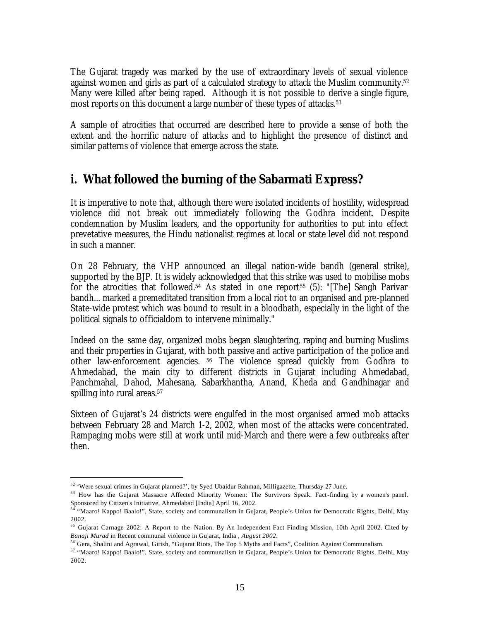The Gujarat tragedy was marked by the use of extraordinary levels of sexual violence against women and girls as part of a calculated strategy to attack the Muslim community.<sup>52</sup> Many were killed after being raped. Although it is not possible to derive a single figure, most reports on this document a large number of these types of attacks.<sup>53</sup>

A sample of atrocities that occurred are described here to provide a sense of both the extent and the horrific nature of attacks and to highlight the presence of distinct and similar patterns of violence that emerge across the state.

# **i. What followed the burning of the Sabarmati Express?**

It is imperative to note that, although there were isolated incidents of hostility, widespread violence did not break out immediately following the Godhra incident. Despite condemnation by Muslim leaders, and the opportunity for authorities to put into effect prevetative measures, the Hindu nationalist regimes at local or state level did not respond in such a manner.

On 28 February, the VHP announced an illegal nation-wide bandh (general strike), supported by the BJP. It is widely acknowledged that this strike was used to mobilise mobs for the atrocities that followed.<sup>54</sup> As stated in one report<sup>55</sup> (5): "[The] Sangh Parivar bandh... marked a premeditated transition from a local riot to an organised and pre-planned State-wide protest which was bound to result in a bloodbath, especially in the light of the political signals to officialdom to intervene minimally."

Indeed on the same day, organized mobs began slaughtering, raping and burning Muslims and their properties in Gujarat, with both passive and active participation of the police and other law-enforcement agencies. <sup>56</sup> The violence spread quickly from Godhra to Ahmedabad, the main city to different districts in Gujarat including Ahmedabad, Panchmahal, Dahod, Mahesana, Sabarkhantha, Anand, Kheda and Gandhinagar and spilling into rural areas.<sup>57</sup>

Sixteen of Gujarat's 24 districts were engulfed in the most organised armed mob attacks between February 28 and March 1-2, 2002, when most of the attacks were concentrated. Rampaging mobs were still at work until mid-March and there were a few outbreaks after then.

<sup>52</sup> 'Were sexual crimes in Gujarat planned?', by Syed Ubaidur Rahman, Milligazette, Thursday 27 June.

<sup>53</sup> How has the Gujarat Massacre Affected Minority Women: The Survivors Speak. Fact-finding by a women's panel. Sponsored by Citizen's Initiative, Ahmedabad [India] April 16, 2002.

<sup>54</sup> "Maaro! Kappo! Baalo!", State, society and communalism in Gujarat, People's Union for Democratic Rights, Delhi, May 2002.

<sup>&</sup>lt;sup>55</sup> Gujarat Carnage 2002: A Report to the Nation. By An Independent Fact Finding Mission, 10th April 2002. Cited by *Banaji Murad* in Recent communal violence in Gujarat, India *, August 2002.*

<sup>56</sup> Gera, Shalini and Agrawal, Girish, "Gujarat Riots, The Top 5 Myths and Facts", Coalition Against Communalism.

<sup>57</sup> "Maaro! Kappo! Baalo!", State, society and communalism in Gujarat, People's Union for Democratic Rights, Delhi, May 2002.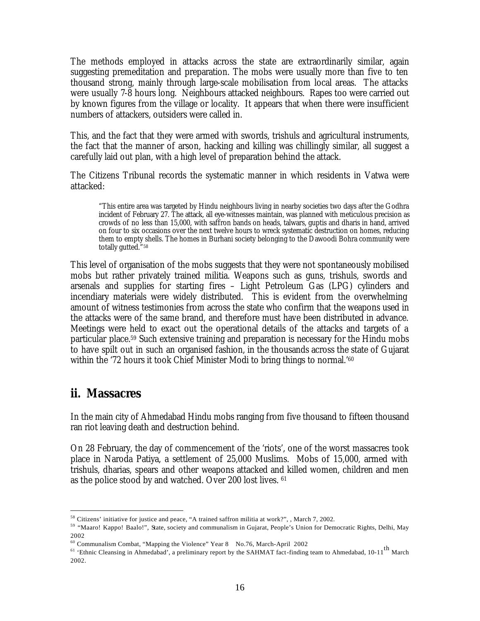The methods employed in attacks across the state are extraordinarily similar, again suggesting premeditation and preparation. The mobs were usually more than five to ten thousand strong, mainly through large-scale mobilisation from local areas. The attacks were usually 7-8 hours long. Neighbours attacked neighbours. Rapes too were carried out by known figures from the village or locality. It appears that when there were insufficient numbers of attackers, outsiders were called in.

This, and the fact that they were armed with swords, trishuls and agricultural instruments, the fact that the manner of arson, hacking and killing was chillingly similar, all suggest a carefully laid out plan, with a high level of preparation behind the attack.

The Citizens Tribunal records the systematic manner in which residents in Vatwa were attacked:

"This entire area was targeted by Hindu neighbours living in nearby societies two days after the Godhra incident of February 27. The attack, all eye-witnesses maintain, was planned with meticulous precision as crowds of no less than 15,000, with saffron bands on heads, talwars, guptis and dharis in hand, arrived on four to six occasions over the next twelve hours to wreck systematic destruction on homes, reducing them to empty shells. The homes in Burhani society belonging to the Dawoodi Bohra community were totally gutted."<sup>58</sup>

This level of organisation of the mobs suggests that they were not spontaneously mobilised mobs but rather privately trained militia. Weapons such as guns, trishuls, swords and arsenals and supplies for starting fires – Light Petroleum Gas (LPG) cylinders and incendiary materials were widely distributed. This is evident from the overwhelming amount of witness testimonies from across the state who confirm that the weapons used in the attacks were of the same brand, and therefore must have been distributed in advance. Meetings were held to exact out the operational details of the attacks and targets of a particular place.59 Such extensive training and preparation is necessary for the Hindu mobs to have spilt out in such an organised fashion, in the thousands across the state of Gujarat within the '72 hours it took Chief Minister Modi to bring things to normal.'<sup>60</sup>

# **ii. Massacres**

 $\overline{a}$ 

In the main city of Ahmedabad Hindu mobs ranging from five thousand to fifteen thousand ran riot leaving death and destruction behind.

On 28 February, the day of commencement of the 'riots', one of the worst massacres took place in Naroda Patiya, a settlement of 25,000 Muslims. Mobs of 15,000, armed with trishuls, dharias, spears and other weapons attacked and killed women, children and men as the police stood by and watched. Over 200 lost lives. <sup>61</sup>

<sup>58</sup> Citizens' initiative for justice and peace, "A trained saffron militia at work?", , March 7, 2002.

<sup>59</sup> "Maaro! Kappo! Baalo!", State, society and communalism in Gujarat, People's Union for Democratic Rights, Delhi, May 2002

<sup>60</sup> Communalism Combat, "Mapping the Violence" Year 8 No.76, March-April 2002

<sup>&</sup>lt;sup>61</sup> 'Ethnic Cleansing in Ahmedabad', a preliminary report by the SAHMAT fact-finding team to Ahmedabad, 10-11<sup>th</sup> March 2002.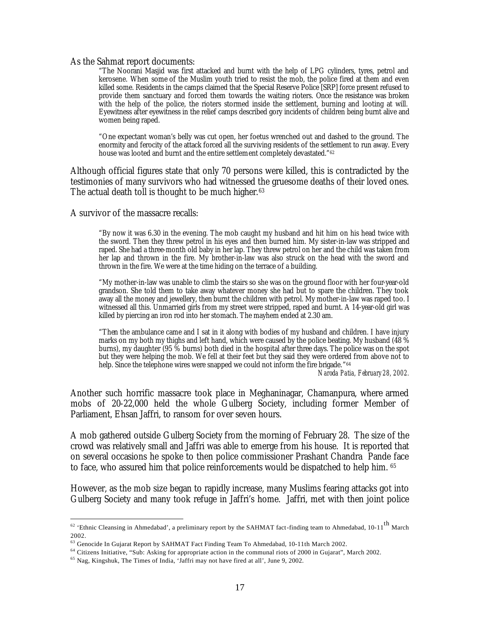#### As the Sahmat report documents:

"The Noorani Masjid was first attacked and burnt with the help of LPG cylinders, tyres, petrol and kerosene. When some of the Muslim youth tried to resist the mob, the police fired at them and even killed some. Residents in the camps claimed that the Special Reserve Police [SRP] force present refused to provide them sanctuary and forced them towards the waiting rioters. Once the resistance was broken with the help of the police, the rioters stormed inside the settlement, burning and looting at will. Eyewitness after eyewitness in the relief camps described gory incidents of children being burnt alive and women being raped.

"One expectant woman's belly was cut open, her foetus wrenched out and dashed to the ground. The enormity and ferocity of the attack forced all the surviving residents of the settlement to run away. Every house was looted and burnt and the entire settlement completely devastated."<sup>62</sup>

Although official figures state that only 70 persons were killed, this is contradicted by the testimonies of many survivors who had witnessed the gruesome deaths of their loved ones. The actual death toll is thought to be much higher.<sup>63</sup>

A survivor of the massacre recalls:

 $\overline{a}$ 

"By now it was 6.30 in the evening. The mob caught my husband and hit him on his head twice with the sword. Then they threw petrol in his eyes and then burned him. My sister-in-law was stripped and raped. She had a three-month old baby in her lap. They threw petrol on her and the child was taken from her lap and thrown in the fire. My brother-in-law was also struck on the head with the sword and thrown in the fire. We were at the time hiding on the terrace of a building.

"My mother-in-law was unable to climb the stairs so she was on the ground floor with her four-year-old grandson. She told them to take away whatever money she had but to spare the children. They took away all the money and jewellery, then burnt the children with petrol. My mother-in-law was raped too. I witnessed all this. Unmarried girls from my street were stripped, raped and burnt. A 14-year-old girl was killed by piercing an iron rod into her stomach. The mayhem ended at 2.30 am.

"Then the ambulance came and I sat in it along with bodies of my husband and children. I have injury marks on my both my thighs and left hand, which were caused by the police beating. My husband (48  $\%$ burns), my daughter (95 % burns) both died in the hospital after three days. The police was on the spot but they were helping the mob. We fell at their feet but they said they were ordered from above not to help. Since the telephone wires were snapped we could not inform the fire brigade." 64

*Naroda Patia, February 28, 2002.*

Another such horrific massacre took place in Meghaninagar, Chamanpura, where armed mobs of 20-22,000 held the whole Gulberg Society, including former Member of Parliament, Ehsan Jaffri, to ransom for over seven hours.

A mob gathered outside Gulberg Society from the morning of February 28. The size of the crowd was relatively small and Jaffri was able to emerge from his house. It is reported that on several occasions he spoke to then police commissioner Prashant Chandra Pande face to face, who assured him that police reinforcements would be dispatched to help him. <sup>65</sup>

However, as the mob size began to rapidly increase, many Muslims fearing attacks got into Gulberg Society and many took refuge in Jaffri's home. Jaffri, met with then joint police

<sup>&</sup>lt;sup>62</sup> 'Ethnic Cleansing in Ahmedabad', a preliminary report by the SAHMAT fact-finding team to Ahmedabad, 10-11<sup>th</sup> March 2002.

<sup>63</sup> Genocide In Gujarat Report by SAHMAT Fact Finding Team To Ahmedabad, 10-11th March 2002.

<sup>&</sup>lt;sup>64</sup> Citizens Initiative, "Sub: Asking for appropriate action in the communal riots of 2000 in Gujarat", March 2002.

<sup>65</sup> Nag, Kingshuk, The Times of India, 'Jaffri may not have fired at all', June 9, 2002.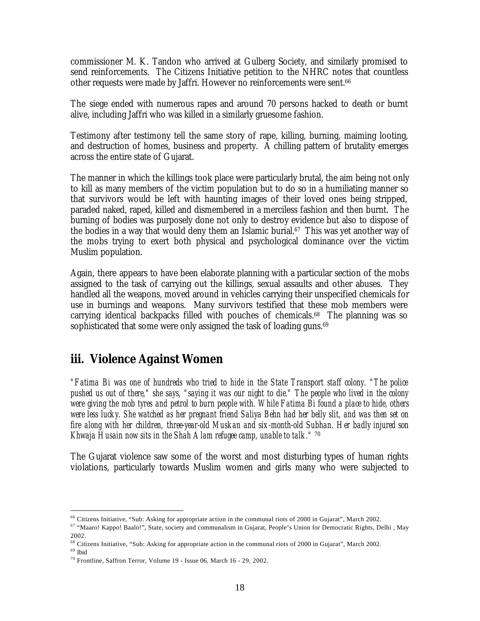commissioner M. K. Tandon who arrived at Gulberg Society, and similarly promised to send reinforcements. The Citizens Initiative petition to the NHRC notes that countless other requests were made by Jaffri. However no reinforcements were sent.<sup>66</sup>

The siege ended with numerous rapes and around 70 persons hacked to death or burnt alive, including Jaffri who was killed in a similarly gruesome fashion.

Testimony after testimony tell the same story of rape, killing, burning, maiming looting, and destruction of homes, business and property. A chilling pattern of brutality emerges across the entire state of Gujarat.

The manner in which the killings took place were particularly brutal, the aim being not only to kill as many members of the victim population but to do so in a humiliating manner so that survivors would be left with haunting images of their loved ones being stripped, paraded naked, raped, killed and dismembered in a merciless fashion and then burnt. The burning of bodies was purposely done not only to destroy evidence but also to dispose of the bodies in a way that would deny them an Islamic burial.<sup>67</sup> This was yet another way of the mobs trying to exert both physical and psychological dominance over the victim Muslim population.

Again, there appears to have been elaborate planning with a particular section of the mobs assigned to the task of carrying out the killings, sexual assaults and other abuses. They handled all the weapons, moved around in vehicles carrying their unspecified chemicals for use in burnings and weapons. Many survivors testified that these mob members were carrying identical backpacks filled with pouches of chemicals.68 The planning was so sophisticated that some were only assigned the task of loading guns. $^{69}$ 

# **iii. Violence Against Women**

*"Fatima Bi was one of hundreds who tried to hide in the State Transport staff colony. "The police pushed us out of there," she says, "saying it was our night to die." The people who lived in the colony were giving the mob tyres and petrol to burn people with. While Fatima Bi found a place to hide, others were less lucky. She watched as her pregnant friend Saliya Behn had her belly slit, and was then set on fire along with her children, three-year-old Muskan and six-month-old Subhan. Her badly injured son Khwaja Husain now sits in the Shah Alam refugee camp, unable to talk."* <sup>70</sup>

The Gujarat violence saw some of the worst and most disturbing types of human rights violations, particularly towards Muslim women and girls many who were subjected to

<sup>66</sup> Citizens Initiative, "Sub: Asking for appropriate action in the communal riots of 2000 in Gujarat", March 2002.

<sup>67</sup> "Maaro! Kappo! Baalo!", State, society and communalism in Gujarat, People's Union for Democratic Rights, Delhi , May 2002.

<sup>68</sup> Citizens Initiative, "Sub: Asking for appropriate action in the communal riots of 2000 in Gujarat", March 2002.

 $^{69}$ Ibid

<sup>70</sup> Frontline, Saffron Terror, Volume 19 - Issue 06, March 16 - 29, 2002.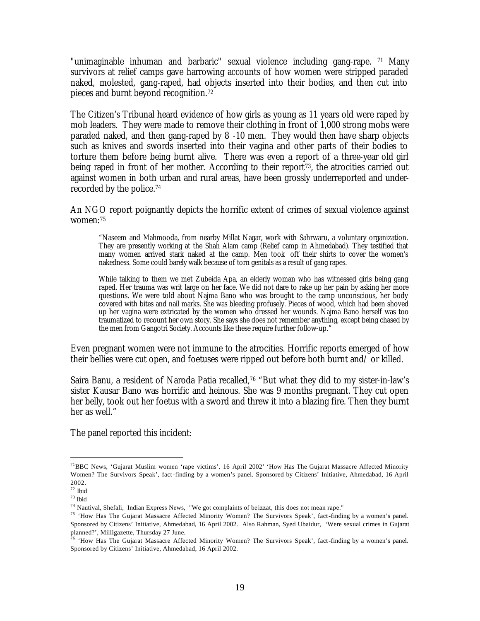"unimaginable inhuman and barbaric" sexual violence including gang-rape. <sup>71</sup> Many survivors at relief camps gave harrowing accounts of how women were stripped paraded naked, molested, gang-raped, had objects inserted into their bodies, and then cut into pieces and burnt beyond recognition. 72

The Citizen's Tribunal heard evidence of how girls as young as 11 years old were raped by mob leaders. They were made to remove their clothing in front of 1,000 strong mobs were paraded naked, and then gang-raped by 8 -10 men. They would then have sharp objects such as knives and swords inserted into their vagina and other parts of their bodies to torture them before being burnt alive. There was even a report of a three-year old girl being raped in front of her mother. According to their report<sup> $73$ </sup>, the atrocities carried out against women in both urban and rural areas, have been grossly underreported and underrecorded by the police.<sup>74</sup>

An NGO report poignantly depicts the horrific extent of crimes of sexual violence against women:<sup>75</sup>

"Naseem and Mahmooda, from nearby Millat Nagar, work with Sahrwaru, a voluntary organization. They are presently working at the Shah Alam camp (Relief camp in Ahmedabad). They testified that many women arrived stark naked at the camp. Men took off their shirts to cover the women's nakedness. Some could barely walk because of torn genitals as a result of gang rapes.

While talking to them we met Zubeida Apa, an elderly woman who has witnessed girls being gang raped. Her trauma was writ large on her face. We did not dare to rake up her pain by asking her more questions. We were told about Najma Bano who was brought to the camp unconscious, her body covered with bites and nail marks. She was bleeding profusely. Pieces of wood, which had been shoved up her vagina were extricated by the women who dressed her wounds. Najma Bano herself was too traumatized to recount her own story. She says she does not remember anything, except being chased by the men from Gangotri Society. Accounts like these require further follow-up."

Even pregnant women were not immune to the atrocities. Horrific reports emerged of how their bellies were cut open, and foetuses were ripped out before both burnt and/ or killed.

Saira Banu, a resident of Naroda Patia recalled,<sup>76</sup> "But what they did to my sister-in-law's sister Kausar Bano was horrific and heinous. She was 9 months pregnant. They cut open her belly, took out her foetus with a sword and threw it into a blazing fire. Then they burnt her as well."

The panel reported this incident:

<sup>&</sup>lt;sup>71</sup>BBC News, 'Gujarat Muslim women 'rape victims'. 16 April 2002' 'How Has The Gujarat Massacre Affected Minority Women? The Survivors Speak', fact-finding by a women's panel. Sponsored by Citizens' Initiative, Ahmedabad, 16 April 2002.

<sup>72</sup> Ibid

<sup>73</sup> Ibid

<sup>74</sup> Nautival, Shefali, Indian Express News, "We got complaints of beizzat, this does not mean rape."

<sup>&</sup>lt;sup>75</sup> 'How Has The Gujarat Massacre Affected Minority Women? The Survivors Speak', fact-finding by a women's panel. Sponsored by Citizens' Initiative, Ahmedabad, 16 April 2002. Also Rahman, Syed Ubaidur, 'Were sexual crimes in Gujarat planned?', Milligazette, Thursday 27 June.

 $76$  'How Has The Gujarat Massacre Affected Minority Women? The Survivors Speak', fact-finding by a women's panel. Sponsored by Citizens' Initiative, Ahmedabad, 16 April 2002.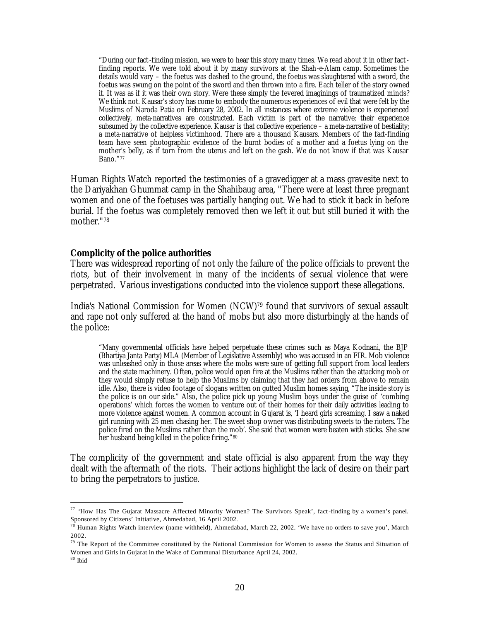"During our fact-finding mission, we were to hear this story many times. We read about it in other fact finding reports. We were told about it by many survivors at the Shah-e-Alam camp. Sometimes the details would vary – the foetus was dashed to the ground, the foetus was slaughtered with a sword, the foetus was swung on the point of the sword and then thrown into a fire. Each teller of the story owned it. It was as if it was their own story. Were these simply the fevered imaginings of traumatized minds? We think not. Kausar's story has come to embody the numerous experiences of evil that were felt by the Muslims of Naroda Patia on February 28, 2002. In all instances where extreme violence is experienced collectively, meta-narratives are constructed. Each victim is part of the narrative; their experience subsumed by the collective experience. Kausar is that collective experience – a meta-narrative of bestiality; a meta-narrative of helpless victimhood. There are a thousand Kausars. Members of the fact-finding team have seen photographic evidence of the burnt bodies of a mother and a foetus lying on the mother's belly, as if torn from the uterus and left on the gash. We do not know if that was Kausar Bano."<sup>77</sup>

Human Rights Watch reported the testimonies of a gravedigger at a mass gravesite next to the Dariyakhan Ghummat camp in the Shahibaug area, "There were at least three pregnant women and one of the foetuses was partially hanging out. We had to stick it back in before burial. If the foetus was completely removed then we left it out but still buried it with the mother."<sup>78</sup>

#### *Complicity of the police authorities*

There was widespread reporting of not only the failure of the police officials to prevent the riots, but of their involvement in many of the incidents of sexual violence that were perpetrated. Various investigations conducted into the violence support these allegations.

India's National Commission for Women (NCW)79 found that survivors of sexual assault and rape not only suffered at the hand of mobs but also more disturbingly at the hands of the police:

"Many governmental officials have helped perpetuate these crimes such as Maya Kodnani, the BJP (Bhartiya Janta Party) MLA (Member of Legislative Assembly) who was accused in an FIR. Mob violence was unleashed only in those areas where the mobs were sure of getting full support from local leaders and the state machinery. Often, police would open fire at the Muslims rather than the attacking mob or they would simply refuse to help the Muslims by claiming that they had orders from above to remain idle. Also, there is video footage of slogans written on gutted Muslim homes saying, "The inside story is the police is on our side." Also, the police pick up young Muslim boys under the guise of 'combing operations' which forces the women to venture out of their homes for their daily activities leading to more violence against women. A common account in Gujarat is, 'I heard girls screaming. I saw a naked girl running with 25 men chasing her. The sweet shop owner was distributing sweets to the rioters. The police fired on the Muslims rather than the mob'. She said that women were beaten with sticks. She saw her husband being killed in the police firing."<sup>80</sup>

The complicity of the government and state official is also apparent from the way they dealt with the aftermath of the riots. Their actions highlight the lack of desire on their part to bring the perpetrators to justice.

<sup>77</sup> 'How Has The Gujarat Massacre Affected Minority Women? The Survivors Speak', fact-finding by a women's panel. Sponsored by Citizens' Initiative, Ahmedabad, 16 April 2002.

 $^{78}$  Human Rights Watch interview (name withheld), Ahmedabad, March 22, 2002. 'We have no orders to save you', March 2002.

 $79$  The Report of the Committee constituted by the National Commission for Women to assess the Status and Situation of Women and Girls in Gujarat in the Wake of Communal Disturbance April 24, 2002.

 $^{\,80}$ Ibid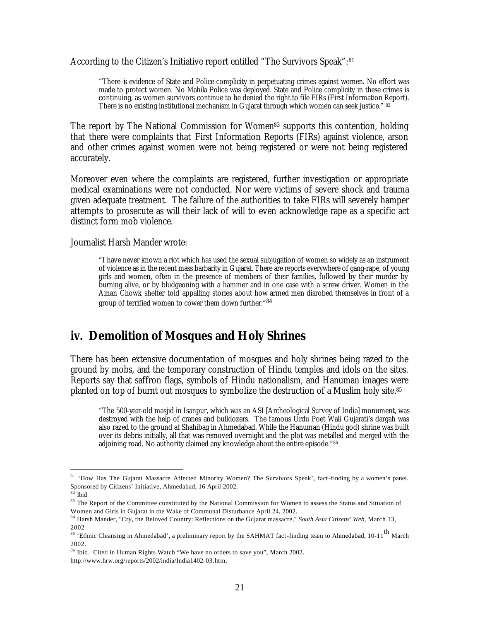According to the Citizen's Initiative report entitled "The Survivors Speak":<sup>81</sup>

"There is evidence of State and Police complicity in perpetuating crimes against women. No effort was made to protect women. No Mahila Police was deployed. State and Police complicity in these crimes is continuing, as women survivors continue to be denied the right to file FIRs (First Information Report). There is no existing institutional mechanism in Gujarat through which women can seek justice." <sup>82</sup>

The report by The National Commission for Women<sup>83</sup> supports this contention, holding that there were complaints that First Information Reports (FIRs) against violence, arson and other crimes against women were not being registered or were not being registered accurately.

Moreover even where the complaints are registered, further investigation or appropriate medical examinations were not conducted. Nor were victims of severe shock and trauma given adequate treatment. The failure of the authorities to take FIRs will severely hamper attempts to prosecute as will their lack of will to even acknowledge rape as a specific act distinct form mob violence.

Journalist Harsh Mander wrote:

"I have never known a riot which has used the sexual subjugation of women so widely as an instrument of violence as in the recent mass barbarity in Gujarat. There are reports everywhere of gang-rape, of young girls and women, often in the presence of members of their families, followed by their murder by burning alive, or by bludgeoning with a hammer and in one case with a screw driver. Women in the Aman Chowk shelter told appalling stories about how armed men disrobed themselves in front of a group of terrified women to cower them down further."<sup>84</sup>

# **iv. Demolition of Mosques and Holy Shrines**

There has been extensive documentation of mosques and holy shrines being razed to the ground by mobs, and the temporary construction of Hindu temples and idols on the sites. Reports say that saffron flags, symbols of Hindu nationalism, and Hanuman images were planted on top of burnt out mosques to symbolize the destruction of a Muslim holy site.<sup>85</sup>

"The 500-year-old masjid in Isanpur, which was an ASI [Archeological Survey of India] monument, was destroyed with the help of cranes and bulldozers. The famous Urdu Poet Wali Gujarati's dargah was also razed to the ground at Shahibag in Ahmedabad. While the Hanuman (Hindu god) shrine was built over its debris initially, all that was removed overnight and the plot was metalled and merged with the adjoining road. No authority claimed any knowledge about the entire episode."86

<sup>&</sup>lt;sup>81</sup> 'How Has The Gujarat Massacre Affected Minority Women? The Survivors Speak', fact-finding by a women's panel. Sponsored by Citizens' Initiative, Ahmedabad, 16 April 2002.

 $82$ Ibid

<sup>83</sup> The Report of the Committee constituted by the National Commission for Women to assess the Status and Situation of Women and Girls in Gujarat in the Wake of Communal Disturbance April 24, 2002.

<sup>84</sup> Harsh Mander, "Cry, the Beloved Country: Reflections on the Gujarat massacre," *South Asia Citizens' Web*, March 13, 2002

<sup>&</sup>lt;sup>85</sup> 'Ethnic Cleansing in Ahmedabad', a preliminary report by the SAHMAT fact-finding team to Ahmedabad, 10-11<sup>th</sup> March 2002.

<sup>86</sup> Ibid. Cited in Human Rights Watch "We have no orders to save you", March 2002.

http://www.hrw.org/reports/2002/india/India1402-03.htm.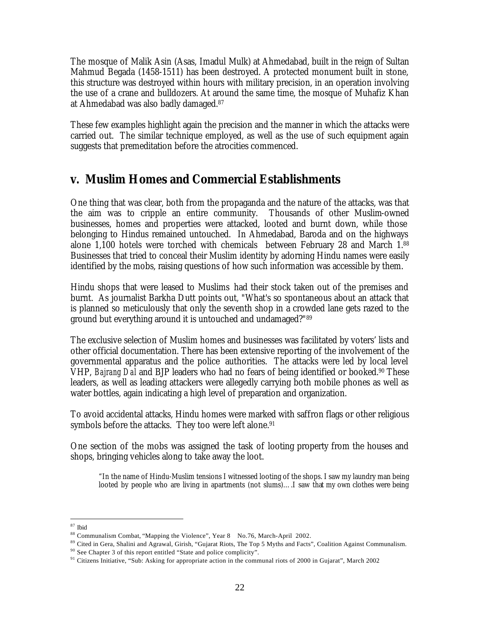The mosque of Malik Asin (Asas, Imadul Mulk) at Ahmedabad, built in the reign of Sultan Mahmud Begada (1458-1511) has been destroyed. A protected monument built in stone, this structure was destroyed within hours with military precision, in an operation involving the use of a crane and bulldozers. At around the same time, the mosque of Muhafiz Khan at Ahmedabad was also badly damaged.<sup>87</sup>

These few examples highlight again the precision and the manner in which the attacks were carried out. The similar technique employed, as well as the use of such equipment again suggests that premeditation before the atrocities commenced.

# **v. Muslim Homes and Commercial Establishments**

One thing that was clear, both from the propaganda and the nature of the attacks, was that the aim was to cripple an entire community. Thousands of other Muslim-owned businesses, homes and properties were attacked, looted and burnt down, while those belonging to Hindus remained untouched. In Ahmedabad, Baroda and on the highways alone 1,100 hotels were torched with chemicals between February 28 and March 1.<sup>88</sup> Businesses that tried to conceal their Muslim identity by adorning Hindu names were easily identified by the mobs, raising questions of how such information was accessible by them.

Hindu shops that were leased to Muslims had their stock taken out of the premises and burnt. As journalist Barkha Dutt points out, "What's so spontaneous about an attack that is planned so meticulously that only the seventh shop in a crowded lane gets razed to the ground but everything around it is untouched and undamaged?"<sup>89</sup>

The exclusive selection of Muslim homes and businesses was facilitated by voters' lists and other official documentation. There has been extensive reporting of the involvement of the governmental apparatus and the police authorities. The attacks were led by local level VHP, *Bajrang Dal* and BJP leaders who had no fears of being identified or booked.90 These leaders, as well as leading attackers were allegedly carrying both mobile phones as well as water bottles, again indicating a high level of preparation and organization.

To avoid accidental attacks, Hindu homes were marked with saffron flags or other religious symbols before the attacks. They too were left alone.<sup>91</sup>

One section of the mobs was assigned the task of looting property from the houses and shops, bringing vehicles along to take away the loot.

"In the name of Hindu-Muslim tensions I witnessed looting of the shops. I saw my laundry man being looted by people who are living in apartments (not slums)….I saw that my own clothes were being

 $\overline{a}$ <sup>87</sup> Ibid

<sup>88</sup> Communalism Combat, "Mapping the Violence", Year 8 No.76, March-April 2002.

<sup>89</sup> Cited in Gera, Shalini and Agrawal, Girish, "Gujarat Riots, The Top 5 Myths and Facts", Coalition Against Communalism. <sup>90</sup> See Chapter 3 of this report entitled "State and police complicity".

<sup>&</sup>lt;sup>91</sup> Citizens Initiative, "Sub: Asking for appropriate action in the communal riots of 2000 in Gujarat", March 2002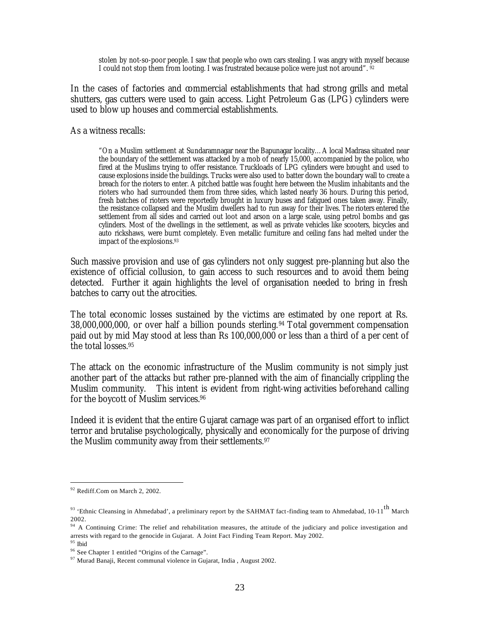stolen by not-so-poor people. I saw that people who own cars stealing. I was angry with myself because I could not stop them from looting. I was frustrated because police were just not around". 92

In the cases of factories and commercial establishments that had strong grills and metal shutters, gas cutters were used to gain access. Light Petroleum Gas (LPG) cylinders were used to blow up houses and commercial establishments.

As a witness recalls:

"On a Muslim settlement at Sundaramnagar near the Bapunagar locality…A local Madrasa situated near the boundary of the settlement was attacked by a mob of nearly 15,000, accompanied by the police, who fired at the Muslims trying to offer resistance. Truckloads of LPG cylinders were brought and used to cause explosions inside the buildings. Trucks were also used to batter down the boundary wall to create a breach for the rioters to enter. A pitched battle was fought here between the Muslim inhabitants and the rioters who had surrounded them from three sides, which lasted nearly 36 hours. During this period, fresh batches of rioters were reportedly brought in luxury buses and fatigued ones taken away. Finally, the resistance collapsed and the Muslim dwellers had to run away for their lives. The rioters entered the settlement from all sides and carried out loot and arson on a large scale, using petrol bombs and gas cylinders. Most of the dwellings in the settlement, as well as private vehicles like scooters, bicycles and auto rickshaws, were burnt completely. Even metallic furniture and ceiling fans had melted under the impact of the explosions.<sup>93</sup>

Such massive provision and use of gas cylinders not only suggest pre-planning but also the existence of official collusion, to gain access to such resources and to avoid them being detected. Further it again highlights the level of organisation needed to bring in fresh batches to carry out the atrocities.

The total economic losses sustained by the victims are estimated by one report at Rs. 38,000,000,000, or over half a billion pounds sterling.<sup>94</sup> Total government compensation paid out by mid May stood at less than Rs 100,000,000 or less than a third of a per cent of the total losses.<sup>95</sup>

The attack on the economic infrastructure of the Muslim community is not simply just another part of the attacks but rather pre-planned with the aim of financially crippling the Muslim community. This intent is evident from right-wing activities beforehand calling for the boycott of Muslim services.<sup>96</sup>

Indeed it is evident that the entire Gujarat carnage was part of an organised effort to inflict terror and brutalise psychologically, physically and economically for the purpose of driving the Muslim community away from their settlements.<sup>97</sup>

<sup>&</sup>lt;sup>92</sup> Rediff.Com on March 2, 2002.

<sup>&</sup>lt;sup>93</sup> 'Ethnic Cleansing in Ahmedabad', a preliminary report by the SAHMAT fact-finding team to Ahmedabad, 10-11<sup>th</sup> March 2002.

<sup>&</sup>lt;sup>94</sup> A Continuing Crime: The relief and rehabilitation measures, the attitude of the judiciary and police investigation and arrests with regard to the genocide in Gujarat. A Joint Fact Finding Team Report. May 2002. <sup>95</sup> Ibid

<sup>96</sup> See Chapter 1 entitled "Origins of the Carnage".

<sup>97</sup> Murad Banaji, Recent communal violence in Gujarat, India , August 2002.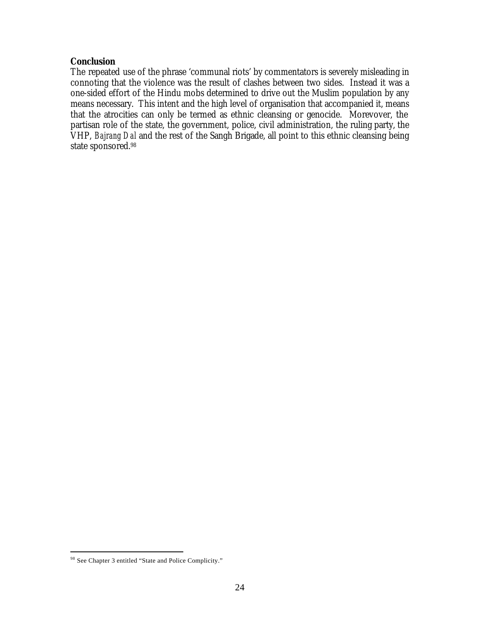## *Conclusion*

The repeated use of the phrase 'communal riots' by commentators is severely misleading in connoting that the violence was the result of clashes between two sides. Instead it was a one-sided effort of the Hindu mobs determined to drive out the Muslim population by any means necessary. This intent and the high level of organisation that accompanied it, means that the atrocities can only be termed as ethnic cleansing or genocide. Morevover, the partisan role of the state, the government, police, civil administration, the ruling party, the VHP, *Bajrang Dal* and the rest of the Sangh Brigade, all point to this ethnic cleansing being state sponsored.<sup>98</sup>

<sup>98</sup> See Chapter 3 entitled "State and Police Complicity."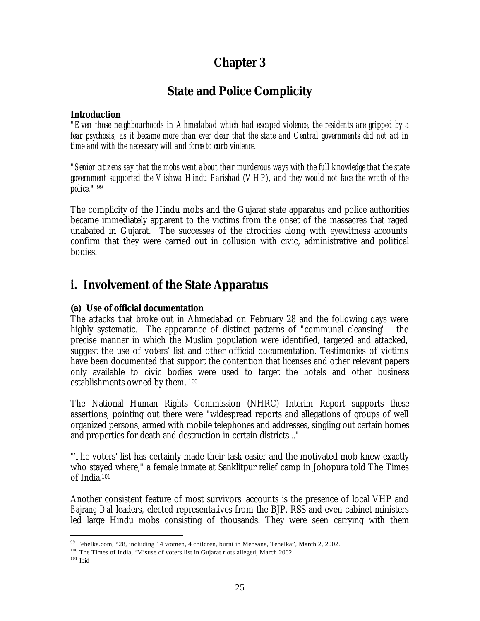# **Chapter 3**

# *State and Police Complicity*

## *Introduction*

*"Even those neighbourhoods in Ahmedabad which had escaped violence, the residents are gripped by a fear psychosis, as it became more than ever clear that the state and Central governments did not act in time and with the necessary will and force to curb violence.*

*"Senior citizens say that the mobs went about their murderous ways with the full knowledge that the state government supported the Vishwa Hindu Parishad (VHP), and they would not face the wrath of the police."* <sup>99</sup>

The complicity of the Hindu mobs and the Gujarat state apparatus and police authorities became immediately apparent to the victims from the onset of the massacres that raged unabated in Gujarat. The successes of the atrocities along with eyewitness accounts confirm that they were carried out in collusion with civic, administrative and political bodies.

# **i. Involvement of the State Apparatus**

# *(a) Use of official documentation*

The attacks that broke out in Ahmedabad on February 28 and the following days were highly systematic. The appearance of distinct patterns of "communal cleansing" - the precise manner in which the Muslim population were identified, targeted and attacked, suggest the use of voters' list and other official documentation. Testimonies of victims have been documented that support the contention that licenses and other relevant papers only available to civic bodies were used to target the hotels and other business establishments owned by them. <sup>100</sup>

The National Human Rights Commission (NHRC) Interim Report supports these assertions, pointing out there were "widespread reports and allegations of groups of well organized persons, armed with mobile telephones and addresses, singling out certain homes and properties for death and destruction in certain districts..."

"The voters' list has certainly made their task easier and the motivated mob knew exactly who stayed where," a female inmate at Sanklitpur relief camp in Johopura told The Times of India.<sup>101</sup>

Another consistent feature of most survivors' accounts is the presence of local VHP and *Bajrang Dal* leaders, elected representatives from the BJP, RSS and even cabinet ministers led large Hindu mobs consisting of thousands. They were seen carrying with them

<sup>99</sup> Tehelka.com, "28, including 14 women, 4 children, burnt in Mehsana, Tehelka", March 2, 2002.

<sup>&</sup>lt;sup>100</sup> The Times of India, 'Misuse of voters list in Gujarat riots alleged, March 2002.

 $^{101}$ Ibid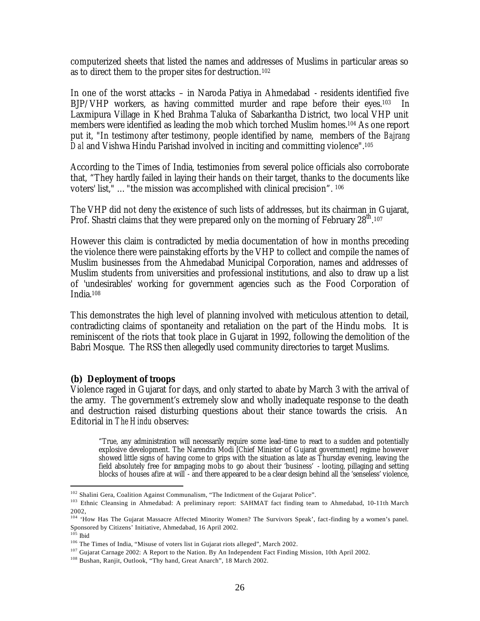computerized sheets that listed the names and addresses of Muslims in particular areas so as to direct them to the proper sites for destruction.<sup>102</sup>

In one of the worst attacks – in Naroda Patiya in Ahmedabad - residents identified five BJP/VHP workers, as having committed murder and rape before their eyes.103 In Laxmipura Village in Khed Brahma Taluka of Sabarkantha District, two local VHP unit members were identified as leading the mob which torched Muslim homes.<sup>104</sup> As one report put it, "In testimony after testimony, people identified by name, members of the *Bajrang Dal* and Vishwa Hindu Parishad involved in inciting and committing violence".<sup>105</sup>

According to the Times of India, testimonies from several police officials also corroborate that, "They hardly failed in laying their hands on their target, thanks to the documents like voters' list," …"the mission was accomplished with clinical precision". <sup>106</sup>

The VHP did not deny the existence of such lists of addresses, but its chairman in Gujarat, Prof. Shastri claims that they were prepared only on the morning of February  $28^{\text{th}}$  107

However this claim is contradicted by media documentation of how in months preceding the violence there were painstaking efforts by the VHP to collect and compile the names of Muslim businesses from the Ahmedabad Municipal Corporation, names and addresses of Muslim students from universities and professional institutions, and also to draw up a list of 'undesirables' working for government agencies such as the Food Corporation of India.<sup>108</sup>

This demonstrates the high level of planning involved with meticulous attention to detail, contradicting claims of spontaneity and retaliation on the part of the Hindu mobs. It is reminiscent of the riots that took place in Gujarat in 1992, following the demolition of the Babri Mosque. The RSS then allegedly used community directories to target Muslims.

### *(b) Deployment of troops*

Violence raged in Gujarat for days, and only started to abate by March 3 with the arrival of the army. The government's extremely slow and wholly inadequate response to the death and destruction raised disturbing questions about their stance towards the crisis. An Editorial in *The Hindu* observes:

"True, any administration will necessarily require some lead-time to react to a sudden and potentially explosive development. The Narendra Modi [Chief Minister of Gujarat government] regime however showed little signs of having come to grips with the situation as late as Thursday evening, leaving the field absolutely free for rampaging mobs to go about their 'business' - looting, pillaging and setting blocks of houses afire at will - and there appeared to be a clear design behind all the 'senseless' violence,

<sup>102</sup> Shalini Gera, Coalition Against Communalism, "The Indictment of the Gujarat Police".

<sup>&</sup>lt;sup>103</sup> Ethnic Cleansing in Ahmedabad: A preliminary report: SAHMAT fact finding team to Ahmedabad, 10-11th March 2002,

<sup>104</sup> 'How Has The Gujarat Massacre Affected Minority Women? The Survivors Speak', fact-finding by a women's panel. Sponsored by Citizens' Initiative, Ahmedabad, 16 April 2002.

 $^{105}$  Ibid

<sup>106</sup> The Times of India, "Misuse of voters list in Gujarat riots alleged", March 2002.

<sup>&</sup>lt;sup>107</sup> Gujarat Carnage 2002: A Report to the Nation. By An Independent Fact Finding Mission, 10th April 2002.

<sup>108</sup> Bushan, Ranjit, Outlook, "Thy hand, Great Anarch", 18 March 2002.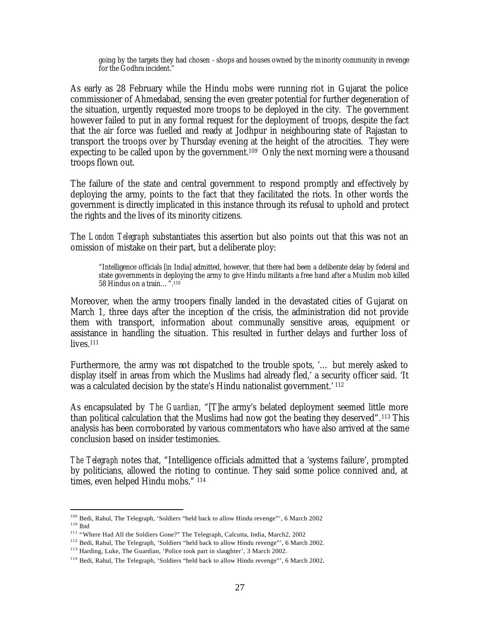going by the targets they had chosen - shops and houses owned by the minority community in revenge for the Godhra incident."

As early as 28 February while the Hindu mobs were running riot in Gujarat the police commissioner of Ahmedabad, sensing the even greater potential for further degeneration of the situation, urgently requested more troops to be deployed in the city. The government however failed to put in any formal request for the deployment of troops, despite the fact that the air force was fuelled and ready at Jodhpur in neighbouring state of Rajastan to transport the troops over by Thursday evening at the height of the atrocities. They were expecting to be called upon by the government.<sup>109</sup> Only the next morning were a thousand troops flown out.

The failure of the state and central government to respond promptly and effectively by deploying the army, points to the fact that they facilitated the riots. In other words the government is directly implicated in this instance through its refusal to uphold and protect the rights and the lives of its minority citizens.

The *London Telegraph* substantiates this assertion but also points out that this was not an omission of mistake on their part, but a deliberate ploy:

"Intelligence officials [in India] admitted, however, that there had been a deliberate delay by federal and state governments in deploying the army to give Hindu militants a free hand after a Muslim mob killed 58 Hindus on a train…".<sup>110</sup>

Moreover, when the army troopers finally landed in the devastated cities of Gujarat on March 1, three days after the inception of the crisis, the administration did not provide them with transport, information about communally sensitive areas, equipment or assistance in handling the situation. This resulted in further delays and further loss of lives.<sup>111</sup>

Furthermore, the army was not dispatched to the trouble spots, '… but merely asked to display itself in areas from which the Muslims had already fled,' a security officer said. 'It was a calculated decision by the state's Hindu nationalist government.<sup>' 112</sup>

As encapsulated by *The Guardian*, "[T]he army's belated deployment seemed little more than political calculation that the Muslims had now got the beating they deserved".113 This analysis has been corroborated by various commentators who have also arrived at the same conclusion based on insider testimonies.

*The Telegraph* notes that, "Intelligence officials admitted that a 'systems failure', prompted by politicians, allowed the rioting to continue. They said some police connived and, at times, even helped Hindu mobs." <sup>114</sup>

<sup>&</sup>lt;sup>109</sup> Bedi, Rahul, The Telegraph, 'Soldiers "held back to allow Hindu revenge"', 6 March 2002

 $^{110}$  Ibid

<sup>111</sup> "Where Had All the Soldiers Gone?" The Telegraph, Calcutta, India, March2, 2002

<sup>&</sup>lt;sup>112</sup> Bedi, Rahul, The Telegraph, 'Soldiers "held back to allow Hindu revenge"', 6 March 2002.

<sup>&</sup>lt;sup>113</sup> Harding, Luke, The Guardian, 'Police took part in slaughter', 3 March 2002.

<sup>114</sup> Bedi, Rahul, The Telegraph, 'Soldiers "held back to allow Hindu revenge"', 6 March 2002.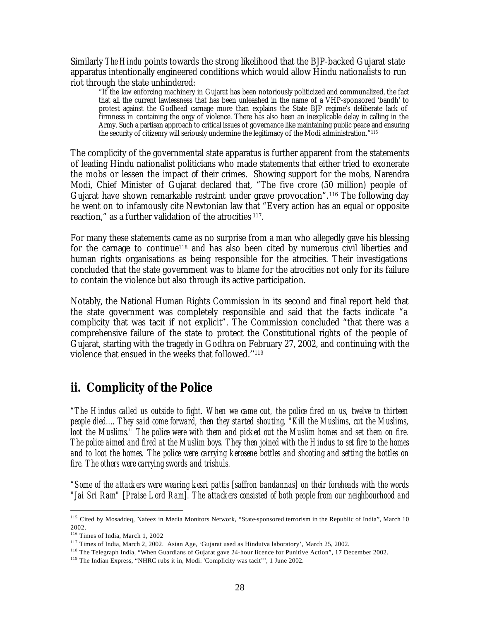Similarly *The Hindu* points towards the strong likelihood that the BJP-backed Gujarat state apparatus intentionally engineered conditions which would allow Hindu nationalists to run riot through the state unhindered:

"If the law enforcing machinery in Gujarat has been notoriously politicized and communalized, the fact that all the current lawlessness that has been unleashed in the name of a VHP-sponsored 'bandh' to protest against the Godhead carnage more than explains the State BJP regime's deliberate lack of firmness in containing the orgy of violence. There has also been an inexplicable delay in calling in the Army. Such a partisan approach to critical issues of governance like maintaining public peace and ensuring the security of citizenry will seriously undermine the legitimacy of the Modi administration."<sup>115</sup>

The complicity of the governmental state apparatus is further apparent from the statements of leading Hindu nationalist politicians who made statements that either tried to exonerate the mobs or lessen the impact of their crimes. Showing support for the mobs, Narendra Modi, Chief Minister of Gujarat declared that, "The five crore (50 million) people of Gujarat have shown remarkable restraint under grave provocation".116 The following day he went on to infamously cite Newtonian law that "Every action has an equal or opposite reaction," as a further validation of the atrocities <sup>117</sup> .

For many these statements came as no surprise from a man who allegedly gave his blessing for the carnage to continue<sup>118</sup> and has also been cited by numerous civil liberties and human rights organisations as being responsible for the atrocities. Their investigations concluded that the state government was to blame for the atrocities not only for its failure to contain the violence but also through its active participation.

Notably, the National Human Rights Commission in its second and final report held that the state government was completely responsible and said that the facts indicate "a complicity that was tacit if not explicit". The Commission concluded "that there was a comprehensive failure of the state to protect the Constitutional rights of the people of Gujarat, starting with the tragedy in Godhra on February 27, 2002, and continuing with the violence that ensued in the weeks that followed.''<sup>119</sup>

# **ii. Complicity of the Police**

*"The Hindus called us outside to fight. When we came out, the police fired on us, twelve to thirteen people died.... They said come forward, then they started shouting, "Kill the Muslims, cut the Muslims, loot the Muslims." The police were with them and picked out the Muslim homes and set them on fire. The police aimed and fired at the Muslim boys. They then joined with the Hindus to set fire to the homes and to loot the homes. The police were carrying kerosene bottles and shooting and setting the bottles on fire. The others were carrying swords and trishuls.* 

*"Some of the attackers were wearing kesri pattis [saffron bandannas] on their foreheads with the words "Jai Sri Ram" [Praise Lord Ram]. The attackers consisted of both people from our neighbourhood and* 

<sup>&</sup>lt;sup>115</sup> Cited by Mosaddeq, Nafeez in Media Monitors Network, "State-sponsored terrorism in the Republic of India", March 10 2002.

<sup>116</sup> Times of India, March 1, 2002

<sup>117</sup> Times of India, March 2, 2002. Asian Age, 'Gujarat used as Hindutva laboratory', March 25, 2002.

<sup>&</sup>lt;sup>118</sup> The Telegraph India, "When Guardians of Gujarat gave 24-hour licence for Punitive Action", 17 December 2002.

<sup>119</sup> The Indian Express, "NHRC rubs it in, Modi: 'Complicity was tacit'", 1 June 2002.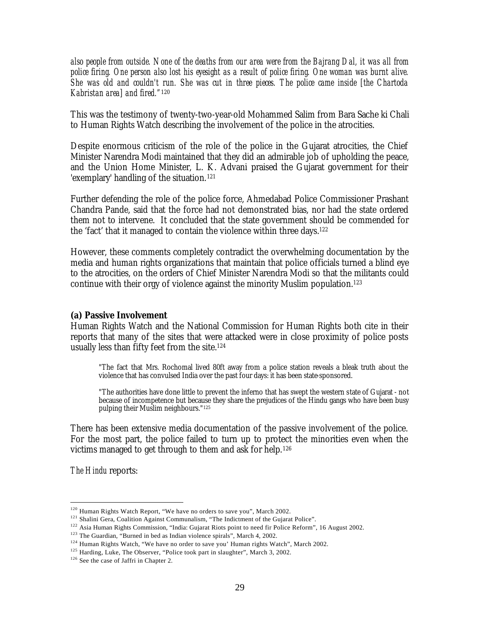*also people from outside. None of the deaths from our area were from the Bajrang Dal, it was all from police firing. One person also lost his eyesight as a result of police firing. One woman was burnt alive. She was old and couldn't run. She was cut in three pieces. The police came inside [the Chartoda Kabristan area] and fired."*<sup>120</sup>

This was the testimony of twenty-two-year-old Mohammed Salim from Bara Sache ki Chali to Human Rights Watch describing the involvement of the police in the atrocities.

Despite enormous criticism of the role of the police in the Gujarat atrocities, the Chief Minister Narendra Modi maintained that they did an admirable job of upholding the peace, and the Union Home Minister, L. K. Advani praised the Gujarat government for their 'exemplary' handling of the situation.<sup>121</sup>

Further defending the role of the police force, Ahmedabad Police Commissioner Prashant Chandra Pande, said that the force had not demonstrated bias, nor had the state ordered them not to intervene. It concluded that the state government should be commended for the 'fact' that it managed to contain the violence within three days.<sup>122</sup>

However, these comments completely contradict the overwhelming documentation by the media and human rights organizations that maintain that police officials turned a blind eye to the atrocities, on the orders of Chief Minister Narendra Modi so that the militants could continue with their orgy of violence against the minority Muslim population. 123

### *(a) Passive Involvement*

Human Rights Watch and the National Commission for Human Rights both cite in their reports that many of the sites that were attacked were in close proximity of police posts usually less than fifty feet from the site.<sup>124</sup>

"The fact that Mrs. Rochomal lived 80ft away from a police station reveals a bleak truth about the violence that has convulsed India over the past four days: it has been state-sponsored.

"The authorities have done little to prevent the inferno that has swept the western state of Gujarat - not because of incompetence but because they share the prejudices of the Hindu gangs who have been busy pulping their Muslim neighbours."<sup>125</sup>

There has been extensive media documentation of the passive involvement of the police. For the most part, the police failed to turn up to protect the minorities even when the victims managed to get through to them and ask for help.<sup>126</sup>

*The Hindu* reports:

 $120$  Human Rights Watch Report, "We have no orders to save you", March 2002.

<sup>&</sup>lt;sup>121</sup> Shalini Gera, Coalition Against Communalism, "The Indictment of the Gujarat Police".

<sup>&</sup>lt;sup>122</sup> Asia Human Rights Commission, "India: Gujarat Riots point to need fir Police Reform", 16 August 2002.

<sup>&</sup>lt;sup>123</sup> The Guardian, "Burned in bed as Indian violence spirals", March 4, 2002.

<sup>&</sup>lt;sup>124</sup> Human Rights Watch, "We have no order to save you' Human rights Watch", March 2002.

<sup>&</sup>lt;sup>125</sup> Harding, Luke, The Observer, "Police took part in slaughter", March 3, 2002.

<sup>&</sup>lt;sup>126</sup> See the case of Jaffri in Chapter 2.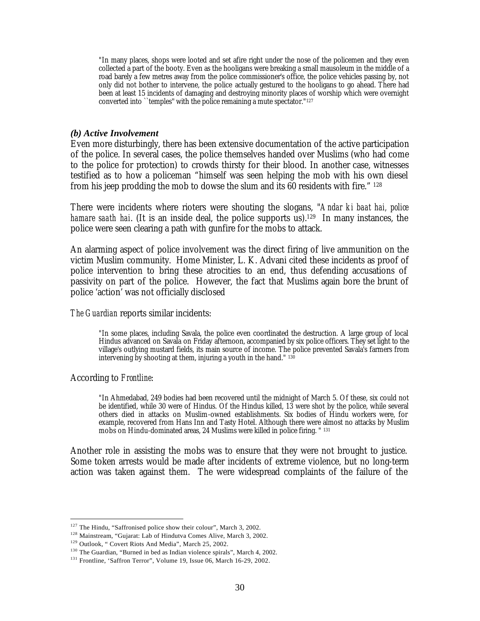"In many places, shops were looted and set afire right under the nose of the policemen and they even collected a part of the booty. Even as the hooligans were breaking a small mausoleum in the middle of a road barely a few metres away from the police commissioner's office, the police vehicles passing by, not only did not bother to intervene, the police actually gestured to the hooligans to go ahead. There had been at least 15 incidents of damaging and destroying minority places of worship which were overnight converted into ``temples'' with the police remaining a mute spectator."<sup>127</sup>

#### *(b) Active Involvement*

Even more disturbingly, there has been extensive documentation of the active participation of the police. In several cases, the police themselves handed over Muslims (who had come to the police for protection) to crowds thirsty for their blood. In another case, witnesses testified as to how a policeman "himself was seen helping the mob with his own diesel from his jeep prodding the mob to dowse the slum and its 60 residents with fire." <sup>128</sup>

There were incidents where rioters were shouting the slogans, "*Andar ki baat hai, police hamare saath hai.* (It is an inside deal, the police supports us).<sup>129</sup> In many instances, the police were seen clearing a path with gunfire for the mobs to attack.

An alarming aspect of police involvement was the direct firing of live ammunition on the victim Muslim community. Home Minister, L. K. Advani cited these incidents as proof of police intervention to bring these atrocities to an end, thus defending accusations of passivity on part of the police. However, the fact that Muslims again bore the brunt of police 'action' was not officially disclosed

#### *The Guardian* reports similar incidents:

"In some places, including Savala, the police even coordinated the destruction. A large group of local Hindus advanced on Savala on Friday afternoon, accompanied by six police officers. They set light to the village's outlying mustard fields, its main source of income. The police prevented Savala's farmers from intervening by shooting at them, injuring a youth in the hand."  $130$ 

#### According to *Frontline*:

 $\overline{a}$ 

"In Ahmedabad, 249 bodies had been recovered until the midnight of March 5. Of these, six could not be identified, while 30 were of Hindus. Of the Hindus killed, 13 were shot by the police, while several others died in attacks on Muslim-owned establishments. Six bodies of Hindu workers were, for example, recovered from Hans Inn and Tasty Hotel. Although there were almost no attacks by Muslim mobs on Hindu-dominated areas, 24 Muslims were killed in police firing. " <sup>131</sup>

Another role in assisting the mobs was to ensure that they were not brought to justice. Some token arrests would be made after incidents of extreme violence, but no long-term action was taken against them. The were widespread complaints of the failure of the

 $127$  The Hindu, "Saffronised police show their colour", March 3, 2002.

<sup>128</sup> Mainstream, "Gujarat: Lab of Hindutva Comes Alive, March 3, 2002.

<sup>&</sup>lt;sup>129</sup> Outlook, " Covert Riots And Media", March 25, 2002.

<sup>130</sup> The Guardian, "Burned in bed as Indian violence spirals", March 4, 2002.

<sup>131</sup> Frontline, 'Saffron Terror", Volume 19, Issue 06, March 16-29, 2002.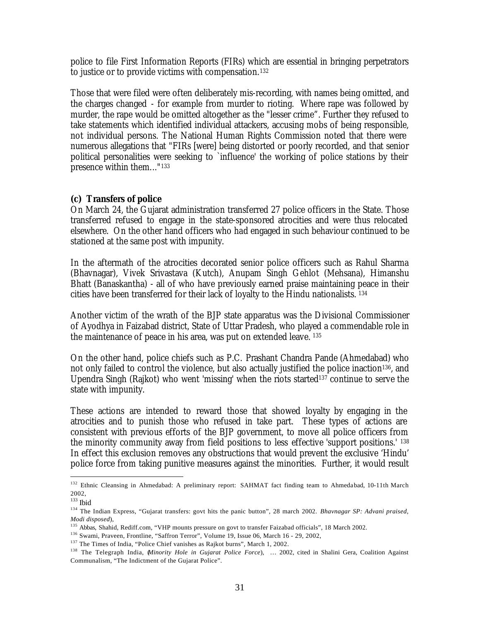police to file First Information Reports (FIRs) which are essential in bringing perpetrators to justice or to provide victims with compensation.<sup>132</sup>

Those that were filed were often deliberately mis-recording, with names being omitted, and the charges changed - for example from murder to rioting. Where rape was followed by murder, the rape would be omitted altogether as the "lesser crime". Further they refused to take statements which identified individual attackers, accusing mobs of being responsible, not individual persons. The National Human Rights Commission noted that there were numerous allegations that "FIRs [were] being distorted or poorly recorded, and that senior political personalities were seeking to `influence' the working of police stations by their presence within them..."<sup>133</sup>

## *(c) Transfers of police*

On March 24, the Gujarat administration transferred 27 police officers in the State. Those transferred refused to engage in the state-sponsored atrocities and were thus relocated elsewhere. On the other hand officers who had engaged in such behaviour continued to be stationed at the same post with impunity.

In the aftermath of the atrocities decorated senior police officers such as Rahul Sharma (Bhavnagar), Vivek Srivastava (Kutch), Anupam Singh Gehlot (Mehsana), Himanshu Bhatt (Banaskantha) - all of who have previously earned praise maintaining peace in their cities have been transferred for their lack of loyalty to the Hindu nationalists. <sup>134</sup>

Another victim of the wrath of the BJP state apparatus was the Divisional Commissioner of Ayodhya in Faizabad district, State of Uttar Pradesh, who played a commendable role in the maintenance of peace in his area, was put on extended leave. <sup>135</sup>

On the other hand, police chiefs such as P.C. Prashant Chandra Pande (Ahmedabad) who not only failed to control the violence, but also actually justified the police inaction<sup>136</sup>, and Upendra Singh (Rajkot) who went 'missing' when the riots started137 continue to serve the state with impunity.

These actions are intended to reward those that showed loyalty by engaging in the atrocities and to punish those who refused in take part. These types of actions are consistent with previous efforts of the BJP government, to move all police officers from the minority community away from field positions to less effective 'support positions.' <sup>138</sup> In effect this exclusion removes any obstructions that would prevent the exclusive 'Hindu' police force from taking punitive measures against the minorities. Further, it would result

<sup>&</sup>lt;sup>132</sup> Ethnic Cleansing in Ahmedabad: A preliminary report: SAHMAT fact finding team to Ahmedabad, 10-11th March 2002,

 $133$  Ibid

<sup>134</sup> The Indian Express, "Gujarat transfers: govt hits the panic button", 28 march 2002. *Bhavnagar SP: Advani praised, Modi disposed*),

<sup>&</sup>lt;sup>135</sup> Abbas, Shahid, Rediff.com, "VHP mounts pressure on govt to transfer Faizabad officials", 18 March 2002.

<sup>136</sup> Swami, Praveen, Frontline, "Saffron Terror", Volume 19, Issue 06, March 16 - 29, 2002,

<sup>&</sup>lt;sup>137</sup> The Times of India, "Police Chief vanishes as Rajkot burns", March 1, 2002.

<sup>138</sup> The Telegraph India, (*Minority Hole in Gujarat Police Force*), … 2002, cited in Shalini Gera, Coalition Against Communalism, "The Indictment of the Gujarat Police".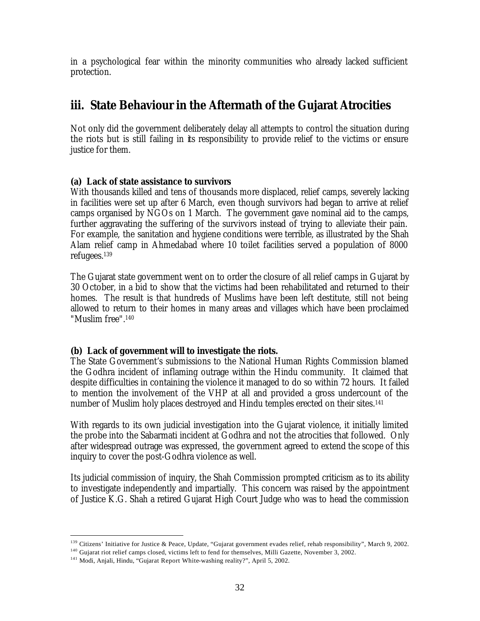in a psychological fear within the minority communities who already lacked sufficient protection.

# **iii. State Behaviour in the Aftermath of the Gujarat Atrocities**

Not only did the government deliberately delay all attempts to control the situation during the riots but is still failing in its responsibility to provide relief to the victims or ensure justice for them.

# *(a) Lack of state assistance to survivors*

With thousands killed and tens of thousands more displaced, relief camps, severely lacking in facilities were set up after 6 March, even though survivors had began to arrive at relief camps organised by NGOs on 1 March. The government gave nominal aid to the camps, further aggravating the suffering of the survivors instead of trying to alleviate their pain. For example, the sanitation and hygiene conditions were terrible, as illustrated by the Shah Alam relief camp in Ahmedabad where 10 toilet facilities served a population of 8000 refugees.<sup>139</sup>

The Gujarat state government went on to order the closure of all relief camps in Gujarat by 30 October, in a bid to show that the victims had been rehabilitated and returned to their homes. The result is that hundreds of Muslims have been left destitute, still not being allowed to return to their homes in many areas and villages which have been proclaimed "Muslim free".<sup>140</sup>

# *(b) Lack of government will to investigate the riots.*

The State Government's submissions to the National Human Rights Commission blamed the Godhra incident of inflaming outrage within the Hindu community. It claimed that despite difficulties in containing the violence it managed to do so within 72 hours. It failed to mention the involvement of the VHP at all and provided a gross undercount of the number of Muslim holy places destroyed and Hindu temples erected on their sites.<sup>141</sup>

With regards to its own judicial investigation into the Gujarat violence, it initially limited the probe into the Sabarmati incident at Godhra and not the atrocities that followed. Only after widespread outrage was expressed, the government agreed to extend the scope of this inquiry to cover the post-Godhra violence as well.

Its judicial commission of inquiry, the Shah Commission prompted criticism as to its ability to investigate independently and impartially. This concern was raised by the appointment of Justice K.G. Shah a retired Gujarat High Court Judge who was to head the commission

<sup>&</sup>lt;sup>139</sup> Citizens' Initiative for Justice & Peace, Update, "Gujarat government evades relief, rehab responsibility", March 9, 2002.

<sup>&</sup>lt;sup>140</sup> Gujarat riot relief camps closed, victims left to fend for themselves, Milli Gazette, November 3, 2002.

<sup>&</sup>lt;sup>141</sup> Modi, Anjali, Hindu, "Gujarat Report White-washing reality?", April 5, 2002.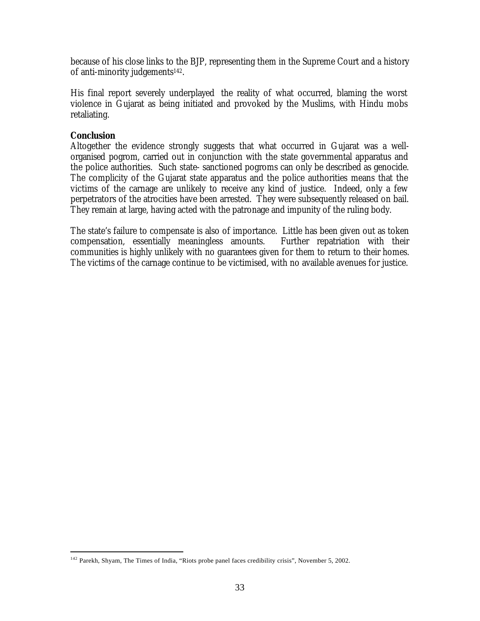because of his close links to the BJP, representing them in the Supreme Court and a history of anti-minority judgements<sup>142</sup>.

His final report severely underplayed the reality of what occurred, blaming the worst violence in Gujarat as being initiated and provoked by the Muslims, with Hindu mobs retaliating.

## *Conclusion*

 $\overline{a}$ 

Altogether the evidence strongly suggests that what occurred in Gujarat was a wellorganised pogrom, carried out in conjunction with the state governmental apparatus and the police authorities. Such state- sanctioned pogroms can only be described as genocide. The complicity of the Gujarat state apparatus and the police authorities means that the victims of the carnage are unlikely to receive any kind of justice. Indeed, only a few perpetrators of the atrocities have been arrested. They were subsequently released on bail. They remain at large, having acted with the patronage and impunity of the ruling body.

The state's failure to compensate is also of importance. Little has been given out as token compensation, essentially meaningless amounts. Further repatriation with their communities is highly unlikely with no guarantees given for them to return to their homes. The victims of the carnage continue to be victimised, with no available avenues for justice.

<sup>&</sup>lt;sup>142</sup> Parekh, Shyam, The Times of India, "Riots probe panel faces credibility crisis", November 5, 2002.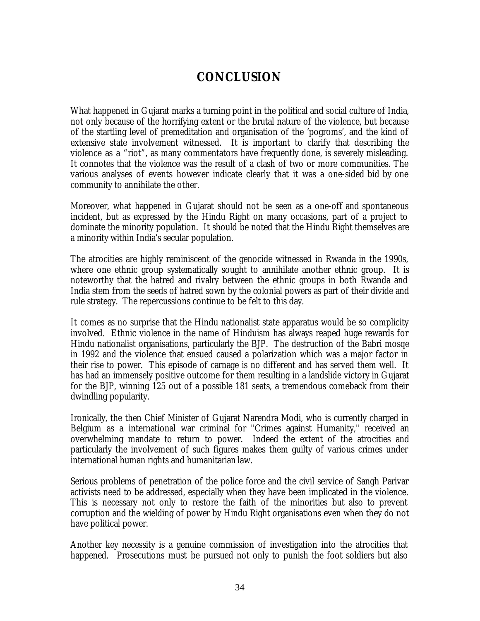# *CONCLUSION*

What happened in Gujarat marks a turning point in the political and social culture of India, not only because of the horrifying extent or the brutal nature of the violence, but because of the startling level of premeditation and organisation of the 'pogroms', and the kind of extensive state involvement witnessed. It is important to clarify that describing the violence as a "riot", as many commentators have frequently done, is severely misleading. It connotes that the violence was the result of a clash of two or more communities. The various analyses of events however indicate clearly that it was a one-sided bid by one community to annihilate the other.

Moreover, what happened in Gujarat should not be seen as a one-off and spontaneous incident, but as expressed by the Hindu Right on many occasions, part of a project to dominate the minority population. It should be noted that the Hindu Right themselves are a minority within India's secular population.

The atrocities are highly reminiscent of the genocide witnessed in Rwanda in the 1990s, where one ethnic group systematically sought to annihilate another ethnic group. It is noteworthy that the hatred and rivalry between the ethnic groups in both Rwanda and India stem from the seeds of hatred sown by the colonial powers as part of their divide and rule strategy. The repercussions continue to be felt to this day.

It comes as no surprise that the Hindu nationalist state apparatus would be so complicity involved. Ethnic violence in the name of Hinduism has always reaped huge rewards for Hindu nationalist organisations, particularly the BJP. The destruction of the Babri mosqe in 1992 and the violence that ensued caused a polarization which was a major factor in their rise to power. This episode of carnage is no different and has served them well. It has had an immensely positive outcome for them resulting in a landslide victory in Gujarat for the BJP, winning 125 out of a possible 181 seats, a tremendous comeback from their dwindling popularity.

Ironically, the then Chief Minister of Gujarat Narendra Modi, who is currently charged in Belgium as a international war criminal for "Crimes against Humanity," received an overwhelming mandate to return to power. Indeed the extent of the atrocities and particularly the involvement of such figures makes them guilty of various crimes under international human rights and humanitarian law.

Serious problems of penetration of the police force and the civil service of Sangh Parivar activists need to be addressed, especially when they have been implicated in the violence. This is necessary not only to restore the faith of the minorities but also to prevent corruption and the wielding of power by Hindu Right organisations even when they do not have political power.

Another key necessity is a genuine commission of investigation into the atrocities that happened. Prosecutions must be pursued not only to punish the foot soldiers but also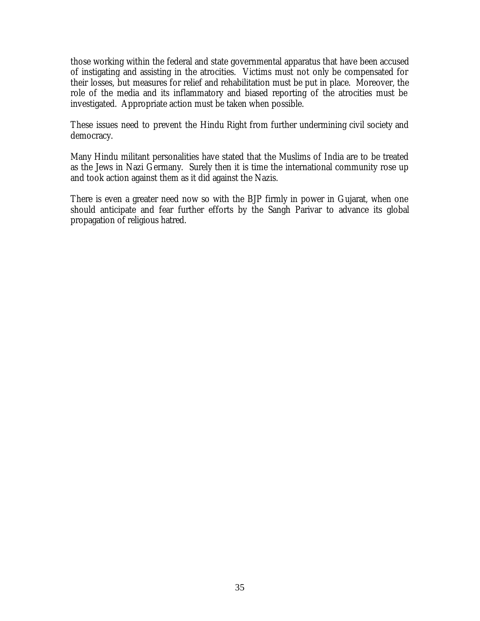those working within the federal and state governmental apparatus that have been accused of instigating and assisting in the atrocities. Victims must not only be compensated for their losses, but measures for relief and rehabilitation must be put in place. Moreover, the role of the media and its inflammatory and biased reporting of the atrocities must be investigated. Appropriate action must be taken when possible.

These issues need to prevent the Hindu Right from further undermining civil society and democracy.

Many Hindu militant personalities have stated that the Muslims of India are to be treated as the Jews in Nazi Germany. Surely then it is time the international community rose up and took action against them as it did against the Nazis.

There is even a greater need now so with the BJP firmly in power in Gujarat, when one should anticipate and fear further efforts by the Sangh Parivar to advance its global propagation of religious hatred.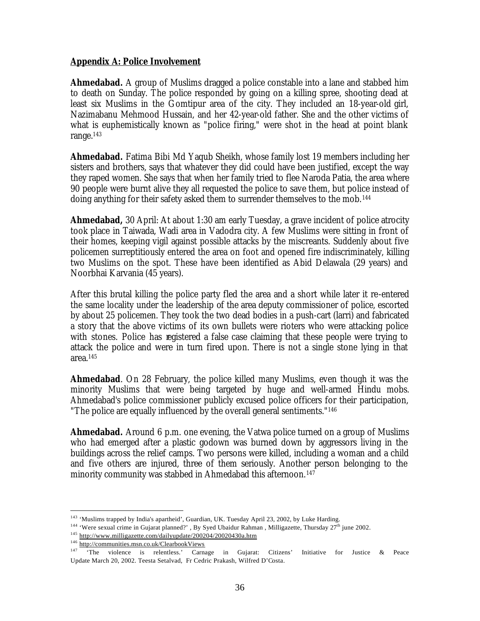## **Appendix A: Police Involvement**

**Ahmedabad.** A group of Muslims dragged a police constable into a lane and stabbed him to death on Sunday. The police responded by going on a killing spree, shooting dead at least six Muslims in the Gomtipur area of the city. They included an 18-year-old girl, Nazimabanu Mehmood Hussain, and her 42-year-old father. She and the other victims of what is euphemistically known as "police firing," were shot in the head at point blank range.<sup>143</sup>

**Ahmedabad.** Fatima Bibi Md Yaqub Sheikh, whose family lost 19 members including her sisters and brothers, says that whatever they did could have been justified, except the way they raped women. She says that when her family tried to flee Naroda Patia, the area where 90 people were burnt alive they all requested the police to save them, but police instead of doing anything for their safety asked them to surrender themselves to the mob.<sup>144</sup>

**Ahmedabad,** 30 April: At about 1:30 am early Tuesday, a grave incident of police atrocity took place in Taiwada, Wadi area in Vadodra city. A few Muslims were sitting in front of their homes, keeping vigil against possible attacks by the miscreants. Suddenly about five policemen surreptitiously entered the area on foot and opened fire indiscriminately, killing two Muslims on the spot. These have been identified as Abid Delawala (29 years) and Noorbhai Karvania (45 years).

After this brutal killing the police party fled the area and a short while later it re-entered the same locality under the leadership of the area deputy commissioner of police, escorted by about 25 policemen. They took the two dead bodies in a push-cart (larri) and fabricated a story that the above victims of its own bullets were rioters who were attacking police with stones. Police has registered a false case claiming that these people were trying to attack the police and were in turn fired upon. There is not a single stone lying in that area.<sup>145</sup>

**Ahmedabad**. On 28 February, the police killed many Muslims, even though it was the minority Muslims that were being targeted by huge and well-armed Hindu mobs. Ahmedabad's police commissioner publicly excused police officers for their participation, "The police are equally influenced by the overall general sentiments."<sup>146</sup>

**Ahmedabad.** Around 6 p.m. one evening, the Vatwa police turned on a group of Muslims who had emerged after a plastic godown was burned down by aggressors living in the buildings across the relief camps. Two persons were killed, including a woman and a child and five others are injured, three of them seriously. Another person belonging to the minority community was stabbed in Ahmedabad this afternoon.<sup>147</sup>

<sup>&</sup>lt;sup>143</sup> 'Muslims trapped by India's apartheid', Guardian, UK. Tuesday April 23, 2002, by Luke Harding.

<sup>&</sup>lt;sup>144</sup> 'Were sexual crime in Gujarat planned?' , By Syed Ubaidur Rahman , Milligazette, Thursday 27<sup>th</sup> june 2002.

<sup>145</sup> http://www.milligazette.com/dailyupdate/200204/20020430a.htm

<sup>&</sup>lt;sup>146</sup> http://communities.msn.co.uk/ClearbookViews<br><sup>147</sup> The violence is relentless, Carna

The violence is relentless.' Carnage in Gujarat: Citizens' Initiative for Justice & Peace Update March 20, 2002. Teesta Setalvad, Fr Cedric Prakash, Wilfred D'Costa.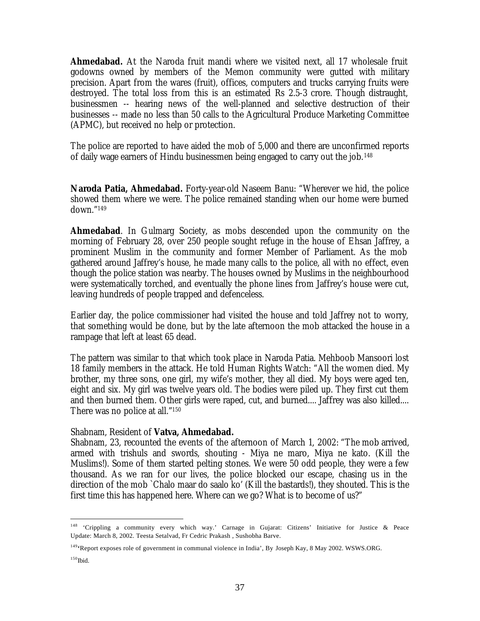**Ahmedabad.** At the Naroda fruit mandi where we visited next, all 17 wholesale fruit godowns owned by members of the Memon community were gutted with military precision. Apart from the wares (fruit), offices, computers and trucks carrying fruits were destroyed. The total loss from this is an estimated Rs 2.5-3 crore. Though distraught, businessmen -- hearing news of the well-planned and selective destruction of their businesses -- made no less than 50 calls to the Agricultural Produce Marketing Committee (APMC), but received no help or protection.

The police are reported to have aided the mob of 5,000 and there are unconfirmed reports of daily wage earners of Hindu businessmen being engaged to carry out the job.<sup>148</sup>

**Naroda Patia, Ahmedabad.** Forty-year-old Naseem Banu: "Wherever we hid, the police showed them where we were. The police remained standing when our home were burned down."<sup>149</sup>

Ahmedabad. In Gulmarg Society, as mobs descended upon the community on the morning of February 28, over 250 people sought refuge in the house of Ehsan Jaffrey, a prominent Muslim in the community and former Member of Parliament. As the mob gathered around Jaffrey's house, he made many calls to the police, all with no effect, even though the police station was nearby. The houses owned by Muslims in the neighbourhood were systematically torched, and eventually the phone lines from Jaffrey's house were cut, leaving hundreds of people trapped and defenceless.

Earlier day, the police commissioner had visited the house and told Jaffrey not to worry, that something would be done, but by the late afternoon the mob attacked the house in a rampage that left at least 65 dead.

The pattern was similar to that which took place in Naroda Patia. Mehboob Mansoori lost 18 family members in the attack. He told Human Rights Watch: "All the women died. My brother, my three sons, one girl, my wife's mother, they all died. My boys were aged ten, eight and six. My girl was twelve years old. The bodies were piled up. They first cut them and then burned them. Other girls were raped, cut, and burned.... Jaffrey was also killed.... There was no police at all."<sup>150</sup>

### Shabnam, Resident of **Vatva, Ahmedabad.**

Shabnam, 23, recounted the events of the afternoon of March 1, 2002: "The mob arrived, armed with trishuls and swords, shouting - Miya ne maro, Miya ne kato. (Kill the Muslims!). Some of them started pelting stones. We were 50 odd people, they were a few thousand. As we ran for our lives, the police blocked our escape, chasing us in the direction of the mob `Chalo maar do saalo ko' (Kill the bastards!), they shouted. This is the first time this has happened here. Where can we go? What is to become of us?"

<sup>&</sup>lt;sup>148</sup> 'Crippling a community every which way.' Carnage in Gujarat: Citizens' Initiative for Justice & Peace Update: March 8, 2002. Teesta Setalvad, Fr Cedric Prakash , Sushobha Barve.

<sup>149</sup>**'**Report exposes role of government in communal violence in India', By Joseph Kay, 8 May 2002. WSWS.ORG.

 $150$  Ibid.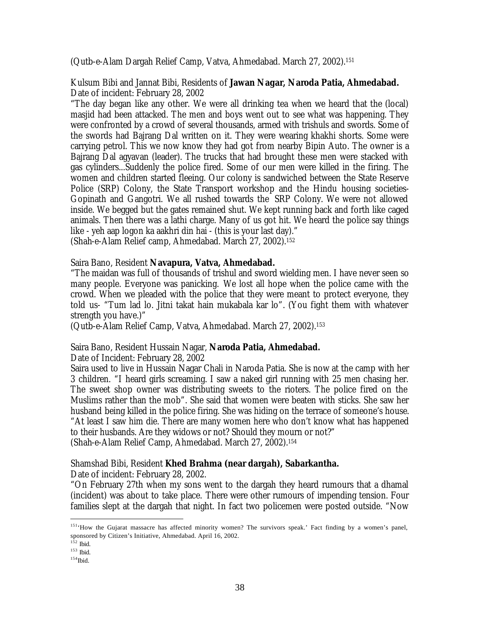(Qutb-e-Alam Dargah Relief Camp, Vatva, Ahmedabad. March 27, 2002).<sup>151</sup>

Kulsum Bibi and Jannat Bibi, Residents of **Jawan Nagar, Naroda Patia, Ahmedabad.** Date of incident: February 28, 2002

"The day began like any other. We were all drinking tea when we heard that the (local) masjid had been attacked. The men and boys went out to see what was happening. They were confronted by a crowd of several thousands, armed with trishuls and swords. Some of the swords had Bajrang Dal written on it. They were wearing khakhi shorts. Some were carrying petrol. This we now know they had got from nearby Bipin Auto. The owner is a Bajrang Dal agyavan (leader). The trucks that had brought these men were stacked with gas cylinders...Suddenly the police fired. Some of our men were killed in the firing. The women and children started fleeing. Our colony is sandwiched between the State Reserve Police (SRP) Colony, the State Transport workshop and the Hindu housing societies-Gopinath and Gangotri. We all rushed towards the SRP Colony. We were not allowed inside. We begged but the gates remained shut. We kept running back and forth like caged animals. Then there was a lathi charge. Many of us got hit. We heard the police say things like - yeh aap logon ka aakhri din hai - (this is your last day)."

(Shah-e-Alam Relief camp, Ahmedabad. March 27, 2002).<sup>152</sup>

Saira Bano, Resident **Navapura, Vatva, Ahmedabad.**

"The maidan was full of thousands of trishul and sword wielding men. I have never seen so many people. Everyone was panicking. We lost all hope when the police came with the crowd. When we pleaded with the police that they were meant to protect everyone, they told us- "Tum lad lo. Jitni takat hain mukabala kar lo". (You fight them with whatever strength you have.)"

(Qutb-e-Alam Relief Camp, Vatva, Ahmedabad. March 27, 2002).<sup>153</sup>

## Saira Bano, Resident Hussain Nagar, **Naroda Patia, Ahmedabad.**

Date of Incident: February 28, 2002

Saira used to live in Hussain Nagar Chali in Naroda Patia. She is now at the camp with her 3 children. "I heard girls screaming. I saw a naked girl running with 25 men chasing her. The sweet shop owner was distributing sweets to the rioters. The police fired on the Muslims rather than the mob". She said that women were beaten with sticks. She saw her husband being killed in the police firing. She was hiding on the terrace of someone's house. "At least I saw him die. There are many women here who don't know what has happened to their husbands. Are they widows or not? Should they mourn or not?" (Shah-e-Alam Relief Camp, Ahmedabad. March 27, 2002).<sup>154</sup>

## Shamshad Bibi, Resident **Khed Brahma (near dargah), Sabarkantha.**

Date of incident: February 28, 2002.

"On February 27th when my sons went to the dargah they heard rumours that a dhamal (incident) was about to take place. There were other rumours of impending tension. Four families slept at the dargah that night. In fact two policemen were posted outside. "Now

<sup>&</sup>lt;sup>151</sup>'How the Gujarat massacre has affected minority women? The survivors speak.' Fact finding by a women's panel, sponsored by Citizen's Initiative, Ahmedabad. April 16, 2002.

<sup>152</sup> Ibid.

<sup>153</sup> Ibid.

 $154$ Ibid.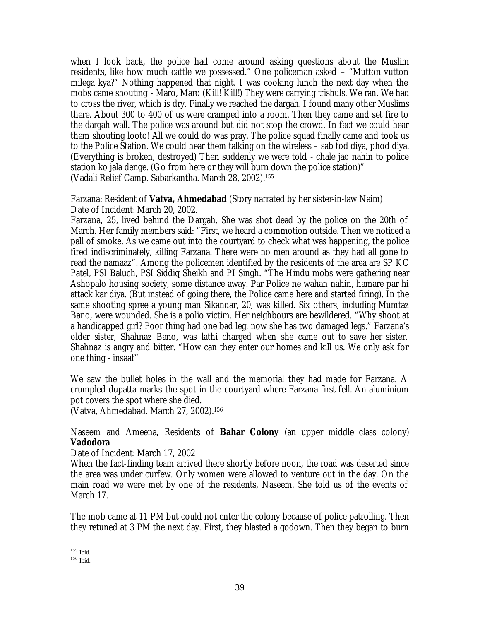when I look back, the police had come around asking questions about the Muslim residents, like how much cattle we possessed." One policeman asked – "Mutton vutton milega kya?" Nothing happened that night. I was cooking lunch the next day when the mobs came shouting - Maro, Maro (Kill! Kill!) They were carrying trishuls. We ran. We had to cross the river, which is dry. Finally we reached the dargah. I found many other Muslims there. About 300 to 400 of us were cramped into a room. Then they came and set fire to the dargah wall. The police was around but did not stop the crowd. In fact we could hear them shouting looto! All we could do was pray. The police squad finally came and took us to the Police Station. We could hear them talking on the wireless – sab tod diya, phod diya. (Everything is broken, destroyed) Then suddenly we were told - chale jao nahin to police station ko jala denge. (Go from here or they will burn down the police station)" (Vadali Relief Camp. Sabarkantha. March 28, 2002).<sup>155</sup>

## Farzana: Resident of **Vatva, Ahmedabad** (Story narrated by her sister-in-law Naim) Date of Incident: March 20, 2002.

Farzana, 25, lived behind the Dargah. She was shot dead by the police on the 20th of March. Her family members said: "First, we heard a commotion outside. Then we noticed a pall of smoke. As we came out into the courtyard to check what was happening, the police fired indiscriminately, killing Farzana. There were no men around as they had all gone to read the namaaz". Among the policemen identified by the residents of the area are SP KC Patel, PSI Baluch, PSI Siddiq Sheikh and PI Singh. "The Hindu mobs were gathering near Ashopalo housing society, some distance away. Par Police ne wahan nahin, hamare par hi attack kar diya. (But instead of going there, the Police came here and started firing). In the same shooting spree a young man Sikandar, 20, was killed. Six others, including Mumtaz Bano, were wounded. She is a polio victim. Her neighbours are bewildered. "Why shoot at a handicapped girl? Poor thing had one bad leg, now she has two damaged legs." Farzana's older sister, Shahnaz Bano, was lathi charged when she came out to save her sister. Shahnaz is angry and bitter. "How can they enter our homes and kill us. We only ask for one thing - insaaf"

We saw the bullet holes in the wall and the memorial they had made for Farzana. A crumpled dupatta marks the spot in the courtyard where Farzana first fell. An aluminium pot covers the spot where she died.

(Vatva, Ahmedabad. March 27, 2002).<sup>156</sup>

## Naseem and Ameena, Residents of **Bahar Colony** (an upper middle class colony) **Vadodora**

Date of Incident: March 17, 2002

When the fact-finding team arrived there shortly before noon, the road was deserted since the area was under curfew. Only women were allowed to venture out in the day. On the main road we were met by one of the residents, Naseem. She told us of the events of March 17.

The mob came at 11 PM but could not enter the colony because of police patrolling. Then they retuned at 3 PM the next day. First, they blasted a godown. Then they began to burn

 $\overline{a}$ <sup>155</sup> Ibid.

<sup>156</sup> Ibid.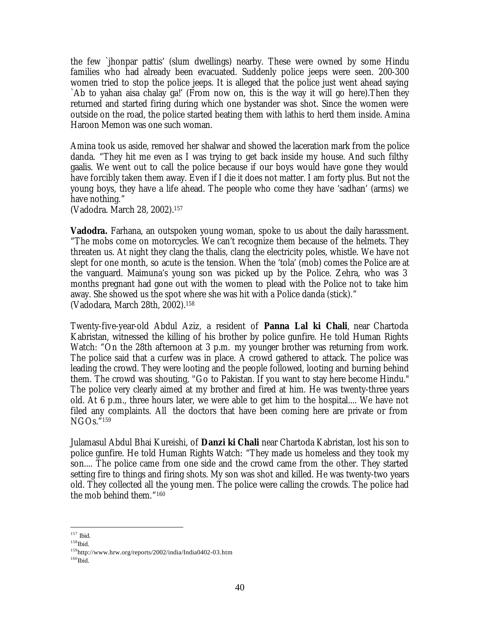the few `jhonpar pattis' (slum dwellings) nearby. These were owned by some Hindu families who had already been evacuated. Suddenly police jeeps were seen. 200-300 women tried to stop the police jeeps. It is alleged that the police just went ahead saying `Ab to yahan aisa chalay ga!' (From now on, this is the way it will go here).Then they returned and started firing during which one bystander was shot. Since the women were outside on the road, the police started beating them with lathis to herd them inside. Amina Haroon Memon was one such woman.

Amina took us aside, removed her shalwar and showed the laceration mark from the police danda. "They hit me even as I was trying to get back inside my house. And such filthy gaalis. We went out to call the police because if our boys would have gone they would have forcibly taken them away. Even if I die it does not matter. I am forty plus. But not the young boys, they have a life ahead. The people who come they have 'sadhan' (arms) we have nothing."

(Vadodra. March 28, 2002).<sup>157</sup>

**Vadodra.** Farhana, an outspoken young woman, spoke to us about the daily harassment. "The mobs come on motorcycles. We can't recognize them because of the helmets. They threaten us. At night they clang the thalis, clang the electricity poles, whistle. We have not slept for one month, so acute is the tension. When the 'tola' (mob) comes the Police are at the vanguard. Maimuna's young son was picked up by the Police. Zehra, who was 3 months pregnant had gone out with the women to plead with the Police not to take him away. She showed us the spot where she was hit with a Police danda (stick)." (Vadodara, March 28th, 2002).<sup>158</sup>

Twenty-five-year-old Abdul Aziz, a resident of **Panna Lal ki Chali**, near Chartoda Kabristan, witnessed the killing of his brother by police gunfire. He told Human Rights Watch: "On the 28th afternoon at 3 p.m. my younger brother was returning from work. The police said that a curfew was in place. A crowd gathered to attack. The police was leading the crowd. They were looting and the people followed, looting and burning behind them. The crowd was shouting, "Go to Pakistan. If you want to stay here become Hindu." The police very clearly aimed at my brother and fired at him. He was twenty-three years old. At 6 p.m., three hours later, we were able to get him to the hospital.... We have not filed any complaints. All the doctors that have been coming here are private or from NGOs." 159

Julamasul Abdul Bhai Kureishi, of **Danzi ki Chali** near Chartoda Kabristan, lost his son to police gunfire. He told Human Rights Watch: "They made us homeless and they took my son.... The police came from one side and the crowd came from the other. They started setting fire to things and firing shots. My son was shot and killed. He was twenty-two years old. They collected all the young men. The police were calling the crowds. The police had the mob behind them." 160

 $\overline{a}$ <sup>157</sup> Ibid.

 $^{158}\mathrm{Ibid.}$ 

<sup>159</sup>http://www.hrw.org/reports/2002/india/India0402-03.htm

 $^{160}\mbox{Ibid.}$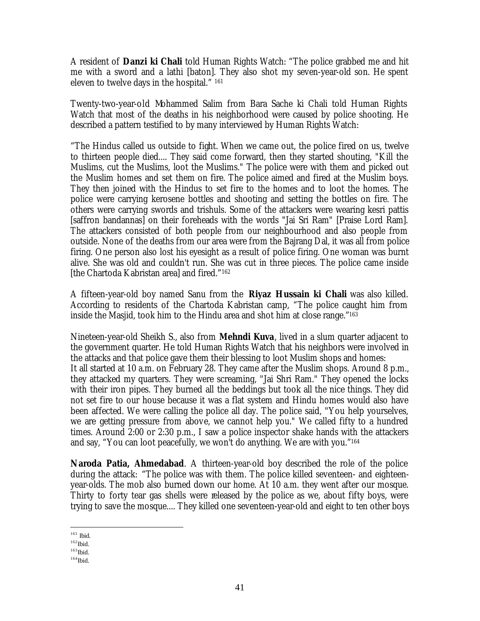A resident of **Danzi ki Chali** told Human Rights Watch: "The police grabbed me and hit me with a sword and a lathi [baton]. They also shot my seven-year-old son. He spent eleven to twelve days in the hospital." <sup>161</sup>

Twenty-two-year-old Mohammed Salim from Bara Sache ki Chali told Human Rights Watch that most of the deaths in his neighborhood were caused by police shooting. He described a pattern testified to by many interviewed by Human Rights Watch:

"The Hindus called us outside to fight. When we came out, the police fired on us, twelve to thirteen people died.... They said come forward, then they started shouting, "Kill the Muslims, cut the Muslims, loot the Muslims." The police were with them and picked out the Muslim homes and set them on fire. The police aimed and fired at the Muslim boys. They then joined with the Hindus to set fire to the homes and to loot the homes. The police were carrying kerosene bottles and shooting and setting the bottles on fire. The others were carrying swords and trishuls. Some of the attackers were wearing kesri pattis [saffron bandannas] on their foreheads with the words "Jai Sri Ram" [Praise Lord Ram]. The attackers consisted of both people from our neighbourhood and also people from outside. None of the deaths from our area were from the Bajrang Dal, it was all from police firing. One person also lost his eyesight as a result of police firing. One woman was burnt alive. She was old and couldn't run. She was cut in three pieces. The police came inside [the Chartoda Kabristan area] and fired." 162

A fifteen-year-old boy named Sanu from the **Riyaz Hussain ki Chali** was also killed. According to residents of the Chartoda Kabristan camp, "The police caught him from inside the Masjid, took him to the Hindu area and shot him at close range."<sup>163</sup>

Nineteen-year-old Sheikh S., also from **Mehndi Kuva**, lived in a slum quarter adjacent to the government quarter. He told Human Rights Watch that his neighbors were involved in the attacks and that police gave them their blessing to loot Muslim shops and homes: It all started at 10 a.m. on February 28. They came after the Muslim shops. Around 8 p.m., they attacked my quarters. They were screaming, "Jai Shri Ram." They opened the locks with their iron pipes. They burned all the beddings but took all the nice things. They did not set fire to our house because it was a flat system and Hindu homes would also have been affected. We were calling the police all day. The police said, "You help yourselves, we are getting pressure from above, we cannot help you." We called fifty to a hundred times. Around 2:00 or 2:30 p.m., I saw a police inspector shake hands with the attackers and say, "You can loot peacefully, we won't do anything. We are with you."<sup>164</sup>

**Naroda Patia, Ahmedabad**. A thirteen-year-old boy described the role of the police during the attack: "The police was with them. The police killed seventeen- and eighteenyear-olds. The mob also burned down our home. At 10 a.m. they went after our mosque. Thirty to forty tear gas shells were released by the police as we, about fifty boys, were trying to save the mosque.... They killed one seventeen-year-old and eight to ten other boys

 $\overline{a}$ <sup>161</sup> Ibid.

 $^{162}\mathrm{Ibid.}$ 

 $163$ Ibid.

 $^{164}\mathrm{Ibid.}$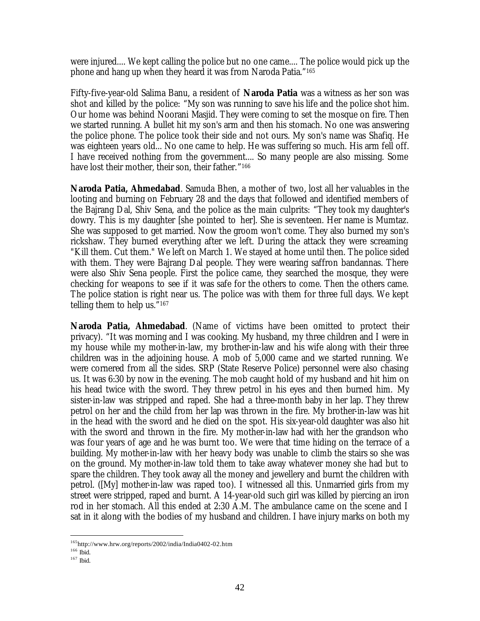were injured.... We kept calling the police but no one came.... The police would pick up the phone and hang up when they heard it was from Naroda Patia." 165

Fifty-five-year-old Salima Banu, a resident of **Naroda Patia** was a witness as her son was shot and killed by the police: "My son was running to save his life and the police shot him. Our home was behind Noorani Masjid. They were coming to set the mosque on fire. Then we started running. A bullet hit my son's arm and then his stomach. No one was answering the police phone. The police took their side and not ours. My son's name was Shafiq. He was eighteen years old... No one came to help. He was suffering so much. His arm fell off. I have received nothing from the government.... So many people are also missing. Some have lost their mother, their son, their father." 166

**Naroda Patia, Ahmedabad**. Samuda Bhen, a mother of two, lost all her valuables in the looting and burning on February 28 and the days that followed and identified members of the Bajrang Dal, Shiv Sena, and the police as the main culprits: "They took my daughter's dowry. This is my daughter [she pointed to her]. She is seventeen. Her name is Mumtaz. She was supposed to get married. Now the groom won't come. They also burned my son's rickshaw. They burned everything after we left. During the attack they were screaming "Kill them. Cut them." We left on March 1. We stayed at home until then. The police sided with them. They were Bajrang Dal people. They were wearing saffron bandannas. There were also Shiv Sena people. First the police came, they searched the mosque, they were checking for weapons to see if it was safe for the others to come. Then the others came. The police station is right near us. The police was with them for three full days. We kept telling them to help us." 167

**Naroda Patia, Ahmedabad**. (Name of victims have been omitted to protect their privacy). "It was morning and I was cooking. My husband, my three children and I were in my house while my mother-in-law, my brother-in-law and his wife along with their three children was in the adjoining house. A mob of 5,000 came and we started running. We were cornered from all the sides. SRP (State Reserve Police) personnel were also chasing us. It was 6:30 by now in the evening. The mob caught hold of my husband and hit him on his head twice with the sword. They threw petrol in his eyes and then burned him. My sister-in-law was stripped and raped. She had a three-month baby in her lap. They threw petrol on her and the child from her lap was thrown in the fire. My brother-in-law was hit in the head with the sword and he died on the spot. His six-year-old daughter was also hit with the sword and thrown in the fire. My mother-in-law had with her the grandson who was four years of age and he was burnt too. We were that time hiding on the terrace of a building. My mother-in-law with her heavy body was unable to climb the stairs so she was on the ground. My mother-in-law told them to take away whatever money she had but to spare the children. They took away all the money and jewellery and burnt the children with petrol. ([My] mother-in-law was raped too). I witnessed all this. Unmarried girls from my street were stripped, raped and burnt. A 14-year-old such girl was killed by piercing an iron rod in her stomach. All this ended at 2:30 A.M. The ambulance came on the scene and I sat in it along with the bodies of my husband and children. I have injury marks on both my

<sup>165</sup>http://www.hrw.org/reports/2002/india/India0402-02.htm

 $^{166}$  Ibid.

<sup>167</sup> Ibid.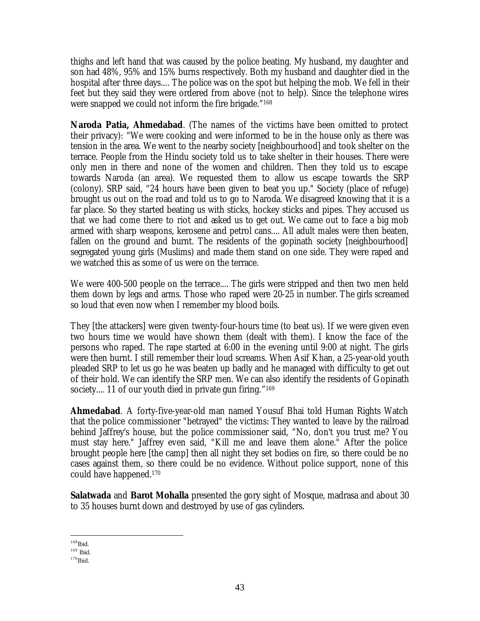thighs and left hand that was caused by the police beating. My husband, my daughter and son had 48%, 95% and 15% burns respectively. Both my husband and daughter died in the hospital after three days.... The police was on the spot but helping the mob. We fell in their feet but they said they were ordered from above (not to help). Since the telephone wires were snapped we could not inform the fire brigade." 168

**Naroda Patia, Ahmedabad**. (The names of the victims have been omitted to protect their privacy): "We were cooking and were informed to be in the house only as there was tension in the area. We went to the nearby society [neighbourhood] and took shelter on the terrace. People from the Hindu society told us to take shelter in their houses. There were only men in there and none of the women and children. Then they told us to escape towards Naroda (an area). We requested them to allow us escape towards the SRP (colony). SRP said, "24 hours have been given to beat you up." Society (place of refuge) brought us out on the road and told us to go to Naroda. We disagreed knowing that it is a far place. So they started beating us with sticks, hockey sticks and pipes. They accused us that we had come there to riot and asked us to get out. We came out to face a big mob armed with sharp weapons, kerosene and petrol cans.... All adult males were then beaten, fallen on the ground and burnt. The residents of the gopinath society [neighbourhood] segregated young girls (Muslims) and made them stand on one side. They were raped and we watched this as some of us were on the terrace.

We were 400-500 people on the terrace.... The girls were stripped and then two men held them down by legs and arms. Those who raped were 20-25 in number. The girls screamed so loud that even now when I remember my blood boils.

They [the attackers] were given twenty-four-hours time (to beat us). If we were given even two hours time we would have shown them (dealt with them). I know the face of the persons who raped. The rape started at 6:00 in the evening until 9:00 at night. The girls were then burnt. I still remember their loud screams. When Asif Khan, a 25-year-old youth pleaded SRP to let us go he was beaten up badly and he managed with difficulty to get out of their hold. We can identify the SRP men. We can also identify the residents of Gopinath society.... 11 of our youth died in private gun firing." 169

**Ahmedabad**. A forty-five-year-old man named Yousuf Bhai told Human Rights Watch that the police commissioner "betrayed" the victims: They wanted to leave by the railroad behind Jaffrey's house, but the police commissioner said, "No, don't you trust me? You must stay here." Jaffrey even said, "Kill me and leave them alone." After the police brought people here [the camp] then all night they set bodies on fire, so there could be no cases against them, so there could be no evidence. Without police support, none of this could have happened.<sup>170</sup>

**Salatwada** and **Barot Mohalla** presented the gory sight of Mosque, madrasa and about 30 to 35 houses burnt down and destroyed by use of gas cylinders.

 $\overline{a}$ <sup>168</sup>Ibid.

<sup>169</sup> Ibid.

 $170$ Ibid.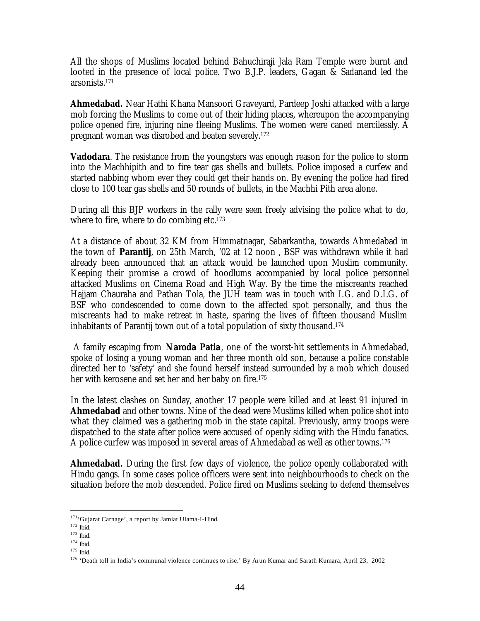All the shops of Muslims located behind Bahuchiraji Jala Ram Temple were burnt and looted in the presence of local police. Two B.J.P. leaders, Gagan & Sadanand led the arsonists.<sup>171</sup>

**Ahmedabad.** Near Hathi Khana Mansoori Graveyard, Pardeep Joshi attacked with a large mob forcing the Muslims to come out of their hiding places, whereupon the accompanying police opened fire, injuring nine fleeing Muslims. The women were caned mercilessly. A pregnant woman was disrobed and beaten severely.<sup>172</sup>

**Vadodara**. The resistance from the youngsters was enough reason for the police to storm into the Machhipith and to fire tear gas shells and bullets. Police imposed a curfew and started nabbing whom ever they could get their hands on. By evening the police had fired close to 100 tear gas shells and 50 rounds of bullets, in the Machhi Pith area alone.

During all this BJP workers in the rally were seen freely advising the police what to do, where to fire, where to do combing etc. $173$ 

At a distance of about 32 KM from Himmatnagar, Sabarkantha, towards Ahmedabad in the town of **Parantij**, on 25th March, '02 at 12 noon , BSF was withdrawn while it had already been announced that an attack would be launched upon Muslim community. Keeping their promise a crowd of hoodlums accompanied by local police personnel attacked Muslims on Cinema Road and High Way. By the time the miscreants reached Hajjam Chauraha and Pathan Tola, the JUH team was in touch with I.G. and D.I.G. of BSF who condescended to come down to the affected spot personally, and thus the miscreants had to make retreat in haste, sparing the lives of fifteen thousand Muslim inhabitants of Parantij town out of a total population of sixty thousand.<sup>174</sup>

 A family escaping from **Naroda Patia**, one of the worst-hit settlements in Ahmedabad, spoke of losing a young woman and her three month old son, because a police constable directed her to 'safety' and she found herself instead surrounded by a mob which doused her with kerosene and set her and her baby on fire.<sup>175</sup>

In the latest clashes on Sunday, another 17 people were killed and at least 91 injured in **Ahmedabad** and other towns. Nine of the dead were Muslims killed when police shot into what they claimed was a gathering mob in the state capital. Previously, army troops were dispatched to the state after police were accused of openly siding with the Hindu fanatics. A police curfew was imposed in several areas of Ahmedabad as well as other towns.<sup>176</sup>

**Ahmedabad.** During the first few days of violence, the police openly collaborated with Hindu gangs. In some cases police officers were sent into neighbourhoods to check on the situation before the mob descended. Police fired on Muslims seeking to defend themselves

<sup>&</sup>lt;sup>171</sup>'Gujarat Carnage', a report by Jamiat Ulama-I-Hind.

<sup>&</sup>lt;sup>172</sup> Ibid.

<sup>173</sup> Ibid.

<sup>174</sup> Ibid.

<sup>175</sup> Ibid.

<sup>&</sup>lt;sup>176</sup> 'Death toll in India's communal violence continues to rise.' By Arun Kumar and Sarath Kumara, April 23, 2002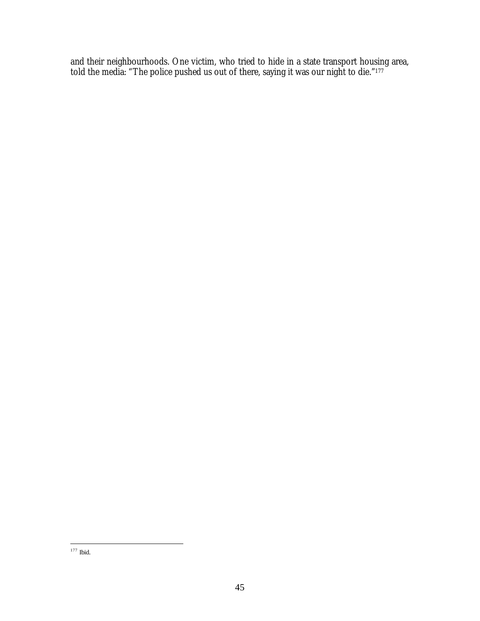and their neighbourhoods. One victim, who tried to hide in a state transport housing area, told the media: "The police pushed us out of there, saying it was our night to die."<sup>177</sup>

 $\overline{a}$ <sup>177</sup> Ibid.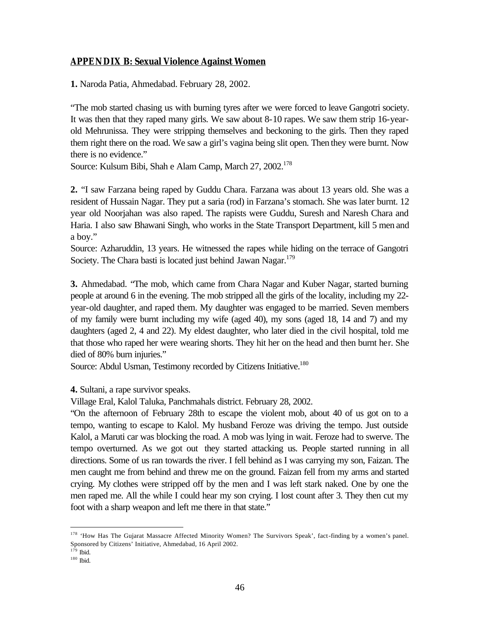## **APPENDIX B: Sexual Violence Against Women**

**1.** Naroda Patia, Ahmedabad. February 28, 2002.

"The mob started chasing us with burning tyres after we were forced to leave Gangotri society. It was then that they raped many girls. We saw about 8-10 rapes. We saw them strip 16-yearold Mehrunissa. They were stripping themselves and beckoning to the girls. Then they raped them right there on the road. We saw a girl's vagina being slit open. Then they were burnt. Now there is no evidence."

Source: Kulsum Bibi, Shah e Alam Camp, March 27, 2002.<sup>178</sup>

**2.** "I saw Farzana being raped by Guddu Chara. Farzana was about 13 years old. She was a resident of Hussain Nagar. They put a saria (rod) in Farzana's stomach. She was later burnt. 12 year old Noorjahan was also raped. The rapists were Guddu, Suresh and Naresh Chara and Haria. I also saw Bhawani Singh, who works in the State Transport Department, kill 5 men and a boy."

Source: Azharuddin, 13 years. He witnessed the rapes while hiding on the terrace of Gangotri Society. The Chara basti is located just behind Jawan Nagar.<sup>179</sup>

**3.** Ahmedabad. "The mob, which came from Chara Nagar and Kuber Nagar, started burning people at around 6 in the evening. The mob stripped all the girls of the locality, including my 22 year-old daughter, and raped them. My daughter was engaged to be married. Seven members of my family were burnt including my wife (aged 40), my sons (aged 18, 14 and 7) and my daughters (aged 2, 4 and 22). My eldest daughter, who later died in the civil hospital, told me that those who raped her were wearing shorts. They hit her on the head and then burnt her. She died of 80% burn injuries."

Source: Abdul Usman, Testimony recorded by Citizens Initiative.<sup>180</sup>

**4.** Sultani, a rape survivor speaks.

Village Eral, Kalol Taluka, Panchmahals district. February 28, 2002.

"On the afternoon of February 28th to escape the violent mob, about 40 of us got on to a tempo, wanting to escape to Kalol. My husband Feroze was driving the tempo. Just outside Kalol, a Maruti car was blocking the road. A mob was lying in wait. Feroze had to swerve. The tempo overturned. As we got out they started attacking us. People started running in all directions. Some of us ran towards the river. I fell behind as I was carrying my son, Faizan. The men caught me from behind and threw me on the ground. Faizan fell from my arms and started crying. My clothes were stripped off by the men and I was left stark naked. One by one the men raped me. All the while I could hear my son crying. I lost count after 3. They then cut my foot with a sharp weapon and left me there in that state."

<sup>&</sup>lt;sup>178</sup> 'How Has The Gujarat Massacre Affected Minority Women? The Survivors Speak', fact-finding by a women's panel. Sponsored by Citizens' Initiative, Ahmedabad, 16 April 2002.

 $^{179}$  Ibid.

<sup>180</sup> Ibid.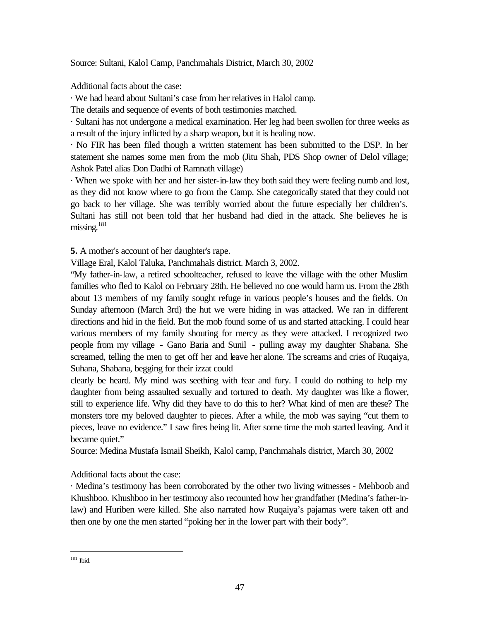Source: Sultani, Kalol Camp, Panchmahals District, March 30, 2002

Additional facts about the case:

· We had heard about Sultani's case from her relatives in Halol camp.

The details and sequence of events of both testimonies matched.

· Sultani has not undergone a medical examination. Her leg had been swollen for three weeks as a result of the injury inflicted by a sharp weapon, but it is healing now.

· No FIR has been filed though a written statement has been submitted to the DSP. In her statement she names some men from the mob (Jitu Shah, PDS Shop owner of Delol village; Ashok Patel alias Don Dadhi of Ramnath village)

· When we spoke with her and her sister-in-law they both said they were feeling numb and lost, as they did not know where to go from the Camp. She categorically stated that they could not go back to her village. She was terribly worried about the future especially her children's. Sultani has still not been told that her husband had died in the attack. She believes he is missing. $181$ 

**5.** A mother's account of her daughter's rape.

Village Eral, Kalol Taluka, Panchmahals district. March 3, 2002.

"My father-in-law, a retired schoolteacher, refused to leave the village with the other Muslim families who fled to Kalol on February 28th. He believed no one would harm us. From the 28th about 13 members of my family sought refuge in various people's houses and the fields. On Sunday afternoon (March 3rd) the hut we were hiding in was attacked. We ran in different directions and hid in the field. But the mob found some of us and started attacking. I could hear various members of my family shouting for mercy as they were attacked. I recognized two people from my village - Gano Baria and Sunil - pulling away my daughter Shabana. She screamed, telling the men to get off her and leave her alone. The screams and cries of Ruqaiya, Suhana, Shabana, begging for their izzat could

clearly be heard. My mind was seething with fear and fury. I could do nothing to help my daughter from being assaulted sexually and tortured to death. My daughter was like a flower, still to experience life. Why did they have to do this to her? What kind of men are these? The monsters tore my beloved daughter to pieces. After a while, the mob was saying "cut them to pieces, leave no evidence." I saw fires being lit. After some time the mob started leaving. And it became quiet."

Source: Medina Mustafa Ismail Sheikh, Kalol camp, Panchmahals district, March 30, 2002

Additional facts about the case:

· Medina's testimony has been corroborated by the other two living witnesses - Mehboob and Khushboo. Khushboo in her testimony also recounted how her grandfather (Medina's father-inlaw) and Huriben were killed. She also narrated how Ruqaiya's pajamas were taken off and then one by one the men started "poking her in the lower part with their body".

 $\overline{a}$ <sup>181</sup> Ibid.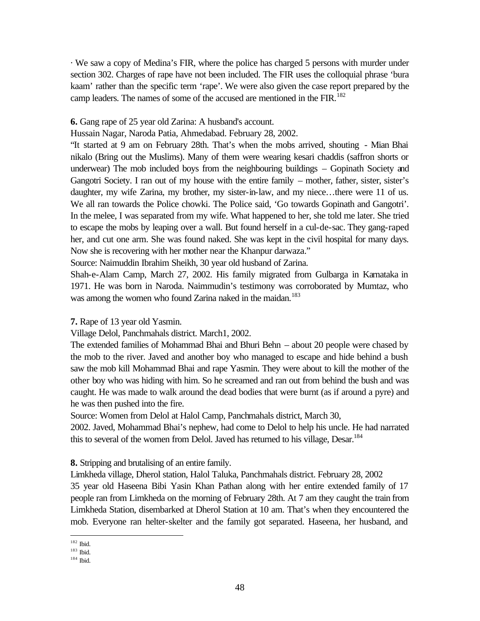· We saw a copy of Medina's FIR, where the police has charged 5 persons with murder under section 302. Charges of rape have not been included. The FIR uses the colloquial phrase 'bura kaam' rather than the specific term 'rape'. We were also given the case report prepared by the camp leaders. The names of some of the accused are mentioned in the FIR.<sup>182</sup>

#### **6.** Gang rape of 25 year old Zarina: A husband's account.

Hussain Nagar, Naroda Patia, Ahmedabad. February 28, 2002.

"It started at 9 am on February 28th. That's when the mobs arrived, shouting - Mian Bhai nikalo (Bring out the Muslims). Many of them were wearing kesari chaddis (saffron shorts or underwear) The mob included boys from the neighbouring buildings – Gopinath Society and Gangotri Society. I ran out of my house with the entire family – mother, father, sister, sister's daughter, my wife Zarina, my brother, my sister-in-law, and my niece…there were 11 of us. We all ran towards the Police chowki. The Police said, 'Go towards Gopinath and Gangotri'. In the melee, I was separated from my wife. What happened to her, she told me later. She tried to escape the mobs by leaping over a wall. But found herself in a cul-de-sac. They gang-raped her, and cut one arm. She was found naked. She was kept in the civil hospital for many days. Now she is recovering with her mother near the Khanpur darwaza."

Source: Naimuddin Ibrahim Sheikh, 30 year old husband of Zarina.

Shah-e-Alam Camp, March 27, 2002. His family migrated from Gulbarga in Karnataka in 1971. He was born in Naroda. Naimmudin's testimony was corroborated by Mumtaz, who was among the women who found Zarina naked in the maidan.<sup>183</sup>

#### **7.** Rape of 13 year old Yasmin.

Village Delol, Panchmahals district. March1, 2002.

The extended families of Mohammad Bhai and Bhuri Behn – about 20 people were chased by the mob to the river. Javed and another boy who managed to escape and hide behind a bush saw the mob kill Mohammad Bhai and rape Yasmin. They were about to kill the mother of the other boy who was hiding with him. So he screamed and ran out from behind the bush and was caught. He was made to walk around the dead bodies that were burnt (as if around a pyre) and he was then pushed into the fire.

Source: Women from Delol at Halol Camp, Panchmahals district, March 30,

2002. Javed, Mohammad Bhai's nephew, had come to Delol to help his uncle. He had narrated this to several of the women from Delol. Javed has returned to his village, Desar.<sup>184</sup>

**8.** Stripping and brutalising of an entire family.

Limkheda village, Dherol station, Halol Taluka, Panchmahals district. February 28, 2002

35 year old Haseena Bibi Yasin Khan Pathan along with her entire extended family of 17 people ran from Limkheda on the morning of February 28th. At 7 am they caught the train from Limkheda Station, disembarked at Dherol Station at 10 am. That's when they encountered the mob. Everyone ran helter-skelter and the family got separated. Haseena, her husband, and

<sup>182</sup> Ibid.

<sup>183</sup> Ibid.

<sup>184</sup> Ibid.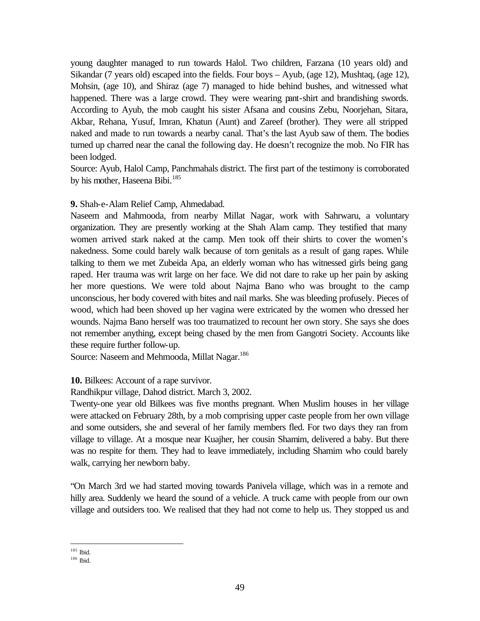young daughter managed to run towards Halol. Two children, Farzana (10 years old) and Sikandar (7 years old) escaped into the fields. Four boys – Ayub, (age 12), Mushtaq, (age 12), Mohsin, (age 10), and Shiraz (age 7) managed to hide behind bushes, and witnessed what happened. There was a large crowd. They were wearing pant-shirt and brandishing swords. According to Ayub, the mob caught his sister Afsana and cousins Zebu, Noorjehan, Sitara, Akbar, Rehana, Yusuf, Imran, Khatun (Aunt) and Zareef (brother). They were all stripped naked and made to run towards a nearby canal. That's the last Ayub saw of them. The bodies turned up charred near the canal the following day. He doesn't recognize the mob. No FIR has been lodged.

Source: Ayub, Halol Camp, Panchmahals district. The first part of the testimony is corroborated by his mother, Haseena Bibi.<sup>185</sup>

#### **9.** Shah-e-Alam Relief Camp, Ahmedabad.

Naseem and Mahmooda, from nearby Millat Nagar, work with Sahrwaru, a voluntary organization. They are presently working at the Shah Alam camp. They testified that many women arrived stark naked at the camp. Men took off their shirts to cover the women's nakedness. Some could barely walk because of torn genitals as a result of gang rapes. While talking to them we met Zubeida Apa, an elderly woman who has witnessed girls being gang raped. Her trauma was writ large on her face. We did not dare to rake up her pain by asking her more questions. We were told about Najma Bano who was brought to the camp unconscious, her body covered with bites and nail marks. She was bleeding profusely. Pieces of wood, which had been shoved up her vagina were extricated by the women who dressed her wounds. Najma Bano herself was too traumatized to recount her own story. She says she does not remember anything, except being chased by the men from Gangotri Society. Accounts like these require further follow-up.

Source: Naseem and Mehmooda, Millat Nagar.<sup>186</sup>

**10.** Bilkees: Account of a rape survivor.

Randhikpur village, Dahod district. March 3, 2002.

Twenty-one year old Bilkees was five months pregnant. When Muslim houses in her village were attacked on February 28th, by a mob comprising upper caste people from her own village and some outsiders, she and several of her family members fled. For two days they ran from village to village. At a mosque near Kuajher, her cousin Shamim, delivered a baby. But there was no respite for them. They had to leave immediately, including Shamim who could barely walk, carrying her newborn baby.

"On March 3rd we had started moving towards Panivela village, which was in a remote and hilly area. Suddenly we heard the sound of a vehicle. A truck came with people from our own village and outsiders too. We realised that they had not come to help us. They stopped us and

 $\overline{a}$ <sup>185</sup> Ibid.

<sup>186</sup> Ibid.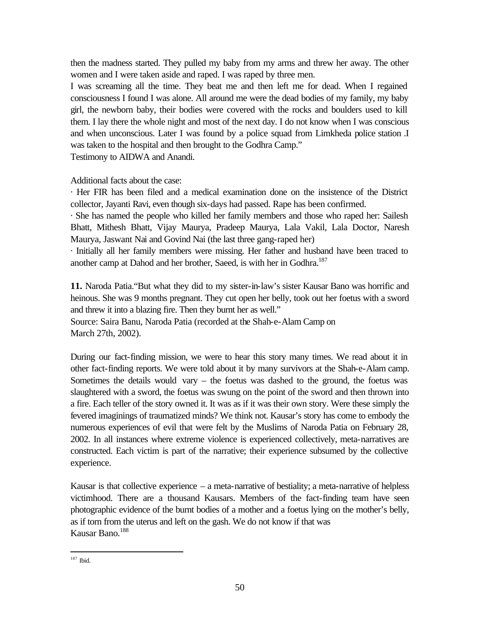then the madness started. They pulled my baby from my arms and threw her away. The other women and I were taken aside and raped. I was raped by three men.

I was screaming all the time. They beat me and then left me for dead. When I regained consciousness I found I was alone. All around me were the dead bodies of my family, my baby girl, the newborn baby, their bodies were covered with the rocks and boulders used to kill them. I lay there the whole night and most of the next day. I do not know when I was conscious and when unconscious. Later I was found by a police squad from Limkheda police station .I was taken to the hospital and then brought to the Godhra Camp."

Testimony to AIDWA and Anandi.

Additional facts about the case:

· Her FIR has been filed and a medical examination done on the insistence of the District collector, Jayanti Ravi, even though six-days had passed. Rape has been confirmed.

· She has named the people who killed her family members and those who raped her: Sailesh Bhatt, Mithesh Bhatt, Vijay Maurya, Pradeep Maurya, Lala Vakil, Lala Doctor, Naresh Maurya, Jaswant Nai and Govind Nai (the last three gang-raped her)

· Initially all her family members were missing. Her father and husband have been traced to another camp at Dahod and her brother, Saeed, is with her in Godhra.<sup>187</sup>

**11.** Naroda Patia."But what they did to my sister-in-law's sister Kausar Bano was horrific and heinous. She was 9 months pregnant. They cut open her belly, took out her foetus with a sword and threw it into a blazing fire. Then they burnt her as well."

Source: Saira Banu, Naroda Patia (recorded at the Shah-e-Alam Camp on March 27th, 2002).

During our fact-finding mission, we were to hear this story many times. We read about it in other fact-finding reports. We were told about it by many survivors at the Shah-e-Alam camp. Sometimes the details would vary – the foetus was dashed to the ground, the foetus was slaughtered with a sword, the foetus was swung on the point of the sword and then thrown into a fire. Each teller of the story owned it. It was as if it was their own story. Were these simply the fevered imaginings of traumatized minds? We think not. Kausar's story has come to embody the numerous experiences of evil that were felt by the Muslims of Naroda Patia on February 28, 2002. In all instances where extreme violence is experienced collectively, meta-narratives are constructed. Each victim is part of the narrative; their experience subsumed by the collective experience.

Kausar is that collective experience  $-$  a meta-narrative of bestiality; a meta-narrative of helpless victimhood. There are a thousand Kausars. Members of the fact-finding team have seen photographic evidence of the burnt bodies of a mother and a foetus lying on the mother's belly, as if torn from the uterus and left on the gash. We do not know if that was Kausar Bano.<sup>188</sup>

 $\overline{a}$ <sup>187</sup> Ibid.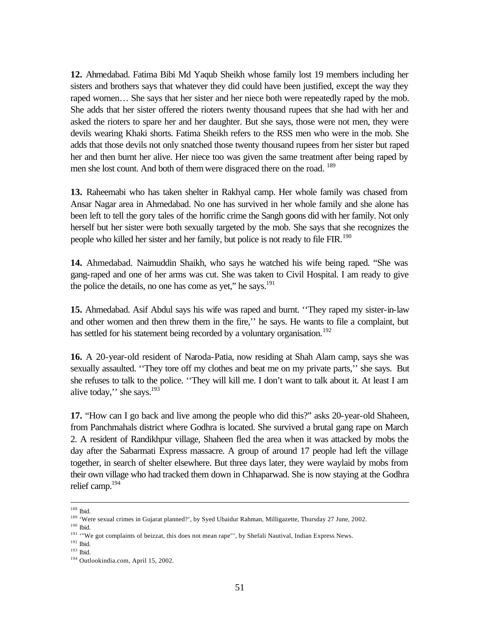**12.** Ahmedabad. Fatima Bibi Md Yaqub Sheikh whose family lost 19 members including her sisters and brothers says that whatever they did could have been justified, except the way they raped women… She says that her sister and her niece both were repeatedly raped by the mob. She adds that her sister offered the rioters twenty thousand rupees that she had with her and asked the rioters to spare her and her daughter. But she says, those were not men, they were devils wearing Khaki shorts. Fatima Sheikh refers to the RSS men who were in the mob. She adds that those devils not only snatched those twenty thousand rupees from her sister but raped her and then burnt her alive. Her niece too was given the same treatment after being raped by men she lost count. And both of them were disgraced there on the road. <sup>189</sup>

**13.** Raheemabi who has taken shelter in Rakhyal camp. Her whole family was chased from Ansar Nagar area in Ahmedabad. No one has survived in her whole family and she alone has been left to tell the gory tales of the horrific crime the Sangh goons did with her family. Not only herself but her sister were both sexually targeted by the mob. She says that she recognizes the people who killed her sister and her family, but police is not ready to file FIR.<sup>190</sup>

**14.** Ahmedabad. Naimuddin Shaikh, who says he watched his wife being raped. "She was gang-raped and one of her arms was cut. She was taken to Civil Hospital. I am ready to give the police the details, no one has come as yet," he says.<sup>191</sup>

**15.** Ahmedabad. Asif Abdul says his wife was raped and burnt. ''They raped my sister-in-law and other women and then threw them in the fire,'' he says. He wants to file a complaint, but has settled for his statement being recorded by a voluntary organisation.<sup>192</sup>

**16.** A 20-year-old resident of Naroda-Patia, now residing at Shah Alam camp, says she was sexually assaulted. ''They tore off my clothes and beat me on my private parts,'' she says. But she refuses to talk to the police. ''They will kill me. I don't want to talk about it. At least I am alive today,'' she says.<sup>193</sup>

**17.** "How can I go back and live among the people who did this?" asks 20-year-old Shaheen, from Panchmahals district where Godhra is located. She survived a brutal gang rape on March 2. A resident of Randikhpur village, Shaheen fled the area when it was attacked by mobs the day after the Sabarmati Express massacre. A group of around 17 people had left the village together, in search of shelter elsewhere. But three days later, they were waylaid by mobs from their own village who had tracked them down in Chhaparwad. She is now staying at the Godhra relief camp.<sup>194</sup>

<sup>188</sup> Ibid.

<sup>&</sup>lt;sup>189</sup> 'Were sexual crimes in Gujarat planned?', by Syed Ubaidur Rahman, Milligazette, Thursday 27 June, 2002.

<sup>&</sup>lt;sup>190</sup> Ibid.

<sup>&</sup>lt;sup>191</sup> '"We got complaints of beizzat, this does not mean rape"', by Shefali Nautival, Indian Express News.

<sup>192</sup> Ibid.

<sup>193</sup> Ibid.

<sup>194</sup> Outlookindia.com, April 15, 2002.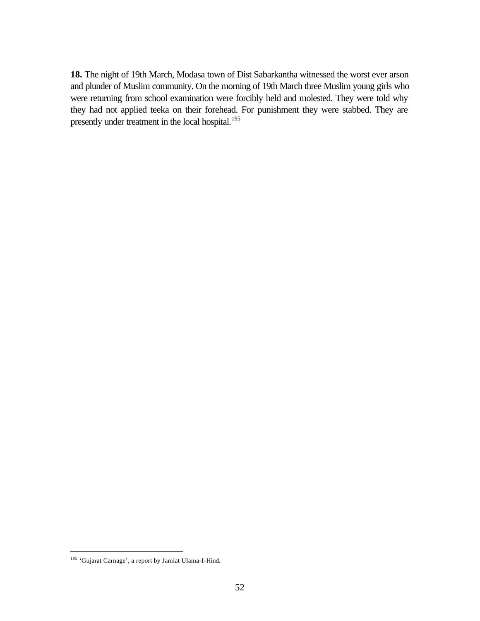**18.** The night of 19th March, Modasa town of Dist Sabarkantha witnessed the worst ever arson and plunder of Muslim community. On the morning of 19th March three Muslim young girls who were returning from school examination were forcibly held and molested. They were told why they had not applied teeka on their forehead. For punishment they were stabbed. They are presently under treatment in the local hospital.<sup>195</sup>

<sup>195</sup> 'Gujarat Carnage', a report by Jamiat Ulama-I-Hind.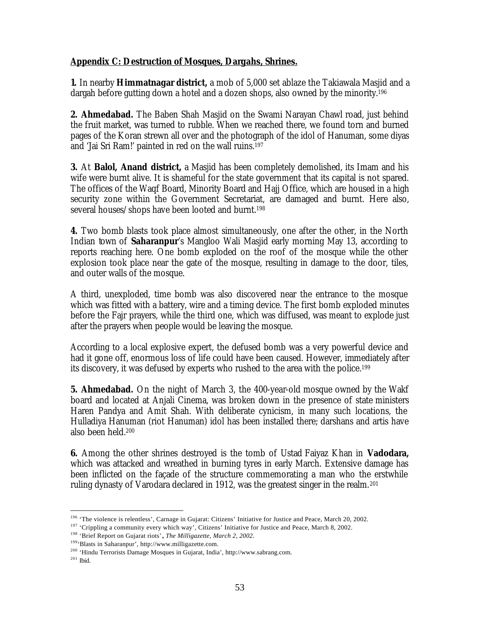## **Appendix C: Destruction of Mosques, Dargahs, Shrines.**

**1.** In nearby **Himmatnagar district,** a mob of 5,000 set ablaze the Takiawala Masjid and a dargah before gutting down a hotel and a dozen shops, also owned by the minority.<sup>196</sup>

**2. Ahmedabad.** The Baben Shah Masjid on the Swami Narayan Chawl road, just behind the fruit market, was turned to rubble. When we reached there, we found torn and burned pages of the Koran strewn all over and the photograph of the idol of Hanuman, some diyas and 'Jai Sri Ram!' painted in red on the wall ruins.<sup>197</sup>

**3.** At **Balol, Anand district,** a Masjid has been completely demolished, its Imam and his wife were burnt alive. It is shameful for the state government that its capital is not spared. The offices of the Waqf Board, Minority Board and Hajj Office, which are housed in a high security zone within the Government Secretariat, are damaged and burnt. Here also, several houses/shops have been looted and burnt.<sup>198</sup>

**4.** Two bomb blasts took place almost simultaneously, one after the other, in the North Indian town of **Saharanpur**'s Mangloo Wali Masjid early morning May 13, according to reports reaching here. One bomb exploded on the roof of the mosque while the other explosion took place near the gate of the mosque, resulting in damage to the door, tiles, and outer walls of the mosque.

A third, unexploded, time bomb was also discovered near the entrance to the mosque which was fitted with a battery, wire and a timing device. The first bomb exploded minutes before the Fajr prayers, while the third one, which was diffused, was meant to explode just after the prayers when people would be leaving the mosque.

According to a local explosive expert, the defused bomb was a very powerful device and had it gone off, enormous loss of life could have been caused. However, immediately after its discovery, it was defused by experts who rushed to the area with the police.<sup>199</sup>

**5. Ahmedabad.** On the night of March 3, the 400-year-old mosque owned by the Wakf board and located at Anjali Cinema, was broken down in the presence of state ministers Haren Pandya and Amit Shah. With deliberate cynicism, in many such locations, the Hulladiya Hanuman (riot Hanuman) idol has been installed there; darshans and artis have also been held.<sup>200</sup>

**6.** Among the other shrines destroyed is the tomb of Ustad Faiyaz Khan in **Vadodara,** which was attacked and wreathed in burning tyres in early March. Extensive damage has been inflicted on the façade of the structure commemorating a man who the erstwhile ruling dynasty of Varodara declared in 1912, was the greatest singer in the realm.<sup>201</sup>

<sup>&</sup>lt;sup>196</sup> 'The violence is relentless', Carnage in Gujarat: Citizens' Initiative for Justice and Peace, March 20, 2002.

<sup>&</sup>lt;sup>197</sup> 'Crippling a community every which way', Citizens' Initiative for Justice and Peace, March 8, 2002.

<sup>198</sup> 'Brief Report on Gujarat riots'**,** *The Milligazette, March 2, 2002.*

<sup>199</sup>'Blasts in Saharanpur', http://www.milligazette.com.

<sup>200</sup> 'Hindu Terrorists Damage Mosques in Gujarat, India', http://www.sabrang.com.

 $201$  Ibid.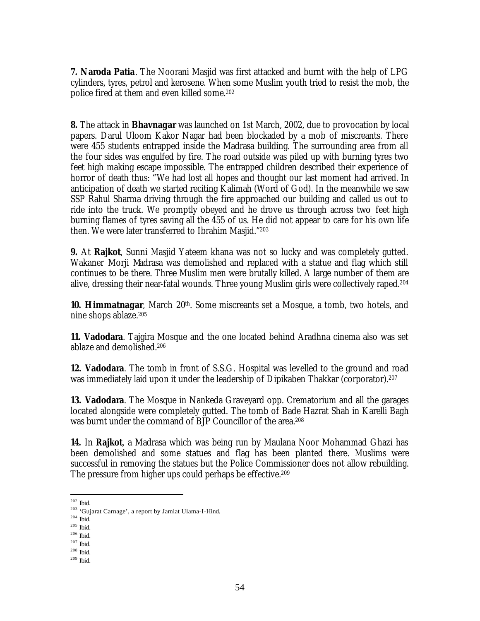**7. Naroda Patia**. The Noorani Masjid was first attacked and burnt with the help of LPG cylinders, tyres, petrol and kerosene. When some Muslim youth tried to resist the mob, the police fired at them and even killed some.<sup>202</sup>

**8.** The attack in **Bhavnagar** was launched on 1st March, 2002, due to provocation by local papers. Darul Uloom Kakor Nagar had been blockaded by a mob of miscreants. There were 455 students entrapped inside the Madrasa building. The surrounding area from all the four sides was engulfed by fire. The road outside was piled up with burning tyres two feet high making escape impossible. The entrapped children described their experience of horror of death thus: "We had lost all hopes and thought our last moment had arrived. In anticipation of death we started reciting Kalimah (Word of God). In the meanwhile we saw SSP Rahul Sharma driving through the fire approached our building and called us out to ride into the truck. We promptly obeyed and he drove us through across two feet high burning flames of tyres saving all the 455 of us. He did not appear to care for his own life then. We were later transferred to Ibrahim Masjid."<sup>203</sup>

**9.** At **Rajkot**, Sunni Masjid Yateem khana was not so lucky and was completely gutted. Wakaner Morji Madrasa was demolished and replaced with a statue and flag which still continues to be there. Three Muslim men were brutally killed. A large number of them are alive, dressing their near-fatal wounds. Three young Muslim girls were collectively raped.<sup>204</sup>

**10. Himmatnagar**, March 20<sup>th</sup>. Some miscreants set a Mosque, a tomb, two hotels, and nine shops ablaze.<sup>205</sup>

**11. Vadodara**. Tajgira Mosque and the one located behind Aradhna cinema also was set ablaze and demolished.<sup>206</sup>

**12. Vadodara**. The tomb in front of S.S.G. Hospital was levelled to the ground and road was immediately laid upon it under the leadership of Dipikaben Thakkar (corporator).<sup>207</sup>

**13. Vadodara**. The Mosque in Nankeda Graveyard opp. Crematorium and all the garages located alongside were completely gutted. The tomb of Bade Hazrat Shah in Karelli Bagh was burnt under the command of BJP Councillor of the area.<sup>208</sup>

**14.** In **Rajkot**, a Madrasa which was being run by Maulana Noor Mohammad Ghazi has been demolished and some statues and flag has been planted there. Muslims were successful in removing the statues but the Police Commissioner does not allow rebuilding. The pressure from higher ups could perhaps be effective.<sup>209</sup>

 $\overline{a}$ 

 $^{204}$  Ibid.

 $202$  Ibid.

<sup>203</sup> 'Gujarat Carnage', a report by Jamiat Ulama-I-Hind.

 $205$  Ibid.

 $^{206}$  Ibid.

 $^{207}$  Ibid.  $^{208}$  Ibid.

 $209$  Ibid.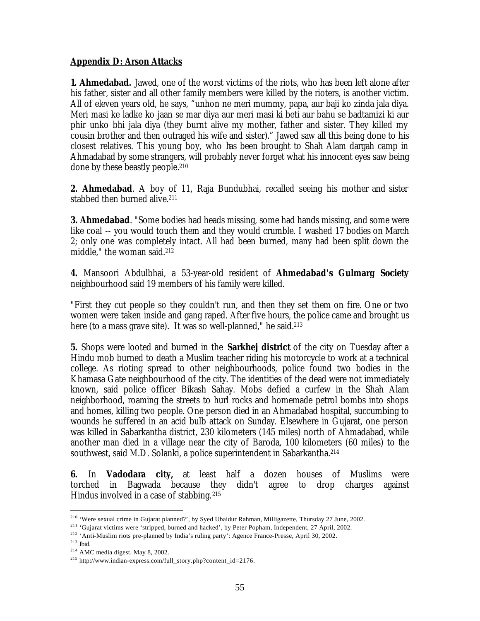## **Appendix D: Arson Attacks**

**1. Ahmedabad.** Jawed, one of the worst victims of the riots, who has been left alone after his father, sister and all other family members were killed by the rioters, is another victim. All of eleven years old, he says, "unhon ne meri mummy, papa, aur baji ko zinda jala diya. Meri masi ke ladke ko jaan se mar diya aur meri masi ki beti aur bahu se badtamizi ki aur phir unko bhi jala diya (they burnt alive my mother, father and sister. They killed my cousin brother and then outraged his wife and sister)." Jawed saw all this being done to his closest relatives. This young boy, who has been brought to Shah Alam dargah camp in Ahmadabad by some strangers, will probably never forget what his innocent eyes saw being done by these beastly people.<sup>210</sup>

**2. Ahmedabad**. A boy of 11, Raja Bundubhai, recalled seeing his mother and sister stabbed then burned alive.<sup>211</sup>

**3. Ahmedabad**. "Some bodies had heads missing, some had hands missing, and some were like coal -- you would touch them and they would crumble. I washed 17 bodies on March 2; only one was completely intact. All had been burned, many had been split down the middle," the woman said.<sup>212</sup>

**4.** Mansoori Abdulbhai, a 53-year-old resident of **Ahmedabad's Gulmarg Society** neighbourhood said 19 members of his family were killed.

"First they cut people so they couldn't run, and then they set them on fire. One or two women were taken inside and gang raped. After five hours, the police came and brought us here (to a mass grave site). It was so well-planned," he said.<sup>213</sup>

**5.** Shops were looted and burned in the **Sarkhej district** of the city on Tuesday after a Hindu mob burned to death a Muslim teacher riding his motorcycle to work at a technical college. As rioting spread to other neighbourhoods, police found two bodies in the Khamasa Gate neighbourhood of the city. The identities of the dead were not immediately known, said police officer Bikash Sahay. Mobs defied a curfew in the Shah Alam neighborhood, roaming the streets to hurl rocks and homemade petrol bombs into shops and homes, killing two people. One person died in an Ahmadabad hospital, succumbing to wounds he suffered in an acid bulb attack on Sunday. Elsewhere in Gujarat, one person was killed in Sabarkantha district, 230 kilometers (145 miles) north of Ahmadabad, while another man died in a village near the city of Baroda, 100 kilometers (60 miles) to the southwest, said M.D. Solanki, a police superintendent in Sabarkantha.<sup>214</sup>

**6.** In **Vadodara city,** at least half a dozen houses of Muslims were torched in Bagwada because they didn't agree to drop charges against Hindus involved in a case of stabbing.<sup>215</sup>

 $\overline{a}$ <sup>210</sup> 'Were sexual crime in Gujarat planned?', by Syed Ubaidur Rahman, Milligazette, Thursday 27 June, 2002.

<sup>211</sup> 'Gujarat victims were 'stripped, burned and hacked', by Peter Popham, Independent, 27 April, 2002.

<sup>&</sup>lt;sup>212</sup> 'Anti-Muslim riots pre-planned by India's ruling party': Agence France-Presse, April 30, 2002.

<sup>213</sup> Ibid.

<sup>214</sup> AMC media digest. May 8, 2002.

<sup>215</sup> http://www.indian-express.com/full\_story.php?content\_id=2176.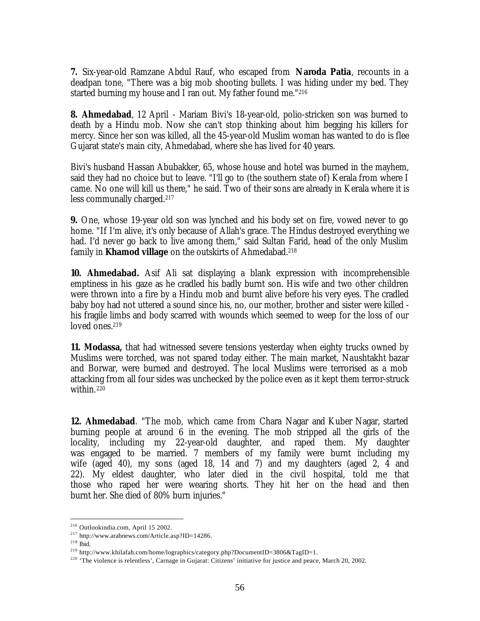**7.** Six-year-old Ramzane Abdul Rauf, who escaped from **Naroda Patia**, recounts in a deadpan tone, "There was a big mob shooting bullets. I was hiding under my bed. They started burning my house and I ran out. My father found me."<sup>216</sup>

**8. Ahmedabad**, 12 April - Mariam Bivi's 18-year-old, polio-stricken son was burned to death by a Hindu mob. Now she can't stop thinking about him begging his killers for mercy. Since her son was killed, all the 45-year-old Muslim woman has wanted to do is flee Gujarat state's main city, Ahmedabad, where she has lived for 40 years.

Bivi's husband Hassan Abubakker, 65, whose house and hotel was burned in the mayhem, said they had no choice but to leave. "I'll go to (the southern state of) Kerala from where I came. No one will kill us there," he said. Two of their sons are already in Kerala where it is less communally charged.<sup>217</sup>

**9.** One, whose 19-year old son was lynched and his body set on fire, vowed never to go home. "If I'm alive, it's only because of Allah's grace. The Hindus destroyed everything we had. I'd never go back to live among them," said Sultan Farid, head of the only Muslim family in **Khamod village** on the outskirts of Ahmedabad.<sup>218</sup>

**10. Ahmedabad.** Asif Ali sat displaying a blank expression with incomprehensible emptiness in his gaze as he cradled his badly burnt son. His wife and two other children were thrown into a fire by a Hindu mob and burnt alive before his very eyes. The cradled baby boy had not uttered a sound since his, no, our mother, brother and sister were killed his fragile limbs and body scarred with wounds which seemed to weep for the loss of our loved ones.<sup>219</sup>

**11. Modassa,** that had witnessed severe tensions yesterday when eighty trucks owned by Muslims were torched, was not spared today either. The main market, Naushtakht bazar and Borwar, were burned and destroyed. The local Muslims were terrorised as a mob attacking from all four sides was unchecked by the police even as it kept them terror-struck within.<sup>220</sup>

**12. Ahmedabad**. "The mob, which came from Chara Nagar and Kuber Nagar, started burning people at around 6 in the evening. The mob stripped all the girls of the locality, including my 22-year-old daughter, and raped them. My daughter was engaged to be married. 7 members of my family were burnt including my wife (aged 40), my sons (aged 18, 14 and 7) and my daughters (aged 2, 4 and 22). My eldest daughter, who later died in the civil hospital, told me that those who raped her were wearing shorts. They hit her on the head and then burnt her. She died of 80% burn injuries."

<sup>216</sup> Outlookindia.com, April 15 2002.

<sup>217</sup> http://www.arabnews.com/Article.asp?ID=14286.

<sup>218</sup> Ibid.

<sup>219</sup> http://www.khilafah.com/home/lographics/category.php?DocumentID=3806&TagID=1.

<sup>&</sup>lt;sup>220</sup> 'The violence is relentless', Carnage in Gujarat: Citizens' initiative for justice and peace, March 20, 2002.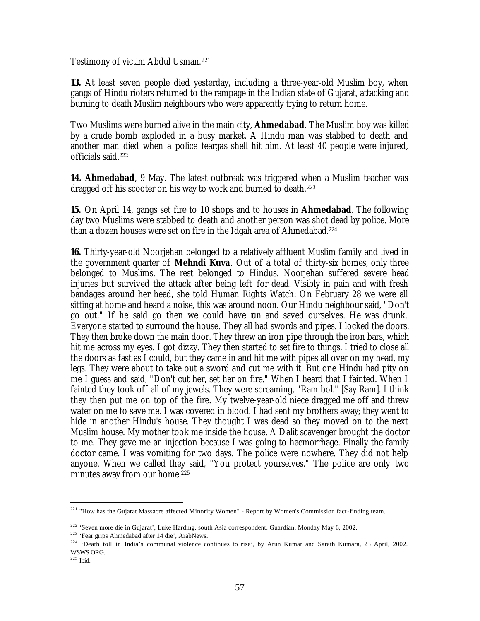Testimony of victim Abdul Usman.<sup>221</sup>

**13.** At least seven people died yesterday, including a three-year-old Muslim boy, when gangs of Hindu rioters returned to the rampage in the Indian state of Gujarat, attacking and burning to death Muslim neighbours who were apparently trying to return home.

Two Muslims were burned alive in the main city, **Ahmedabad**. The Muslim boy was killed by a crude bomb exploded in a busy market. A Hindu man was stabbed to death and another man died when a police teargas shell hit him. At least 40 people were injured, officials said.<sup>222</sup>

**14. Ahmedabad**, 9 May. The latest outbreak was triggered when a Muslim teacher was dragged off his scooter on his way to work and burned to death.<sup>223</sup>

**15.** On April 14, gangs set fire to 10 shops and to houses in **Ahmedabad**. The following day two Muslims were stabbed to death and another person was shot dead by police. More than a dozen houses were set on fire in the Idgah area of Ahmedabad.<sup>224</sup>

**16.** Thirty-year-old Noorjehan belonged to a relatively affluent Muslim family and lived in the government quarter of **Mehndi Kuva**. Out of a total of thirty-six homes, only three belonged to Muslims. The rest belonged to Hindus. Noorjehan suffered severe head injuries but survived the attack after being left for dead. Visibly in pain and with fresh bandages around her head, she told Human Rights Watch: On February 28 we were all sitting at home and heard a noise, this was around noon. Our Hindu neighbour said, "Don't go out." If he said go then we could have run and saved ourselves. He was drunk. Everyone started to surround the house. They all had swords and pipes. I locked the doors. They then broke down the main door. They threw an iron pipe through the iron bars, which hit me across my eyes. I got dizzy. They then started to set fire to things. I tried to close all the doors as fast as I could, but they came in and hit me with pipes all over on my head, my legs. They were about to take out a sword and cut me with it. But one Hindu had pity on me I guess and said, "Don't cut her, set her on fire." When I heard that I fainted. When I fainted they took off all of my jewels. They were screaming, "Ram bol." [Say Ram]. I think they then put me on top of the fire. My twelve-year-old niece dragged me off and threw water on me to save me. I was covered in blood. I had sent my brothers away; they went to hide in another Hindu's house. They thought I was dead so they moved on to the next Muslim house. My mother took me inside the house. A Dalit scavenger brought the doctor to me. They gave me an injection because I was going to haemorrhage. Finally the family doctor came. I was vomiting for two days. The police were nowhere. They did not help anyone. When we called they said, "You protect yourselves." The police are only two minutes away from our home.<sup>225</sup>

<sup>&</sup>lt;sup>221</sup> "How has the Gujarat Massacre affected Minority Women" - Report by Women's Commission fact-finding team.

<sup>222</sup> 'Seven more die in Gujarat', Luke Harding, south Asia correspondent. Guardian, Monday May 6, 2002.

<sup>223</sup> 'Fear grips Ahmedabad after 14 die', ArabNews.

<sup>&</sup>lt;sup>224</sup> 'Death toll in India's communal violence continues to rise', by Arun Kumar and Sarath Kumara, 23 April, 2002. WSWS.ORG.

<sup>225</sup> Ibid.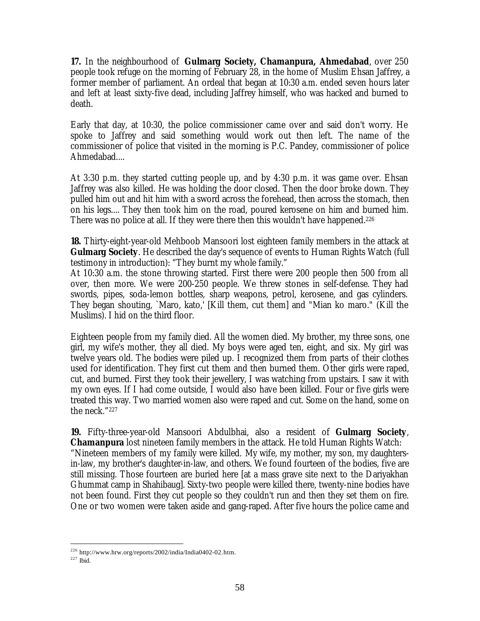**17.** In the neighbourhood of **Gulmarg Society, Chamanpura, Ahmedabad**, over 250 people took refuge on the morning of February 28, in the home of Muslim Ehsan Jaffrey, a former member of parliament. An ordeal that began at 10:30 a.m. ended seven hours later and left at least sixty-five dead, including Jaffrey himself, who was hacked and burned to death.

Early that day, at 10:30, the police commissioner came over and said don't worry. He spoke to Jaffrey and said something would work out then left. The name of the commissioner of police that visited in the morning is P.C. Pandey, commissioner of police Ahmedabad....

At 3:30 p.m. they started cutting people up, and by 4:30 p.m. it was game over. Ehsan Jaffrey was also killed. He was holding the door closed. Then the door broke down. They pulled him out and hit him with a sword across the forehead, then across the stomach, then on his legs.... They then took him on the road, poured kerosene on him and burned him. There was no police at all. If they were there then this wouldn't have happened.<sup>226</sup>

**18.** Thirty-eight-year-old Mehboob Mansoori lost eighteen family members in the attack at **Gulmarg Society**. He described the day's sequence of events to Human Rights Watch (full testimony in introduction): "They burnt my whole family."

At 10:30 a.m. the stone throwing started. First there were 200 people then 500 from all over, then more. We were 200-250 people. We threw stones in self-defense. They had swords, pipes, soda-lemon bottles, sharp weapons, petrol, kerosene, and gas cylinders. They began shouting, `Maro, kato,' [Kill them, cut them] and "Mian ko maro." (Kill the Muslims). I hid on the third floor.

Eighteen people from my family died. All the women died. My brother, my three sons, one girl, my wife's mother, they all died. My boys were aged ten, eight, and six. My girl was twelve years old. The bodies were piled up. I recognized them from parts of their clothes used for identification. They first cut them and then burned them. Other girls were raped, cut, and burned. First they took their jewellery, I was watching from upstairs. I saw it with my own eyes. If I had come outside, I would also have been killed. Four or five girls were treated this way. Two married women also were raped and cut. Some on the hand, some on the neck." 227

**19.** Fifty-three-year-old Mansoori Abdulbhai, also a resident of **Gulmarg Society**, **Chamanpura** lost nineteen family members in the attack. He told Human Rights Watch: "Nineteen members of my family were killed. My wife, my mother, my son, my daughtersin-law, my brother's daughter-in-law, and others. We found fourteen of the bodies, five are still missing. Those fourteen are buried here [at a mass grave site next to the Dariyakhan Ghummat camp in Shahibaug]. Sixty-two people were killed there, twenty-nine bodies have not been found. First they cut people so they couldn't run and then they set them on fire. One or two women were taken aside and gang-raped. After five hours the police came and

<sup>226</sup> http://www.hrw.org/reports/2002/india/India0402-02.htm.

 $227$  Ibid.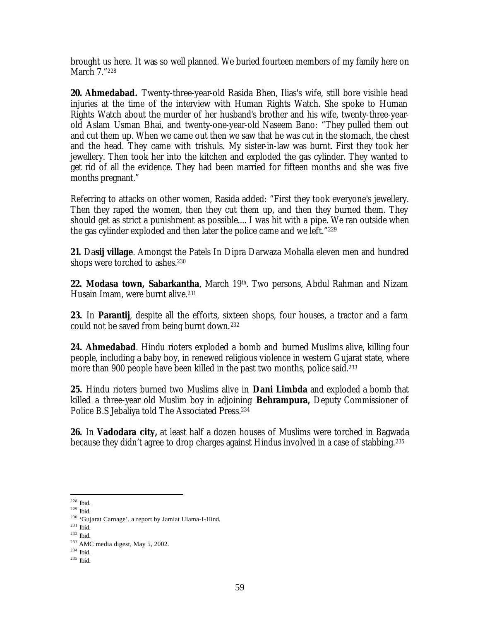brought us here. It was so well planned. We buried fourteen members of my family here on March 7." 228

**20. Ahmedabad.** Twenty-three-year-old Rasida Bhen, Ilias's wife, still bore visible head injuries at the time of the interview with Human Rights Watch. She spoke to Human Rights Watch about the murder of her husband's brother and his wife, twenty-three-yearold Aslam Usman Bhai, and twenty-one-year-old Naseem Bano: "They pulled them out and cut them up. When we came out then we saw that he was cut in the stomach, the chest and the head. They came with trishuls. My sister-in-law was burnt. First they took her jewellery. Then took her into the kitchen and exploded the gas cylinder. They wanted to get rid of all the evidence. They had been married for fifteen months and she was five months pregnant."

Referring to attacks on other women, Rasida added: "First they took everyone's jewellery. Then they raped the women, then they cut them up, and then they burned them. They should get as strict a punishment as possible.... I was hit with a pipe. We ran outside when the gas cylinder exploded and then later the police came and we left." 229

**21.** Da**sij village**. Amongst the Patels In Dipra Darwaza Mohalla eleven men and hundred shops were torched to ashes.<sup>230</sup>

**22. Modasa town, Sabarkantha**, March 19th . Two persons, Abdul Rahman and Nizam Husain Imam, were burnt alive.<sup>231</sup>

**23.** In **Parantij**, despite all the efforts, sixteen shops, four houses, a tractor and a farm could not be saved from being burnt down.<sup>232</sup>

**24. Ahmedabad**. Hindu rioters exploded a bomb and burned Muslims alive, killing four people, including a baby boy, in renewed religious violence in western Gujarat state, where more than 900 people have been killed in the past two months, police said.<sup>233</sup>

**25.** Hindu rioters burned two Muslims alive in **Dani Limbda** and exploded a bomb that killed a three-year old Muslim boy in adjoining **Behrampura,** Deputy Commissioner of Police B.S Jebaliya told The Associated Press.<sup>234</sup>

**26.** In **Vadodara city,** at least half a dozen houses of Muslims were torched in Bagwada because they didn't agree to drop charges against Hindus involved in a case of stabbing.<sup>235</sup>

 $228$  Ibid.

 $^{229}$  Ibid.

<sup>230</sup> 'Gujarat Carnage', a report by Jamiat Ulama-I-Hind.

<sup>231</sup> Ibid.

<sup>232</sup> Ibid.

<sup>233</sup> AMC media digest, May 5, 2002.

<sup>234</sup> Ibid.

<sup>235</sup> Ibid.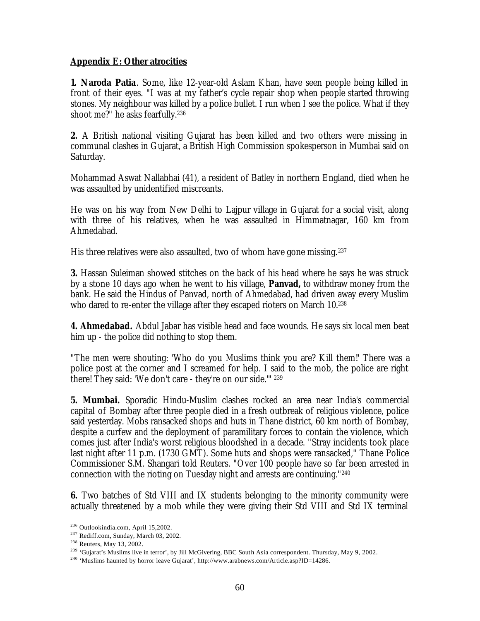## **Appendix E: Other atrocities**

**1. Naroda Patia**. Some, like 12-year-old Aslam Khan, have seen people being killed in front of their eyes. "I was at my father's cycle repair shop when people started throwing stones. My neighbour was killed by a police bullet. I run when I see the police. What if they shoot me?" he asks fearfully.<sup>236</sup>

**2.** A British national visiting Gujarat has been killed and two others were missing in communal clashes in Gujarat, a British High Commission spokesperson in Mumbai said on Saturday.

Mohammad Aswat Nallabhai (41), a resident of Batley in northern England, died when he was assaulted by unidentified miscreants.

He was on his way from New Delhi to Lajpur village in Gujarat for a social visit, along with three of his relatives, when he was assaulted in Himmatnagar, 160 km from Ahmedabad.

His three relatives were also assaulted, two of whom have gone missing.<sup>237</sup>

**3.** Hassan Suleiman showed stitches on the back of his head where he says he was struck by a stone 10 days ago when he went to his village, **Panvad,** to withdraw money from the bank. He said the Hindus of Panvad, north of Ahmedabad, had driven away every Muslim who dared to re-enter the village after they escaped rioters on March 10.<sup>238</sup>

**4. Ahmedabad.** Abdul Jabar has visible head and face wounds. He says six local men beat him up - the police did nothing to stop them.

"The men were shouting: 'Who do you Muslims think you are? Kill them!' There was a police post at the corner and I screamed for help. I said to the mob, the police are right there! They said: 'We don't care - they're on our side.'" <sup>239</sup>

**5. Mumbai.** Sporadic Hindu-Muslim clashes rocked an area near India's commercial capital of Bombay after three people died in a fresh outbreak of religious violence, police said yesterday. Mobs ransacked shops and huts in Thane district, 60 km north of Bombay, despite a curfew and the deployment of paramilitary forces to contain the violence, which comes just after India's worst religious bloodshed in a decade. "Stray incidents took place last night after 11 p.m. (1730 GMT). Some huts and shops were ransacked," Thane Police Commissioner S.M. Shangari told Reuters. "Over 100 people have so far been arrested in connection with the rioting on Tuesday night and arrests are continuing."<sup>240</sup>

**6.** Two batches of Std VIII and IX students belonging to the minority community were actually threatened by a mob while they were giving their Std VIII and Std IX terminal

<sup>236</sup> Outlookindia.com, April 15,2002.

<sup>237</sup> Rediff.com, Sunday, March 03, 2002.

<sup>238</sup> Reuters, May 13, 2002.

<sup>&</sup>lt;sup>239</sup> 'Gujarat's Muslims live in terror', by Jill McGivering, BBC South Asia correspondent. Thursday, May 9, 2002.

<sup>&</sup>lt;sup>240</sup> 'Muslims haunted by horror leave Gujarat', http://www.arabnews.com/Article.asp?ID=14286.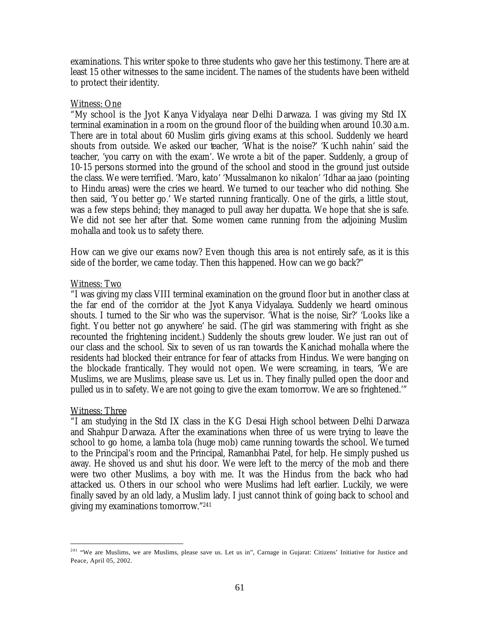examinations. This writer spoke to three students who gave her this testimony. There are at least 15 other witnesses to the same incident. The names of the students have been witheld to protect their identity.

### Witness: One

"My school is the Jyot Kanya Vidyalaya near Delhi Darwaza. I was giving my Std IX terminal examination in a room on the ground floor of the building when around 10.30 a.m. There are in total about 60 Muslim girls giving exams at this school. Suddenly we heard shouts from outside. We asked our teacher, 'What is the noise?' 'Kuchh nahin' said the teacher, 'you carry on with the exam'. We wrote a bit of the paper. Suddenly, a group of 10-15 persons stormed into the ground of the school and stood in the ground just outside the class. We were terrified. 'Maro, kato' 'Mussalmanon ko nikalon' 'Idhar aa jaao (pointing to Hindu areas) were the cries we heard. We turned to our teacher who did nothing. She then said, 'You better go.' We started running frantically. One of the girls, a little stout, was a few steps behind; they managed to pull away her dupatta. We hope that she is safe. We did not see her after that. Some women came running from the adjoining Muslim mohalla and took us to safety there.

How can we give our exams now? Even though this area is not entirely safe, as it is this side of the border, we came today. Then this happened. How can we go back?"

### Witness: Two

"I was giving my class VIII terminal examination on the ground floor but in another class at the far end of the corridor at the Jyot Kanya Vidyalaya. Suddenly we heard ominous shouts. I turned to the Sir who was the supervisor. 'What is the noise, Sir?' 'Looks like a fight. You better not go anywhere' he said. (The girl was stammering with fright as she recounted the frightening incident.) Suddenly the shouts grew louder. We just ran out of our class and the school. Six to seven of us ran towards the Kanichad mohalla where the residents had blocked their entrance for fear of attacks from Hindus. We were banging on the blockade frantically. They would not open. We were screaming, in tears, 'We are Muslims, we are Muslims, please save us. Let us in. They finally pulled open the door and pulled us in to safety. We are not going to give the exam tomorrow. We are so frightened.'"

### Witness: Three

 $\overline{a}$ 

"I am studying in the Std IX class in the KG Desai High school between Delhi Darwaza and Shahpur Darwaza. After the examinations when three of us were trying to leave the school to go home, a lamba tola (huge mob) came running towards the school. We turned to the Principal's room and the Principal, Ramanbhai Patel, for help. He simply pushed us away. He shoved us and shut his door. We were left to the mercy of the mob and there were two other Muslims, a boy with me. It was the Hindus from the back who had attacked us. Others in our school who were Muslims had left earlier. Luckily, we were finally saved by an old lady, a Muslim lady. I just cannot think of going back to school and giving my examinations tomorrow."<sup>241</sup>

<sup>&</sup>lt;sup>241</sup> "We are Muslims, we are Muslims, please save us. Let us in", Carnage in Gujarat: Citizens' Initiative for Justice and Peace, April 05, 2002.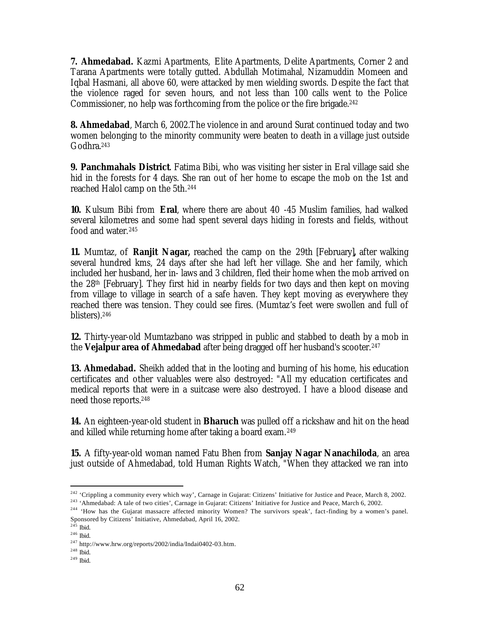**7. Ahmedabad.** Kazmi Apartments, Elite Apartments, Delite Apartments, Corner 2 and Tarana Apartments were totally gutted. Abdullah Motimahal, Nizamuddin Momeen and Iqbal Hasmani, all above 60, were attacked by men wielding swords. Despite the fact that the violence raged for seven hours, and not less than 100 calls went to the Police Commissioner, no help was forthcoming from the police or the fire brigade.<sup>242</sup>

**8. Ahmedabad**, March 6, 2002.The violence in and around Surat continued today and two women belonging to the minority community were beaten to death in a village just outside Godhra.<sup>243</sup>

**9. Panchmahals District**. Fatima Bibi, who was visiting her sister in Eral village said she hid in the forests for 4 days. She ran out of her home to escape the mob on the 1st and reached Halol camp on the 5th.<sup>244</sup>

**10.** Kulsum Bibi from **Eral**, where there are about 40 -45 Muslim families, had walked several kilometres and some had spent several days hiding in forests and fields, without food and water.<sup>245</sup>

**11.** Mumtaz, of **Ranjit Nagar,** reached the camp on the 29th [February]**,** after walking several hundred kms, 24 days after she had left her village. She and her family, which included her husband, her in- laws and 3 children, fled their home when the mob arrived on the 28th [February]. They first hid in nearby fields for two days and then kept on moving from village to village in search of a safe haven. They kept moving as everywhere they reached there was tension. They could see fires. (Mumtaz's feet were swollen and full of blisters).<sup>246</sup>

**12.** Thirty-year-old Mumtazbano was stripped in public and stabbed to death by a mob in the Vejalpur area of Ahmedabad after being dragged off her husband's scooter.<sup>247</sup>

**13. Ahmedabad.** Sheikh added that in the looting and burning of his home, his education certificates and other valuables were also destroyed: "All my education certificates and medical reports that were in a suitcase were also destroyed. I have a blood disease and need those reports.<sup>248</sup>

**14.** An eighteen-year-old student in **Bharuch** was pulled off a rickshaw and hit on the head and killed while returning home after taking a board exam.<sup>249</sup>

**15.** A fifty-year-old woman named Fatu Bhen from **Sanjay Nagar Nanachiloda**, an area just outside of Ahmedabad, told Human Rights Watch, "When they attacked we ran into

 $\overline{a}$ <sup>242</sup> 'Crippling a community every which way', Carnage in Gujarat: Citizens' Initiative for Justice and Peace, March 8, 2002. <sup>243</sup> 'Ahmedabad: A tale of two cities', Carnage in Gujarat: Citizens' Initiative for Justice and Peace, March 6, 2002.

<sup>&</sup>lt;sup>244</sup> 'How has the Gujarat massacre affected minority Women? The survivors speak', fact-finding by a women's panel. Sponsored by Citizens' Initiative, Ahmedabad, April 16, 2002.

 $245$  Ibid.

 $^{246}$  Ibid.

 $^{247}$ http://www.hrw.org/reports/2002/india/Indai0402-03.htm.

 $^{248}$  Ibid.

 $^{249}$  Ibid.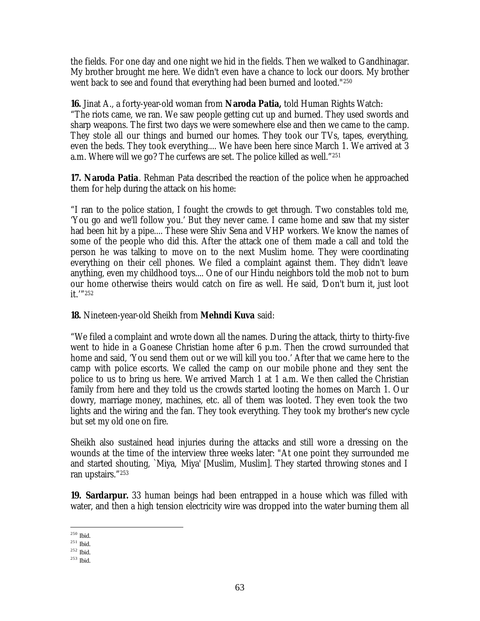the fields. For one day and one night we hid in the fields. Then we walked to Gandhinagar. My brother brought me here. We didn't even have a chance to lock our doors. My brother went back to see and found that everything had been burned and looted."<sup>250</sup>

**16.** Jinat A., a forty-year-old woman from **Naroda Patia,** told Human Rights Watch: "The riots came, we ran. We saw people getting cut up and burned. They used swords and sharp weapons. The first two days we were somewhere else and then we came to the camp. They stole all our things and burned our homes. They took our TVs, tapes, everything, even the beds. They took everything.... We have been here since March 1. We arrived at 3 a.m. Where will we go? The curfews are set. The police killed as well." 251

**17. Naroda Patia**. Rehman Pata described the reaction of the police when he approached them for help during the attack on his home:

"I ran to the police station, I fought the crowds to get through. Two constables told me, 'You go and we'll follow you.' But they never came. I came home and saw that my sister had been hit by a pipe.... These were Shiv Sena and VHP workers. We know the names of some of the people who did this. After the attack one of them made a call and told the person he was talking to move on to the next Muslim home. They were coordinating everything on their cell phones. We filed a complaint against them. They didn't leave anything, even my childhood toys.... One of our Hindu neighbors told the mob not to burn our home otherwise theirs would catch on fire as well. He said, 'Don't burn it, just loot it.'" 252

**18.** Nineteen-year-old Sheikh from **Mehndi Kuva** said:

"We filed a complaint and wrote down all the names. During the attack, thirty to thirty-five went to hide in a Goanese Christian home after 6 p.m. Then the crowd surrounded that home and said, 'You send them out or we will kill you too.' After that we came here to the camp with police escorts. We called the camp on our mobile phone and they sent the police to us to bring us here. We arrived March 1 at 1 a.m. We then called the Christian family from here and they told us the crowds started looting the homes on March 1. Our dowry, marriage money, machines, etc. all of them was looted. They even took the two lights and the wiring and the fan. They took everything. They took my brother's new cycle but set my old one on fire.

Sheikh also sustained head injuries during the attacks and still wore a dressing on the wounds at the time of the interview three weeks later: "At one point they surrounded me and started shouting, `Miya, Miya' [Muslim, Muslim]. They started throwing stones and I ran upstairs." 253

**19. Sardarpur.** 33 human beings had been entrapped in a house which was filled with water, and then a high tension electricity wire was dropped into the water burning them all

 $\overline{a}$ <sup>250</sup> Ibid.

<sup>251</sup> Ibid.

<sup>252</sup> Ibid.

<sup>253</sup> Ibid.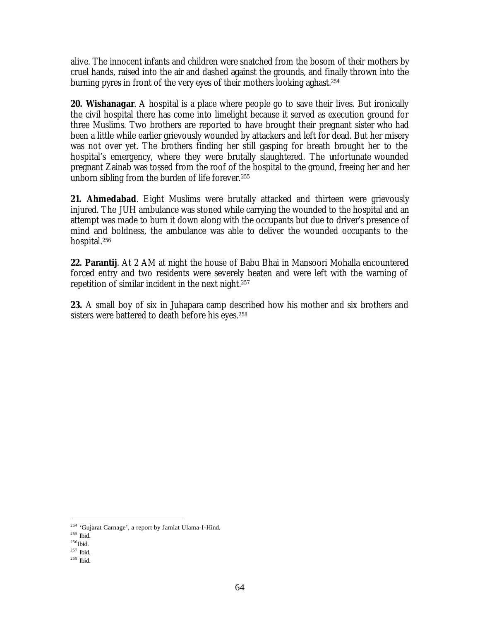alive. The innocent infants and children were snatched from the bosom of their mothers by cruel hands, raised into the air and dashed against the grounds, and finally thrown into the burning pyres in front of the very eyes of their mothers looking aghast.<sup>254</sup>

**20. Wishanagar**. A hospital is a place where people go to save their lives. But ironically the civil hospital there has come into limelight because it served as execution ground for three Muslims. Two brothers are reported to have brought their pregnant sister who had been a little while earlier grievously wounded by attackers and left for dead. But her misery was not over yet. The brothers finding her still gasping for breath brought her to the hospital's emergency, where they were brutally slaughtered. The unfortunate wounded pregnant Zainab was tossed from the roof of the hospital to the ground, freeing her and her unborn sibling from the burden of life forever.<sup>255</sup>

**21. Ahmedabad**. Eight Muslims were brutally attacked and thirteen were grievously injured. The JUH ambulance was stoned while carrying the wounded to the hospital and an attempt was made to burn it down along with the occupants but due to driver's presence of mind and boldness, the ambulance was able to deliver the wounded occupants to the hospital.<sup>256</sup>

**22. Parantij**. At 2 AM at night the house of Babu Bhai in Mansoori Mohalla encountered forced entry and two residents were severely beaten and were left with the warning of repetition of similar incident in the next night.<sup>257</sup>

**23.** A small boy of six in Juhapara camp described how his mother and six brothers and sisters were battered to death before his eyes.<sup>258</sup>

<sup>&</sup>lt;sup>254</sup> 'Gujarat Carnage', a report by Jamiat Ulama-I-Hind.

<sup>255</sup> Ibid.

 $^{256}\mbox{Ibid.}$ 

 $^{257}$  Ibid.

<sup>258</sup> Ibid.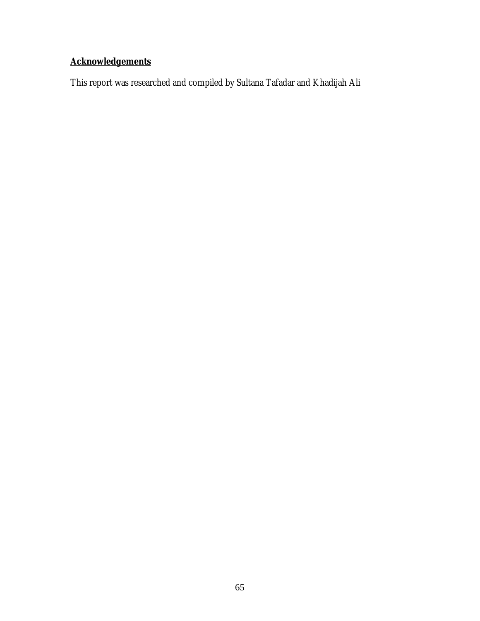# **Acknowledgements**

This report was researched and compiled by Sultana Tafadar and Khadijah Ali